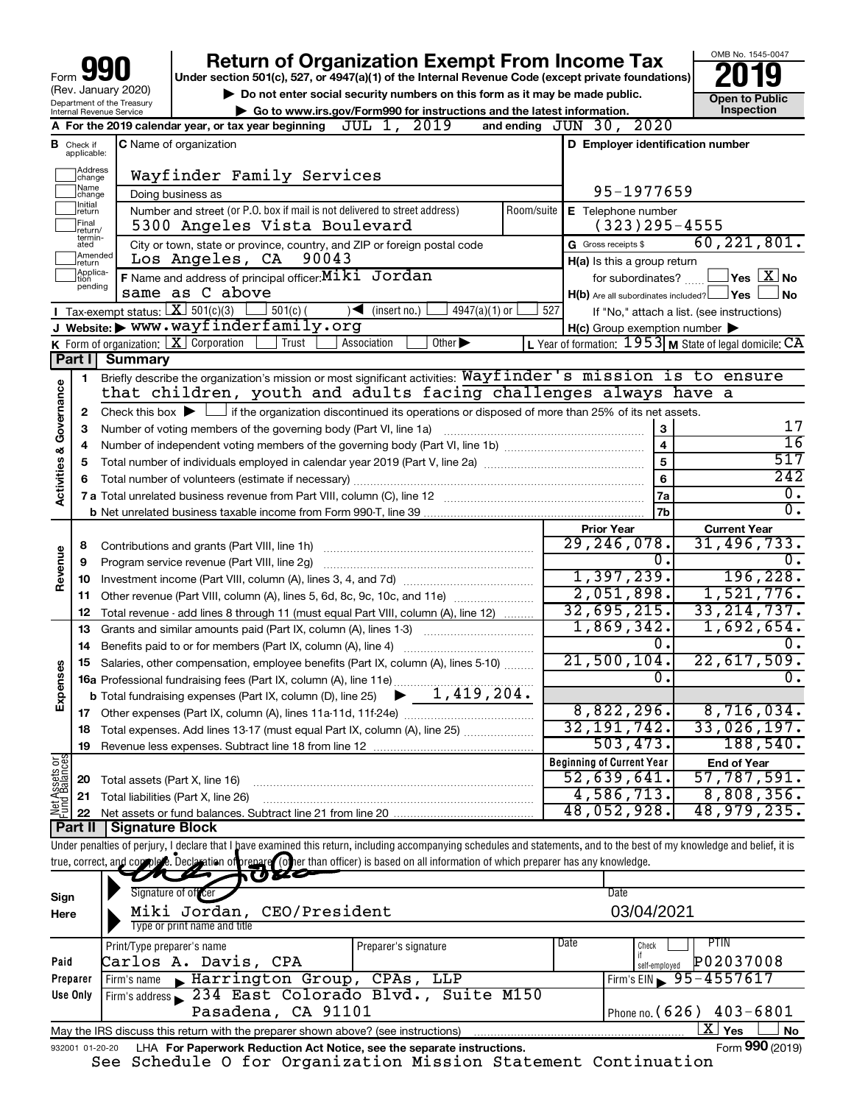| 990<br>Form                                                   |
|---------------------------------------------------------------|
| (Rev. January 2020)                                           |
| Department of the Treasury<br><b>Internal Revenue Service</b> |

# **your Section 501(c), 527, or 4947(a)(1) of the Internal Revenue Code (except private foundations) 2019**

**10** Do not enter social security numbers on this form as it may be made public. **The public Comparent Comparent Comparent Comparent Comparent Open to Public | Go to www.irs.gov/Form990 for instructions and the latest information. Inspection**

OMB No. 1545-0047

|                                                |                               | Internal Revenue Service<br>$\blacktriangleright$ Go to www.irs.gov/Form990 for instructions and the latest information.                                                        |            |                                                     | mspecuon                                                |
|------------------------------------------------|-------------------------------|---------------------------------------------------------------------------------------------------------------------------------------------------------------------------------|------------|-----------------------------------------------------|---------------------------------------------------------|
|                                                |                               | 2019<br>JUL 1,<br>A For the 2019 calendar year, or tax year beginning                                                                                                           |            | 2020<br>and ending $JUN$ 30,                        |                                                         |
|                                                | <b>B</b> Check if applicable: | C Name of organization                                                                                                                                                          |            | D Employer identification number                    |                                                         |
| Address<br>change<br>Wayfinder Family Services |                               |                                                                                                                                                                                 |            |                                                     |                                                         |
|                                                | Name<br>change                | Doing business as                                                                                                                                                               |            | 95-1977659                                          |                                                         |
|                                                | Initial<br>return             | Number and street (or P.O. box if mail is not delivered to street address)                                                                                                      | Room/suite | E Telephone number                                  |                                                         |
|                                                | Final<br>return/              | 5300 Angeles Vista Boulevard                                                                                                                                                    |            | $(323)$ 295-4555                                    |                                                         |
|                                                | termin-<br>ated               | City or town, state or province, country, and ZIP or foreign postal code                                                                                                        |            | G Gross receipts \$                                 | 60, 221, 801.                                           |
|                                                | Amended<br>return             | Los Angeles, CA<br>90043                                                                                                                                                        |            | H(a) Is this a group return                         |                                                         |
|                                                | Applica-<br>tion<br>pending   | <b>F</b> Name and address of principal officer: Miki Jordan                                                                                                                     |            | for subordinates? $\ldots$                          | $\,$ Yes $\,$ $\rm X$ No $\,$                           |
|                                                |                               | same as C above                                                                                                                                                                 |            | H(b) Are all subordinates included? Ves             | ∫No                                                     |
|                                                |                               | Tax-exempt status: $X \overline{X}$ 501(c)(3)<br>$501(c)$ (<br>$\sqrt{\frac{1}{1}}$ (insert no.)<br>$4947(a)(1)$ or                                                             | 527        |                                                     | If "No," attach a list. (see instructions)              |
|                                                |                               | J Website: WWW.wayfinderfamily.org                                                                                                                                              |            | $H(c)$ Group exemption number $\blacktriangleright$ |                                                         |
|                                                |                               | <b>K</b> Form of organization: $\boxed{\textbf{X}}$ Corporation<br>Other $\blacktriangleright$<br>Trust<br>Association                                                          |            |                                                     | L Year of formation: 1953 M State of legal domicile: CA |
|                                                | Part I                        | <b>Summary</b>                                                                                                                                                                  |            |                                                     |                                                         |
|                                                | 1                             | Briefly describe the organization's mission or most significant activities: Wayfinder's mission is to ensure<br>that children, youth and adults facing challenges always have a |            |                                                     |                                                         |
| Activities & Governance                        |                               |                                                                                                                                                                                 |            |                                                     |                                                         |
|                                                | 2                             | Check this box $\blacktriangleright$ $\Box$ if the organization discontinued its operations or disposed of more than 25% of its net assets.                                     |            |                                                     | 17                                                      |
|                                                | з                             | Number of voting members of the governing body (Part VI, line 1a)                                                                                                               |            | 3<br>$\overline{\mathbf{4}}$                        | $\overline{16}$                                         |
|                                                | 4                             |                                                                                                                                                                                 |            | 5                                                   | 517                                                     |
|                                                | 5<br>6                        | Total number of volunteers (estimate if necessary)                                                                                                                              |            | 6                                                   | 242                                                     |
|                                                |                               |                                                                                                                                                                                 |            | 7a                                                  | о.                                                      |
|                                                |                               |                                                                                                                                                                                 |            | 7b                                                  | $\overline{0}$ .                                        |
|                                                |                               |                                                                                                                                                                                 |            | <b>Prior Year</b>                                   | <b>Current Year</b>                                     |
|                                                | 8                             |                                                                                                                                                                                 |            | 29, 246, 078.                                       | 31,496,733.                                             |
| Revenue                                        | 9                             | Program service revenue (Part VIII, line 2g)                                                                                                                                    |            | 0.                                                  | $\overline{0}$ .                                        |
|                                                | 10                            |                                                                                                                                                                                 |            | 1,397,239.                                          | 196, 228.                                               |
|                                                | 11                            |                                                                                                                                                                                 |            | 2,051,898.                                          | 1,521,776.                                              |
|                                                | 12                            | Total revenue - add lines 8 through 11 (must equal Part VIII, column (A), line 12)                                                                                              |            | 32,695,215.                                         | 33, 214, 737.                                           |
|                                                | 13                            | Grants and similar amounts paid (Part IX, column (A), lines 1-3)                                                                                                                |            | 1,869,342.                                          | 1,692,654.                                              |
|                                                | 14                            | Benefits paid to or for members (Part IX, column (A), line 4)                                                                                                                   |            | 0.                                                  | 0.                                                      |
|                                                | 15                            | Salaries, other compensation, employee benefits (Part IX, column (A), lines 5-10)                                                                                               |            | 21,500,104.                                         | 22,617,509.                                             |
| Expenses                                       |                               |                                                                                                                                                                                 |            | 0.                                                  | 0.                                                      |
|                                                |                               | <b>16a</b> Professional fundraising fees (Part IX, column (A), line 11e)<br><b>b</b> Total fundraising expenses (Part IX, column (D), line 25) $\rightarrow$ 1, 419, 204.       |            |                                                     |                                                         |
|                                                |                               |                                                                                                                                                                                 |            | 8,822,296.                                          | 8,716,034.                                              |
|                                                | 18                            | Total expenses. Add lines 13-17 (must equal Part IX, column (A), line 25)                                                                                                       |            | 32, 191, 742.                                       | 33,026,197.                                             |
|                                                | 19                            |                                                                                                                                                                                 |            | 503, 473.                                           | 188,540.                                                |
| Net Assets or                                  |                               |                                                                                                                                                                                 |            | <b>Beginning of Current Year</b>                    | <b>End of Year</b>                                      |
|                                                | 20                            | Total assets (Part X, line 16)                                                                                                                                                  |            | 52,639,641.                                         | 57,787,591.                                             |
|                                                | 21                            | Total liabilities (Part X, line 26)                                                                                                                                             |            | 4,586,713.                                          | 8,808,356.                                              |
|                                                | 22                            | Net assets or fund balances. Subtract line 21 from line 20                                                                                                                      |            | 48,052,928.                                         | 48,979,235.                                             |
|                                                | Part II                       | Signature Block                                                                                                                                                                 |            |                                                     |                                                         |
|                                                |                               | Under penalties of perjury, I declare that I have examined this return, including accompanying schedules and statements, and to the best of my knowledge and belief, it is      |            |                                                     |                                                         |
|                                                |                               | true, correct, and complete. Declaration of prenare (other than officer) is based on all information of which preparer has any knowledge.<br>U                                  |            |                                                     |                                                         |
|                                                |                               | Signature of officer                                                                                                                                                            |            | Date                                                |                                                         |
| Sign                                           |                               | Miki Jordan,<br>CEO/President                                                                                                                                                   |            | 03/04/2021                                          |                                                         |
| Here                                           |                               | Type or print name and title                                                                                                                                                    |            |                                                     |                                                         |
|                                                |                               | Preparer's signature                                                                                                                                                            |            | Date<br>Check                                       | <b>PTIN</b>                                             |
| Paid                                           |                               | Print/Type preparer's name<br>Carlos A. Davis, CPA                                                                                                                              |            | if                                                  | P02037008                                               |
|                                                | Preparer                      | Harrington Group, CPAs, LLP<br>Firm's name                                                                                                                                      |            | self-employed                                       | Firm's EIN 95-4557617                                   |
|                                                | Use Only                      | Firm's address 234 East Colorado Blvd., Suite M150                                                                                                                              |            |                                                     |                                                         |
|                                                |                               |                                                                                                                                                                                 |            |                                                     |                                                         |

| Use Only $\left  \mathrm{Firm's}\right $ address 234 East Colorado Blvd., Suite M150   |                              |
|----------------------------------------------------------------------------------------|------------------------------|
| Pasadena, CA 91101                                                                     | I Phone no. $(626)$ 403-6801 |
| May the IRS discuss this return with the preparer shown above? (see instructions)      | XI<br>∣No<br><b>Yes</b>      |
| 932001 01-20-20 LHA For Paperwork Reduction Act Notice, see the separate instructions. | Form 990 (2019)              |
| See Schedule O for Organization Mission Statement Continuation                         |                              |

See Schedule O for Organization Mission Statement Continuation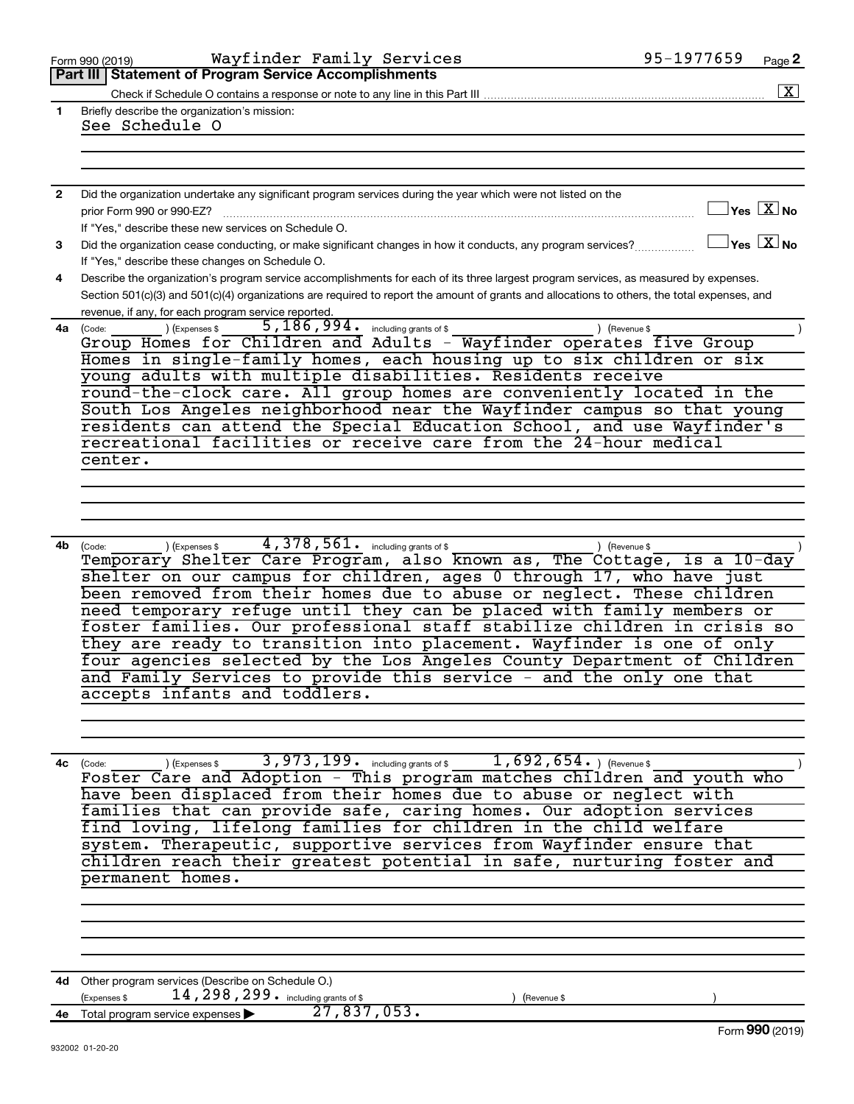|                | $\mathbf{X}$                                                                                                                                                                            |
|----------------|-----------------------------------------------------------------------------------------------------------------------------------------------------------------------------------------|
| 1              | Briefly describe the organization's mission:<br>See Schedule O                                                                                                                          |
|                |                                                                                                                                                                                         |
| $\overline{2}$ | Did the organization undertake any significant program services during the year which were not listed on the<br>$\Box$ Yes $[\,\texttt{X}\,]$ No<br>prior Form 990 or 990-EZ?           |
|                | If "Yes." describe these new services on Schedule O.                                                                                                                                    |
| 3              | $\Box$ Yes $\Box$ No<br>Did the organization cease conducting, or make significant changes in how it conducts, any program services?<br>If "Yes," describe these changes on Schedule O. |
| 4              | Describe the organization's program service accomplishments for each of its three largest program services, as measured by expenses.                                                    |
|                | Section 501(c)(3) and 501(c)(4) organizations are required to report the amount of grants and allocations to others, the total expenses, and                                            |
|                | revenue, if any, for each program service reported.<br>5, 186, 994. including grants of \$                                                                                              |
|                | ) (Expenses \$<br>4a (Code:<br>) (Revenue \$<br>Group Homes for Children and Adults - Wayfinder operates five Group                                                                     |
|                | Homes in single-family homes, each housing up to six children or six                                                                                                                    |
|                | young adults with multiple disabilities. Residents receive                                                                                                                              |
|                | round-the-clock care. All group homes are conveniently located in the                                                                                                                   |
|                | South Los Angeles neighborhood near the Wayfinder campus so that young                                                                                                                  |
|                | residents can attend the Special Education School, and use Wayfinder's                                                                                                                  |
|                | recreational facilities or receive care from the 24-hour medical<br>center.                                                                                                             |
|                |                                                                                                                                                                                         |
|                |                                                                                                                                                                                         |
|                |                                                                                                                                                                                         |
|                |                                                                                                                                                                                         |
|                | 4,378,561. including grants of \$<br>4b (Code:<br>) (Revenue \$<br>) (Expenses \$<br>Temporary Shelter Care Program, also known as, The Cottage, is a 10-day                            |
|                | shelter on our campus for children, ages 0 through 17, who have just                                                                                                                    |
|                | been removed from their homes due to abuse or neglect. These children                                                                                                                   |
|                | need temporary refuge until they can be placed with family members or                                                                                                                   |
|                | foster families. Our professional staff stabilize children in crisis so                                                                                                                 |
|                | they are ready to transition into placement. Wayfinder is one of only                                                                                                                   |
|                | four agencies selected by the Los Angeles County Department of Children<br>and Family Services to provide this service - and the only one that                                          |
|                | accepts infants and toddlers.                                                                                                                                                           |
|                |                                                                                                                                                                                         |
|                |                                                                                                                                                                                         |
|                |                                                                                                                                                                                         |
|                | (Code: )(Expenses \$ 3,973,199. including grants of \$ 1,692,654.) (Revenue \$ Foster Care and Adoption - This program matches children and youth who<br>4c (Code:                      |
|                | have been displaced from their homes due to abuse or neglect with                                                                                                                       |
|                | families that can provide safe, caring homes. Our adoption services                                                                                                                     |
|                | find loving, lifelong families for children in the child welfare                                                                                                                        |
|                | system. Therapeutic, supportive services from Wayfinder ensure that                                                                                                                     |
|                | children reach their greatest potential in safe, nurturing foster and                                                                                                                   |
|                | permanent homes.                                                                                                                                                                        |
|                |                                                                                                                                                                                         |
|                |                                                                                                                                                                                         |
|                |                                                                                                                                                                                         |
|                |                                                                                                                                                                                         |
|                | 4d Other program services (Describe on Schedule O.)                                                                                                                                     |
|                | 14, 298, 299. including grants of \$<br>(Expenses \$<br>(Revenue \$<br>$\overline{27,837,053}$ .                                                                                        |
|                | 4e Total program service expenses ><br>Form 990 (2019)                                                                                                                                  |
|                | 932002 01-20-20                                                                                                                                                                         |
|                |                                                                                                                                                                                         |
|                |                                                                                                                                                                                         |

Form 990 (2019) WayIinder Family Services 9 5-l9 / / 6 59 Page

Wayfinder Family Services 95-1977659

**Part III Statement of Program Service Accomplishments**

95-1977659 Page 2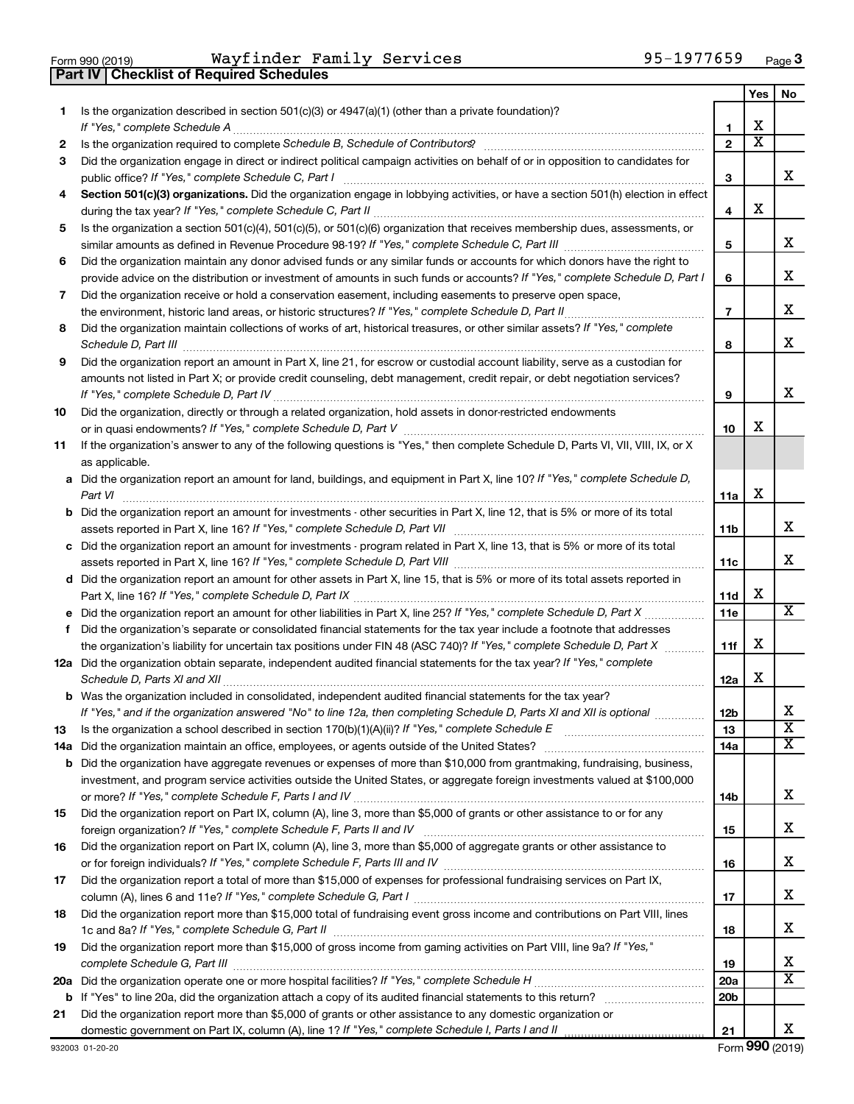| Form 990 (2019) |  |  |
|-----------------|--|--|

**Part IV Checklist of Required Schedules**

Form 990 (2019) WayIinder Family Services 95-1977659 Page Wayfinder Family Services 95-1977659

|    |                                                                                                                                                                 |                        | Yes                     | No.                     |
|----|-----------------------------------------------------------------------------------------------------------------------------------------------------------------|------------------------|-------------------------|-------------------------|
| 1. | Is the organization described in section $501(c)(3)$ or $4947(a)(1)$ (other than a private foundation)?<br>If "Yes," complete Schedule A                        | 1                      | х                       |                         |
| 2  | Is the organization required to complete Schedule B, Schedule of Contributors? [11] The organization required to complete Schedule B, Schedule of Contributors? | $\mathbf{2}$           | $\overline{\textbf{x}}$ |                         |
| 3  | Did the organization engage in direct or indirect political campaign activities on behalf of or in opposition to candidates for                                 |                        |                         |                         |
|    | public office? If "Yes," complete Schedule C, Part I                                                                                                            | З                      |                         | х                       |
| 4  | Section 501(c)(3) organizations. Did the organization engage in lobbying activities, or have a section 501(h) election in effect                                | 4                      | х                       |                         |
| 5  | Is the organization a section 501(c)(4), 501(c)(5), or 501(c)(6) organization that receives membership dues, assessments, or                                    |                        |                         |                         |
|    |                                                                                                                                                                 | 5                      |                         | х                       |
| 6  | Did the organization maintain any donor advised funds or any similar funds or accounts for which donors have the right to                                       |                        |                         |                         |
|    | provide advice on the distribution or investment of amounts in such funds or accounts? If "Yes," complete Schedule D, Part I                                    | 6                      |                         | х                       |
| 7  | Did the organization receive or hold a conservation easement, including easements to preserve open space,                                                       |                        |                         | х                       |
|    |                                                                                                                                                                 | $\overline{7}$         |                         |                         |
| 8  | Did the organization maintain collections of works of art, historical treasures, or other similar assets? If "Yes," complete                                    | 8                      |                         | х                       |
| 9  | Did the organization report an amount in Part X, line 21, for escrow or custodial account liability, serve as a custodian for                                   |                        |                         |                         |
|    | amounts not listed in Part X; or provide credit counseling, debt management, credit repair, or debt negotiation services?                                       | 9                      |                         | х                       |
| 10 | Did the organization, directly or through a related organization, hold assets in donor-restricted endowments                                                    |                        |                         |                         |
|    |                                                                                                                                                                 | 10                     | х                       |                         |
| 11 | If the organization's answer to any of the following questions is "Yes," then complete Schedule D, Parts VI, VII, VIII, IX, or X<br>as applicable.              |                        |                         |                         |
|    | a Did the organization report an amount for land, buildings, and equipment in Part X, line 10? If "Yes," complete Schedule D,                                   |                        |                         |                         |
|    | Part VI                                                                                                                                                         | 11a                    | х                       |                         |
|    | <b>b</b> Did the organization report an amount for investments - other securities in Part X, line 12, that is 5% or more of its total                           | 11b                    |                         | х                       |
|    | c Did the organization report an amount for investments - program related in Part X, line 13, that is 5% or more of its total                                   |                        |                         |                         |
|    |                                                                                                                                                                 | 11c                    |                         | х                       |
|    | d Did the organization report an amount for other assets in Part X, line 15, that is 5% or more of its total assets reported in                                 |                        |                         |                         |
|    |                                                                                                                                                                 | 11d                    | х                       |                         |
|    |                                                                                                                                                                 | 11e                    |                         | х                       |
| f  | Did the organization's separate or consolidated financial statements for the tax year include a footnote that addresses                                         |                        |                         |                         |
|    | the organization's liability for uncertain tax positions under FIN 48 (ASC 740)? If "Yes," complete Schedule D, Part X                                          | 11f                    | х                       |                         |
|    | 12a Did the organization obtain separate, independent audited financial statements for the tax year? If "Yes," complete                                         | 12a                    | х                       |                         |
|    | <b>b</b> Was the organization included in consolidated, independent audited financial statements for the tax year?                                              |                        |                         |                         |
|    | If "Yes," and if the organization answered "No" to line 12a, then completing Schedule D, Parts XI and XII is optional                                           | 12 <sub>b</sub>        |                         | х                       |
| 13 |                                                                                                                                                                 | 13                     |                         | $\overline{\textbf{x}}$ |
|    |                                                                                                                                                                 | 14a                    |                         | х                       |
|    | <b>b</b> Did the organization have aggregate revenues or expenses of more than \$10,000 from grantmaking, fundraising, business,                                |                        |                         |                         |
|    | investment, and program service activities outside the United States, or aggregate foreign investments valued at \$100,000                                      |                        |                         |                         |
|    |                                                                                                                                                                 | 14b                    |                         | х                       |
| 15 | Did the organization report on Part IX, column (A), line 3, more than \$5,000 of grants or other assistance to or for any                                       | 15                     |                         | x                       |
| 16 | Did the organization report on Part IX, column (A), line 3, more than \$5,000 of aggregate grants or other assistance to                                        |                        |                         |                         |
|    |                                                                                                                                                                 | 16                     |                         | х                       |
| 17 | Did the organization report a total of more than \$15,000 of expenses for professional fundraising services on Part IX,                                         |                        |                         |                         |
|    |                                                                                                                                                                 | 17                     |                         | х                       |
| 18 | Did the organization report more than \$15,000 total of fundraising event gross income and contributions on Part VIII, lines                                    |                        |                         |                         |
|    |                                                                                                                                                                 | 18                     |                         | x                       |
| 19 | Did the organization report more than \$15,000 of gross income from gaming activities on Part VIII, line 9a? If "Yes,"                                          |                        |                         | x                       |
|    |                                                                                                                                                                 | 19                     |                         | X                       |
|    |                                                                                                                                                                 | 20a<br>20 <sub>b</sub> |                         |                         |
|    | Did the organization report more than \$5,000 of grants or other assistance to any domestic organization or                                                     |                        |                         |                         |
| 21 |                                                                                                                                                                 | 21                     |                         | x                       |
|    |                                                                                                                                                                 |                        |                         |                         |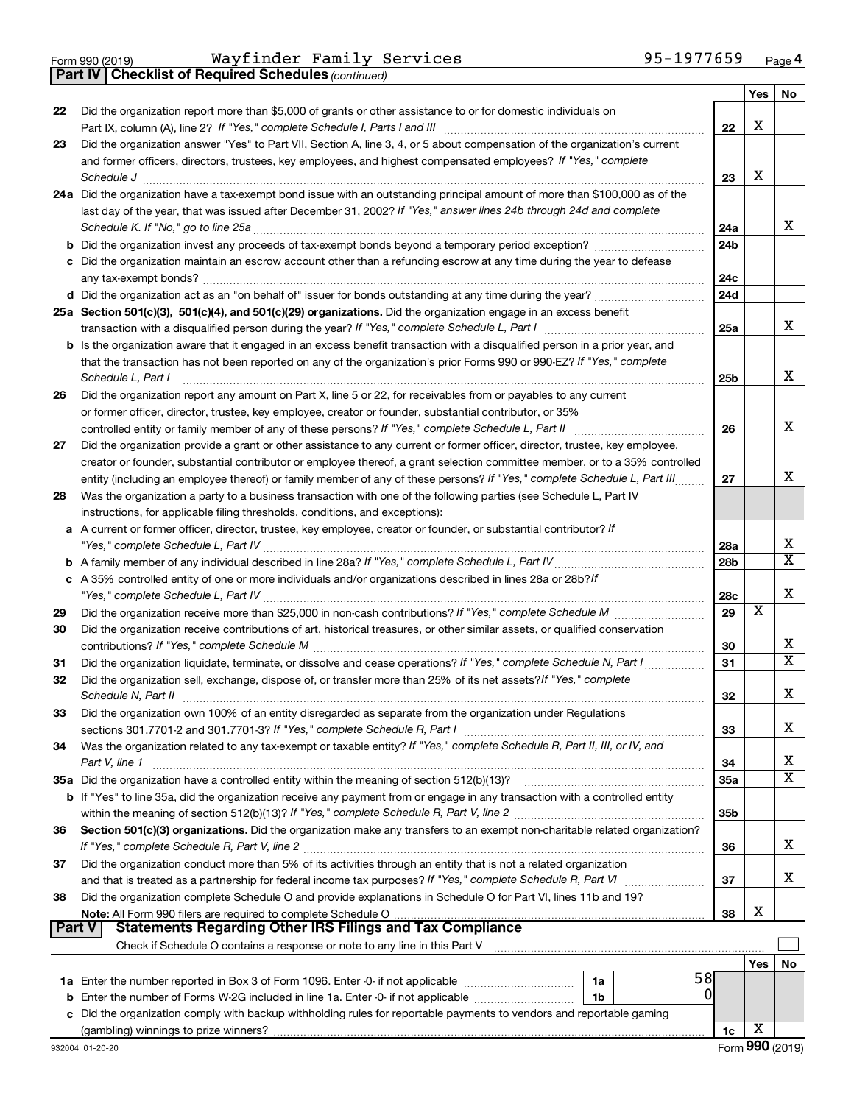**Part IV Checklist of Required Schedules**

*(continued)*

|               |                                                                                                                                                                                                    |                 | Yes | No.                     |
|---------------|----------------------------------------------------------------------------------------------------------------------------------------------------------------------------------------------------|-----------------|-----|-------------------------|
| 22            | Did the organization report more than \$5,000 of grants or other assistance to or for domestic individuals on                                                                                      |                 |     |                         |
|               |                                                                                                                                                                                                    | 22              | X   |                         |
| 23            | Did the organization answer "Yes" to Part VII, Section A, line 3, 4, or 5 about compensation of the organization's current                                                                         |                 |     |                         |
|               | and former officers, directors, trustees, key employees, and highest compensated employees? If "Yes," complete                                                                                     |                 |     |                         |
|               | Schedule J                                                                                                                                                                                         | 23              | X   |                         |
|               | 24a Did the organization have a tax-exempt bond issue with an outstanding principal amount of more than \$100,000 as of the                                                                        |                 |     |                         |
|               | last day of the year, that was issued after December 31, 2002? If "Yes," answer lines 24b through 24d and complete                                                                                 |                 |     |                         |
|               |                                                                                                                                                                                                    | 24a             |     | х                       |
|               |                                                                                                                                                                                                    | 24 <sub>b</sub> |     |                         |
|               | c Did the organization maintain an escrow account other than a refunding escrow at any time during the year to defease                                                                             |                 |     |                         |
|               |                                                                                                                                                                                                    | 24c             |     |                         |
|               |                                                                                                                                                                                                    | 24d             |     |                         |
|               | 25a Section 501(c)(3), 501(c)(4), and 501(c)(29) organizations. Did the organization engage in an excess benefit                                                                                   |                 |     |                         |
|               |                                                                                                                                                                                                    | 25a             |     | х                       |
|               | b Is the organization aware that it engaged in an excess benefit transaction with a disqualified person in a prior year, and                                                                       |                 |     |                         |
|               | that the transaction has not been reported on any of the organization's prior Forms 990 or 990-EZ? If "Yes," complete                                                                              |                 |     |                         |
|               | Schedule L, Part I                                                                                                                                                                                 | 25b             |     | X                       |
| 26            | Did the organization report any amount on Part X, line 5 or 22, for receivables from or payables to any current                                                                                    |                 |     |                         |
|               | or former officer, director, trustee, key employee, creator or founder, substantial contributor, or 35%                                                                                            |                 |     | х                       |
|               |                                                                                                                                                                                                    | 26              |     |                         |
| 27            | Did the organization provide a grant or other assistance to any current or former officer, director, trustee, key employee,                                                                        |                 |     |                         |
|               | creator or founder, substantial contributor or employee thereof, a grant selection committee member, or to a 35% controlled                                                                        |                 |     | х                       |
|               | entity (including an employee thereof) or family member of any of these persons? If "Yes," complete Schedule L, Part III                                                                           | 27              |     |                         |
| 28            | Was the organization a party to a business transaction with one of the following parties (see Schedule L, Part IV                                                                                  |                 |     |                         |
|               | instructions, for applicable filing thresholds, conditions, and exceptions):<br>a A current or former officer, director, trustee, key employee, creator or founder, or substantial contributor? If |                 |     |                         |
|               |                                                                                                                                                                                                    | 28a             |     | х                       |
|               |                                                                                                                                                                                                    | 28b             |     | $\overline{\textbf{X}}$ |
|               | c A 35% controlled entity of one or more individuals and/or organizations described in lines 28a or 28b?If                                                                                         |                 |     |                         |
|               |                                                                                                                                                                                                    | 28c             |     | х                       |
| 29            |                                                                                                                                                                                                    | 29              | х   |                         |
| 30            | Did the organization receive contributions of art, historical treasures, or other similar assets, or qualified conservation                                                                        |                 |     |                         |
|               |                                                                                                                                                                                                    | 30              |     | х                       |
| 31            |                                                                                                                                                                                                    | 31              |     | х                       |
| 32            | Did the organization sell, exchange, dispose of, or transfer more than 25% of its net assets? If "Yes," complete                                                                                   |                 |     |                         |
|               | Schedule N, Part II                                                                                                                                                                                | 32              |     | Х                       |
| 33            | Did the organization own 100% of an entity disregarded as separate from the organization under Regulations                                                                                         |                 |     |                         |
|               |                                                                                                                                                                                                    | 33              |     | х                       |
| 34            | Was the organization related to any tax-exempt or taxable entity? If "Yes," complete Schedule R, Part II, III, or IV, and                                                                          |                 |     |                         |
|               | Part V, line 1                                                                                                                                                                                     | 34              |     | х                       |
|               |                                                                                                                                                                                                    | <b>35a</b>      |     | х                       |
|               | <b>b</b> If "Yes" to line 35a, did the organization receive any payment from or engage in any transaction with a controlled entity                                                                 |                 |     |                         |
|               |                                                                                                                                                                                                    | 35b             |     |                         |
| 36            | Section 501(c)(3) organizations. Did the organization make any transfers to an exempt non-charitable related organization?                                                                         |                 |     |                         |
|               |                                                                                                                                                                                                    | 36              |     | х                       |
| 37            | Did the organization conduct more than 5% of its activities through an entity that is not a related organization                                                                                   |                 |     |                         |
|               |                                                                                                                                                                                                    | 37              |     | х                       |
| 38            | Did the organization complete Schedule O and provide explanations in Schedule O for Part VI, lines 11b and 19?                                                                                     |                 |     |                         |
|               |                                                                                                                                                                                                    | 38              | х   |                         |
| <b>Part V</b> | <b>Statements Regarding Other IRS Filings and Tax Compliance</b>                                                                                                                                   |                 |     |                         |
|               |                                                                                                                                                                                                    |                 |     |                         |
|               |                                                                                                                                                                                                    |                 | Yes | No                      |
|               | 58<br>1a                                                                                                                                                                                           |                 |     |                         |
|               | 0<br>1b                                                                                                                                                                                            |                 |     |                         |
|               | c Did the organization comply with backup withholding rules for reportable payments to vendors and reportable gaming                                                                               |                 |     |                         |
|               |                                                                                                                                                                                                    | 1c              | х   |                         |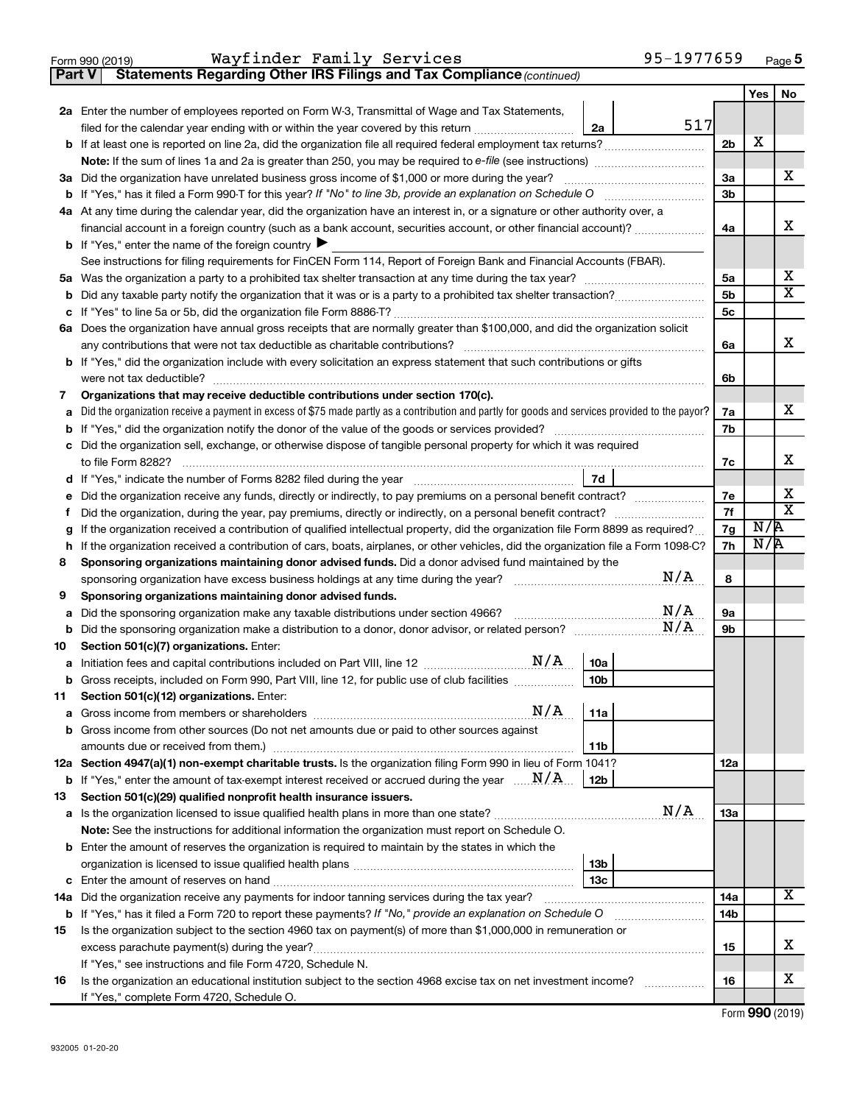| Form 990 (2019) | Wayfinder Family Services | 95-1977659<br>Page |
|-----------------|---------------------------|--------------------|

**Part V Statements Regarding Other IRS Filings and Tax Compliance**

*(continued)*

|    |                                                                                                                                                                                                               |                      | Yes | No |  |  |
|----|---------------------------------------------------------------------------------------------------------------------------------------------------------------------------------------------------------------|----------------------|-----|----|--|--|
|    | 2a Enter the number of employees reported on Form W-3, Transmittal of Wage and Tax Statements,                                                                                                                |                      |     |    |  |  |
|    | 517<br>filed for the calendar year ending with or within the year covered by this return <i>manumumumum</i><br>2a                                                                                             |                      |     |    |  |  |
|    |                                                                                                                                                                                                               | 2 <sub>b</sub>       | X   |    |  |  |
|    |                                                                                                                                                                                                               |                      |     |    |  |  |
|    | 3a Did the organization have unrelated business gross income of \$1,000 or more during the year?                                                                                                              | 3a<br>3b             |     | х  |  |  |
|    |                                                                                                                                                                                                               |                      |     |    |  |  |
|    | 4a At any time during the calendar year, did the organization have an interest in, or a signature or other authority over, a                                                                                  |                      |     |    |  |  |
|    | financial account in a foreign country (such as a bank account, securities account, or other financial account)?                                                                                              | 4a                   |     | х  |  |  |
|    | <b>b</b> If "Yes," enter the name of the foreign country $\blacktriangleright$                                                                                                                                |                      |     |    |  |  |
|    | See instructions for filing requirements for FinCEN Form 114, Report of Foreign Bank and Financial Accounts (FBAR).                                                                                           |                      |     | х  |  |  |
| 5а |                                                                                                                                                                                                               | 5a                   |     | x  |  |  |
| b  |                                                                                                                                                                                                               | 5 <sub>b</sub><br>5c |     |    |  |  |
|    |                                                                                                                                                                                                               |                      |     |    |  |  |
|    | 6a Does the organization have annual gross receipts that are normally greater than \$100,000, and did the organization solicit<br>any contributions that were not tax deductible as charitable contributions? | 6а                   |     | х  |  |  |
|    | b If "Yes," did the organization include with every solicitation an express statement that such contributions or gifts                                                                                        |                      |     |    |  |  |
|    | were not tax deductible?                                                                                                                                                                                      | 6b                   |     |    |  |  |
| 7  | Organizations that may receive deductible contributions under section 170(c).                                                                                                                                 |                      |     |    |  |  |
|    | Did the organization receive a payment in excess of \$75 made partly as a contribution and partly for goods and services provided to the payor?                                                               | 7а                   |     | x  |  |  |
|    |                                                                                                                                                                                                               | 7b                   |     |    |  |  |
|    | Did the organization sell, exchange, or otherwise dispose of tangible personal property for which it was required                                                                                             |                      |     |    |  |  |
|    |                                                                                                                                                                                                               | 7c                   |     | x  |  |  |
|    | 7d<br>If "Yes," indicate the number of Forms 8282 filed during the year <i>manual contention</i> contents the number of Forms 8282 filed during the year                                                      |                      |     |    |  |  |
|    | Did the organization receive any funds, directly or indirectly, to pay premiums on a personal benefit contract?                                                                                               | 7е                   |     | х  |  |  |
| Ť  | Did the organization, during the year, pay premiums, directly or indirectly, on a personal benefit contract?                                                                                                  | 7f                   |     | X  |  |  |
|    | If the organization received a contribution of qualified intellectual property, did the organization file Form 8899 as required?                                                                              | 7g                   | N/R |    |  |  |
| h  | If the organization received a contribution of cars, boats, airplanes, or other vehicles, did the organization file a Form 1098-C?                                                                            | 7h                   | N/R |    |  |  |
| 8  | Sponsoring organizations maintaining donor advised funds. Did a donor advised fund maintained by the                                                                                                          |                      |     |    |  |  |
|    | N/A<br>sponsoring organization have excess business holdings at any time during the year?                                                                                                                     | 8                    |     |    |  |  |
| 9  | Sponsoring organizations maintaining donor advised funds.                                                                                                                                                     |                      |     |    |  |  |
| а  | N/A<br>Did the sponsoring organization make any taxable distributions under section 4966?                                                                                                                     | 9а                   |     |    |  |  |
| b  | N/A                                                                                                                                                                                                           | 9b                   |     |    |  |  |
| 10 | Section 501(c)(7) organizations. Enter:                                                                                                                                                                       |                      |     |    |  |  |
| а  | 10a                                                                                                                                                                                                           |                      |     |    |  |  |
| b  | 10 <sub>b</sub><br>Gross receipts, included on Form 990, Part VIII, line 12, for public use of club facilities                                                                                                |                      |     |    |  |  |
| 11 | Section 501(c)(12) organizations. Enter:                                                                                                                                                                      |                      |     |    |  |  |
|    |                                                                                                                                                                                                               |                      |     |    |  |  |
|    | b Gross income from other sources (Do not net amounts due or paid to other sources against<br>11 <sub>b</sub>                                                                                                 |                      |     |    |  |  |
|    | 12a Section 4947(a)(1) non-exempt charitable trusts. Is the organization filing Form 990 in lieu of Form 1041?                                                                                                | 12a                  |     |    |  |  |
|    | <b>b</b> If "Yes," enter the amount of tax-exempt interest received or accrued during the year $\ldots$ $\mathbf{N}/\mathbf{A}$ .<br>12b                                                                      |                      |     |    |  |  |
| 13 | Section 501(c)(29) qualified nonprofit health insurance issuers.                                                                                                                                              |                      |     |    |  |  |
|    | N/A                                                                                                                                                                                                           | 13a                  |     |    |  |  |
|    | Note: See the instructions for additional information the organization must report on Schedule O.                                                                                                             |                      |     |    |  |  |
|    | <b>b</b> Enter the amount of reserves the organization is required to maintain by the states in which the                                                                                                     |                      |     |    |  |  |
|    | 13 <sub>b</sub>                                                                                                                                                                                               |                      |     |    |  |  |
|    | 13 <sub>c</sub>                                                                                                                                                                                               |                      |     |    |  |  |
|    | 14a Did the organization receive any payments for indoor tanning services during the tax year?                                                                                                                | 14a                  |     | x  |  |  |
|    | <b>b</b> If "Yes," has it filed a Form 720 to report these payments? If "No," provide an explanation on Schedule O                                                                                            | 14b                  |     |    |  |  |
| 15 | Is the organization subject to the section 4960 tax on payment(s) of more than \$1,000,000 in remuneration or                                                                                                 |                      |     |    |  |  |
|    |                                                                                                                                                                                                               | 15                   |     | х  |  |  |
|    | If "Yes," see instructions and file Form 4720, Schedule N.                                                                                                                                                    |                      |     |    |  |  |
| 16 | Is the organization an educational institution subject to the section 4968 excise tax on net investment income?                                                                                               | 16                   |     | х  |  |  |
|    | If "Yes," complete Form 4720, Schedule O.                                                                                                                                                                     |                      |     |    |  |  |

Form (2019) **990**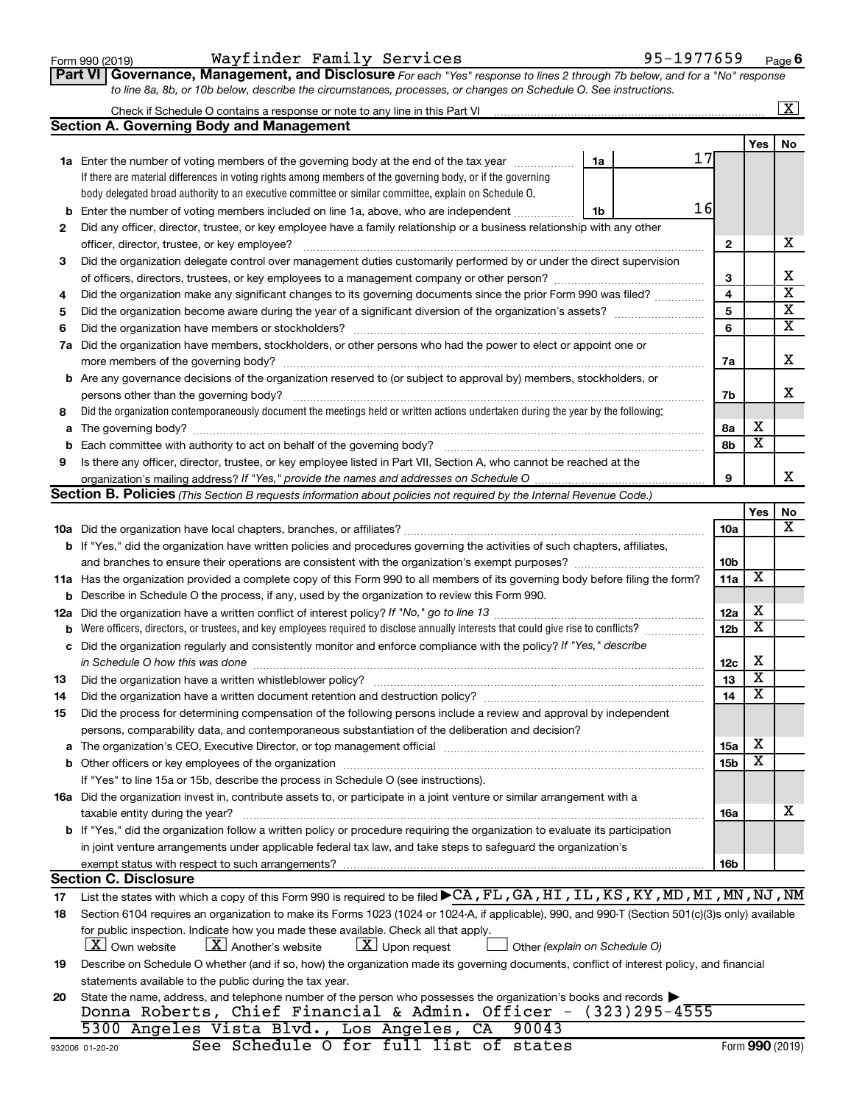| Form 990 (2019) |  |
|-----------------|--|
|-----------------|--|

#### Form 990 (2019) Wayfinder Family Services 95-1977659 <sub>Page</sub>

**Part VI** Governance, Management, and Disclosure For each "Yes" response to lines 2 through 7b below, and for a "No" response *to line 8a, 8b, or 10b below, describe the circumstances, processes, or changes on Schedule O. See instructions.*

|     |                                                                                                                                                                                                     |                 |                         | $\overline{\text{X}}$   |
|-----|-----------------------------------------------------------------------------------------------------------------------------------------------------------------------------------------------------|-----------------|-------------------------|-------------------------|
|     | <b>Section A. Governing Body and Management</b>                                                                                                                                                     |                 |                         |                         |
|     |                                                                                                                                                                                                     |                 | Yes                     | No                      |
|     | 17<br><b>1a</b> Enter the number of voting members of the governing body at the end of the tax year<br>1a                                                                                           |                 |                         |                         |
|     | If there are material differences in voting rights among members of the governing body, or if the governing                                                                                         |                 |                         |                         |
|     | body delegated broad authority to an executive committee or similar committee, explain on Schedule O.                                                                                               |                 |                         |                         |
| b   | 16<br>Enter the number of voting members included on line 1a, above, who are independent<br>1b                                                                                                      |                 |                         |                         |
| 2   | Did any officer, director, trustee, or key employee have a family relationship or a business relationship with any other                                                                            |                 |                         |                         |
|     | officer, director, trustee, or key employee?                                                                                                                                                        | $\mathbf{2}$    |                         | х                       |
| 3   | Did the organization delegate control over management duties customarily performed by or under the direct supervision                                                                               |                 |                         |                         |
|     |                                                                                                                                                                                                     | 3               |                         | х                       |
| 4   | Did the organization make any significant changes to its governing documents since the prior Form 990 was filed?                                                                                    | 4               |                         | $\overline{\mathbf{x}}$ |
| 5   |                                                                                                                                                                                                     | 5               |                         | $\overline{\mathbf{x}}$ |
| 6   |                                                                                                                                                                                                     | 6               |                         | $\overline{\mathbf{x}}$ |
| 7a  | Did the organization have members, stockholders, or other persons who had the power to elect or appoint one or                                                                                      |                 |                         |                         |
|     | more members of the governing body?                                                                                                                                                                 | 7a              |                         | х                       |
|     | <b>b</b> Are any governance decisions of the organization reserved to (or subject to approval by) members, stockholders, or                                                                         |                 |                         |                         |
|     | persons other than the governing body?                                                                                                                                                              | 7b              |                         | x                       |
| 8   | Did the organization contemporaneously document the meetings held or written actions undertaken during the year by the following:                                                                   |                 |                         |                         |
| a   |                                                                                                                                                                                                     | 8а              | х                       |                         |
| b   | Each committee with authority to act on behalf of the governing body?                                                                                                                               | 8b              | $\overline{\mathbf{x}}$ |                         |
| 9   | Is there any officer, director, trustee, or key employee listed in Part VII, Section A, who cannot be reached at the                                                                                |                 |                         |                         |
|     |                                                                                                                                                                                                     | 9               |                         | x                       |
|     | Section B. Policies (This Section B requests information about policies not required by the Internal Revenue Code.)                                                                                 |                 |                         |                         |
|     |                                                                                                                                                                                                     |                 | Yes                     | No                      |
|     |                                                                                                                                                                                                     | 10a             |                         | х                       |
|     | <b>b</b> If "Yes," did the organization have written policies and procedures governing the activities of such chapters, affiliates,                                                                 |                 |                         |                         |
|     |                                                                                                                                                                                                     | 10 <sub>b</sub> |                         |                         |
|     | 11a Has the organization provided a complete copy of this Form 990 to all members of its governing body before filing the form?                                                                     | 11a             | X                       |                         |
| b   | Describe in Schedule O the process, if any, used by the organization to review this Form 990.                                                                                                       |                 |                         |                         |
| 12a | Did the organization have a written conflict of interest policy? If "No," go to line 13                                                                                                             | 12a             | х                       |                         |
| b   | Were officers, directors, or trustees, and key employees required to disclose annually interests that could give rise to conflicts?                                                                 | 12 <sub>b</sub> | $\overline{\textbf{x}}$ |                         |
| с   | Did the organization regularly and consistently monitor and enforce compliance with the policy? If "Yes," describe                                                                                  |                 |                         |                         |
|     | in Schedule O how this was done                                                                                                                                                                     | 12c             | х                       |                         |
| 13  | Did the organization have a written whistleblower policy?                                                                                                                                           | 13              | $\overline{\textbf{x}}$ |                         |
| 14  |                                                                                                                                                                                                     | 14              | $\overline{\mathbf{X}}$ |                         |
| 15  | Did the process for determining compensation of the following persons include a review and approval by independent                                                                                  |                 |                         |                         |
|     | persons, comparability data, and contemporaneous substantiation of the deliberation and decision?                                                                                                   |                 |                         |                         |
| а   | The organization's CEO, Executive Director, or top management official                                                                                                                              | <b>15a</b>      | х                       |                         |
|     |                                                                                                                                                                                                     | 15b             | х                       |                         |
|     | If "Yes" to line 15a or 15b, describe the process in Schedule O (see instructions).                                                                                                                 |                 |                         |                         |
|     | 16a Did the organization invest in, contribute assets to, or participate in a joint venture or similar arrangement with a                                                                           |                 |                         |                         |
|     | taxable entity during the year?                                                                                                                                                                     | 16a             |                         | x                       |
|     | b If "Yes," did the organization follow a written policy or procedure requiring the organization to evaluate its participation                                                                      |                 |                         |                         |
|     | in joint venture arrangements under applicable federal tax law, and take steps to safeguard the organization's                                                                                      |                 |                         |                         |
|     | exempt status with respect to such arrangements?                                                                                                                                                    | 16b             |                         |                         |
|     | <b>Section C. Disclosure</b><br>List the states with which a copy of this Form 990 is required to be filed CA, FL, GA, HI, IL, KS, KY, MD, MI, MJ, NJ, NM                                           |                 |                         |                         |
| 17  |                                                                                                                                                                                                     |                 |                         |                         |
| 18  | Section 6104 requires an organization to make its Forms 1023 (1024 or 1024-A, if applicable), 990, and 990-T (Section 501(c)(3)s only) available                                                    |                 |                         |                         |
|     | for public inspection. Indicate how you made these available. Check all that apply.<br>$\lfloor x \rfloor$ Upon request<br>$\lfloor X \rfloor$ Own website<br>$\lfloor X \rfloor$ Another's website |                 |                         |                         |
|     | Other (explain on Schedule O)<br>Describe on Schedule O whether (and if so, how) the organization made its governing documents, conflict of interest policy, and financial                          |                 |                         |                         |
| 19  |                                                                                                                                                                                                     |                 |                         |                         |
|     | statements available to the public during the tax year.<br>State the name, address, and telephone number of the person who possesses the organization's books and records                           |                 |                         |                         |
| 20  | Donna Roberts, Chief Financial & Admin. Officer - (323)295-4555                                                                                                                                     |                 |                         |                         |
|     | 5300 Angeles Vista Blvd., Los Angeles, CA<br>90043                                                                                                                                                  |                 |                         |                         |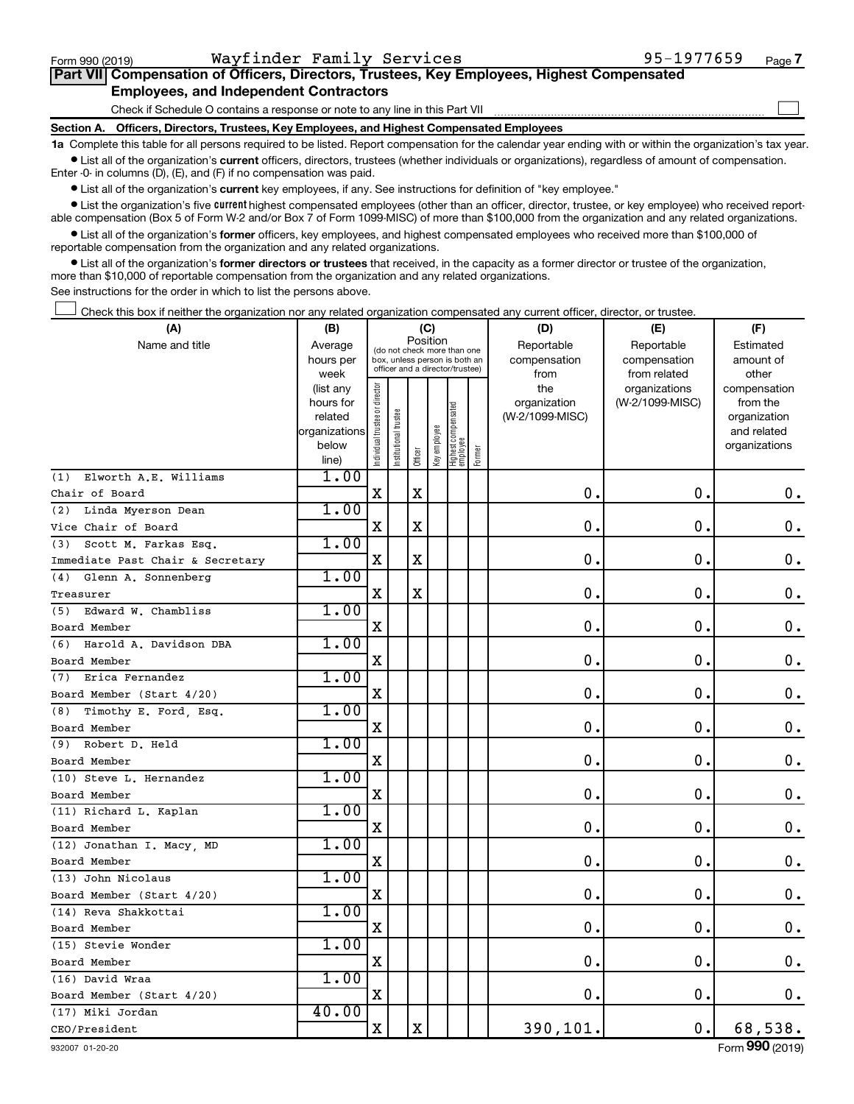$\Box$ 

| Part VII Compensation of Officers, Directors, Trustees, Key Employees, Highest Compensated |  |  |  |  |
|--------------------------------------------------------------------------------------------|--|--|--|--|
| <b>Employees, and Independent Contractors</b>                                              |  |  |  |  |

Check if Schedule O contains a response or note to any line in this Part VII

**Section A. Officers, Directors, Trustees, Key Employees, and Highest Compensated Employees**

**1a**  Complete this table for all persons required to be listed. Report compensation for the calendar year ending with or within the organization's tax year.  $\bullet$  List all of the organization's current officers, directors, trustees (whether individuals or organizations), regardless of amount of compensation.

Enter -0- in columns (D), (E), and (F) if no compensation was paid.

**•** List all of the organization's current key employees, if any. See instructions for definition of "key employee."

• List the organization's five *current* highest compensated employees (other than an officer, director, trustee, or key employee) who received reportable compensation (Box 5 of Form W-2 and/or Box 7 of Form 1099-MISC) of more than \$100,000 from the organization and any related organizations.

 $\bullet$  List all of the organization's former officers, key employees, and highest compensated employees who received more than \$100,000 of reportable compensation from the organization and any related organizations.

**•** List all of the organization's former directors or trustees that received, in the capacity as a former director or trustee of the organization, more than \$10,000 of reportable compensation from the organization and any related organizations.

See instructions for the order in which to list the persons above.

Check this box if neither the organization nor any related organization compensated any current officer, director, or trustee.  $\Box$ 

| (A)                              | (B)               |                                |                                                                  | (C)         |              |                                   |        | (D)             | (E)                           | (F)                   |
|----------------------------------|-------------------|--------------------------------|------------------------------------------------------------------|-------------|--------------|-----------------------------------|--------|-----------------|-------------------------------|-----------------------|
| Name and title                   | Average           |                                | (do not check more than one                                      | Position    |              |                                   |        | Reportable      | Reportable                    | Estimated             |
|                                  | hours per         |                                | box, unless person is both an<br>officer and a director/trustee) |             |              |                                   |        | compensation    | compensation                  | amount of             |
|                                  | week<br>(list any |                                |                                                                  |             |              |                                   |        | from<br>the     | from related<br>organizations | other<br>compensation |
|                                  | hours for         |                                |                                                                  |             |              |                                   |        | organization    | (W-2/1099-MISC)               | from the              |
|                                  | related           |                                | trustee                                                          |             |              |                                   |        | (W-2/1099-MISC) |                               | organization          |
|                                  | organizations     |                                |                                                                  |             |              |                                   |        |                 |                               | and related           |
|                                  | below             | Individual trustee or director | Institutional t                                                  |             | Key employee | Highest compensated<br>  employee |        |                 |                               | organizations         |
|                                  | line)             |                                |                                                                  | Officer     |              |                                   | Former |                 |                               |                       |
| Elworth A.E. Williams<br>(1)     | 1.00              |                                |                                                                  |             |              |                                   |        |                 |                               |                       |
| Chair of Board                   |                   | $\mathbf X$                    |                                                                  | $\mathbf X$ |              |                                   |        | $\mathbf 0$ .   | $\mathbf 0$ .                 | 0.                    |
| (2) Linda Myerson Dean           | 1.00              |                                |                                                                  |             |              |                                   |        |                 |                               |                       |
| Vice Chair of Board              |                   | $\mathbf X$                    |                                                                  | X           |              |                                   |        | $\mathbf 0$     | $\mathbf 0$ .                 | $0$ .                 |
| (3)<br>Scott M. Farkas Esq.      | 1.00              |                                |                                                                  |             |              |                                   |        |                 |                               |                       |
| Immediate Past Chair & Secretary |                   | X                              |                                                                  | X           |              |                                   |        | $\mathbf 0$     | 0.                            | 0.                    |
| Glenn A. Sonnenberg<br>(4)       | 1.00              |                                |                                                                  |             |              |                                   |        |                 |                               |                       |
| Treasurer                        |                   | $\mathbf X$                    |                                                                  | $\mathbf X$ |              |                                   |        | 0.              | $\mathbf 0$ .                 | $\mathbf 0$ .         |
| Edward W. Chambliss<br>(5)       | 1.00              |                                |                                                                  |             |              |                                   |        |                 |                               |                       |
| Board Member                     |                   | X                              |                                                                  |             |              |                                   |        | $\mathbf 0$ .   | $\mathbf 0$ .                 | $\mathbf 0$ .         |
| Harold A. Davidson DBA<br>(6)    | 1.00              |                                |                                                                  |             |              |                                   |        |                 |                               |                       |
| Board Member                     |                   | X                              |                                                                  |             |              |                                   |        | $\mathbf 0$     | $\mathbf 0$                   | $0$ .                 |
| Erica Fernandez<br>(7)           | 1.00              |                                |                                                                  |             |              |                                   |        |                 |                               |                       |
| Board Member (Start 4/20)        |                   | X                              |                                                                  |             |              |                                   |        | $\mathbf 0$ .   | $\mathbf 0$ .                 | $\mathbf 0$ .         |
| Timothy E. Ford, Esq.<br>(8)     | 1.00              |                                |                                                                  |             |              |                                   |        |                 |                               |                       |
| Board Member                     |                   | X                              |                                                                  |             |              |                                   |        | 0.              | $\mathbf 0$                   | $\mathbf 0$ .         |
| (9) Robert D. Held               | 1.00              |                                |                                                                  |             |              |                                   |        |                 |                               |                       |
| Board Member                     |                   | X                              |                                                                  |             |              |                                   |        | $\mathbf 0$ .   | $\mathbf 0$                   | 0.                    |
| (10) Steve L. Hernandez          | 1.00              |                                |                                                                  |             |              |                                   |        |                 |                               |                       |
| Board Member                     |                   | X                              |                                                                  |             |              |                                   |        | $\mathbf 0$ .   | $\mathbf 0$ .                 | $\mathbf 0$ .         |
| (11) Richard L. Kaplan           | 1.00              |                                |                                                                  |             |              |                                   |        |                 |                               |                       |
| Board Member                     |                   | X                              |                                                                  |             |              |                                   |        | 0.              | $\mathbf 0$ .                 | 0.                    |
| (12) Jonathan I. Macy, MD        | 1.00              |                                |                                                                  |             |              |                                   |        |                 |                               |                       |
| Board Member                     |                   | X                              |                                                                  |             |              |                                   |        | 0.              | $\mathbf 0$ .                 | $\mathbf 0$ .         |
| (13) John Nicolaus               | 1.00              |                                |                                                                  |             |              |                                   |        |                 |                               |                       |
| Board Member (Start 4/20)        |                   | X                              |                                                                  |             |              |                                   |        | $\mathbf 0$ .   | $\mathbf 0$ .                 | $\mathbf 0$ .         |
| (14) Reva Shakkottai             | 1.00              |                                |                                                                  |             |              |                                   |        |                 |                               |                       |
| Board Member                     |                   | X                              |                                                                  |             |              |                                   |        | $\mathbf{0}$ .  | $\mathbf 0$ .                 | $0$ .                 |
| (15) Stevie Wonder               | 1.00              |                                |                                                                  |             |              |                                   |        |                 |                               |                       |
| Board Member                     |                   | X                              |                                                                  |             |              |                                   |        | 0.              | $\mathbf 0$ .                 | 0.                    |
| (16) David Wraa                  | 1.00              |                                |                                                                  |             |              |                                   |        |                 |                               |                       |
| Board Member (Start 4/20)        |                   | X                              |                                                                  |             |              |                                   |        | 0.              | $\mathbf 0$ .                 | $\mathbf 0$ .         |
| (17) Miki Jordan                 | 40.00             |                                |                                                                  |             |              |                                   |        |                 |                               |                       |
| CEO/President                    |                   | $\mathbf X$                    |                                                                  | X           |              |                                   |        | 390,101.        | $\mathbf 0$ .                 | 68,538.               |
|                                  |                   |                                |                                                                  |             |              |                                   |        |                 |                               |                       |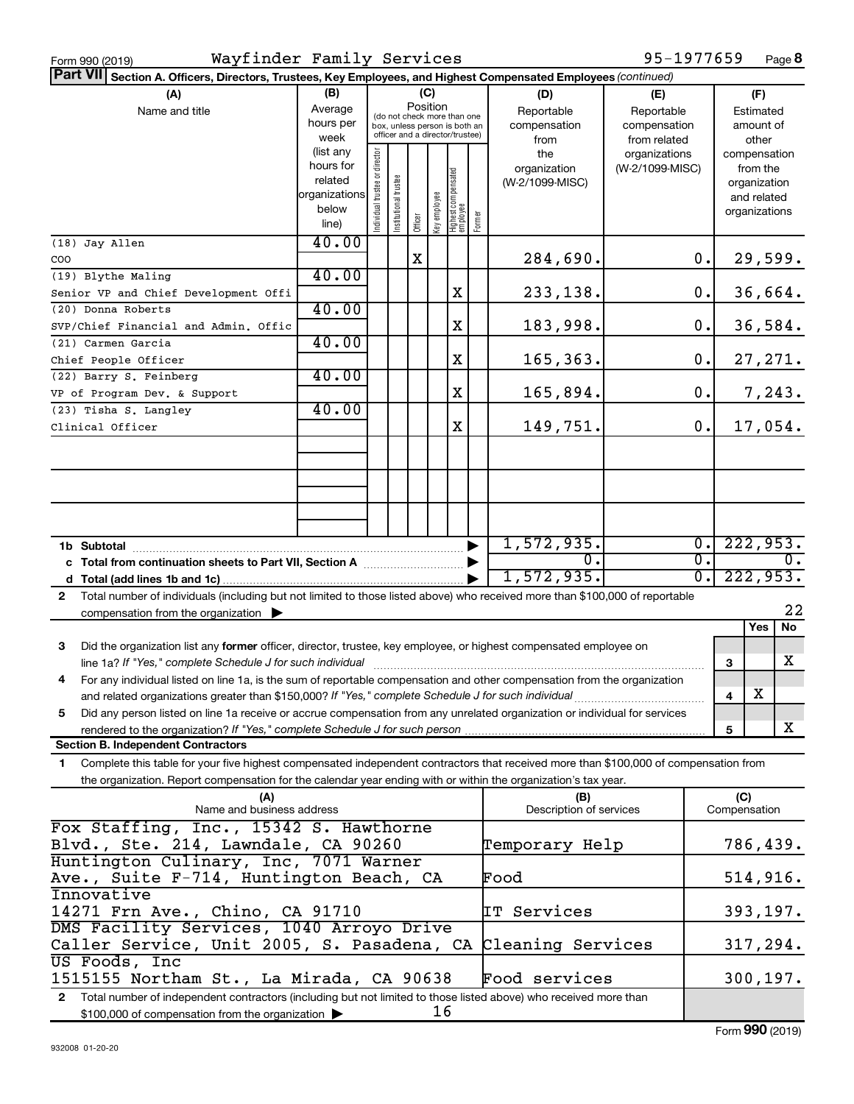| Section A. Officers, Directors, Trustees, Key Employees, and Highest Compensated Employees (continued)<br>(B)<br>(C)<br>(A)<br>(D)<br>(F)<br>(E)<br>Position<br>Average<br>Name and title<br>Reportable<br>Reportable<br>Estimated<br>(do not check more than one<br>hours per<br>compensation<br>compensation<br>amount of<br>box, unless person is both an<br>officer and a director/trustee)<br>week<br>from related<br>from<br>other<br>(list any<br>Individual trustee or director<br>the<br>organizations<br>compensation<br>hours for<br>organization<br>(W-2/1099-MISC)<br>from the<br>Highest compensated<br>employee<br>Institutional trustee<br>related<br>(W-2/1099-MISC)<br>organization<br>organizations<br>Key employee<br>and related<br>below<br>organizations<br>Former<br>Officer<br>line)<br>40.00<br>(18) Jay Allen<br>284,690.<br>Χ<br>29,599.<br>0.<br>COO<br>40.00<br>(19) Blythe Maling<br>36,664.<br>X<br>233,138.<br>0.<br>Senior VP and Chief Development Offi<br>40.00<br>(20) Donna Roberts<br>183,998.<br>36,584.<br>X<br>Ο.<br>40.00<br>165,363.<br>X<br>27, 271.<br>0.<br>40.00<br>165,894.<br>7,243.<br>X<br>Ο.<br>40.00<br>(23) Tisha S. Langley<br>149,751.<br>17,054.<br>X<br>0.<br>Clinical Officer<br>1,572,935.<br>222,953.<br>0.<br>1b Subtotal<br>0.<br>Ω.<br>0.<br>1,572,935.<br>222,953.<br>$\overline{0}$ .<br>Total number of individuals (including but not limited to those listed above) who received more than \$100,000 of reportable<br>2<br>22<br>compensation from the organization $\blacktriangleright$<br>Yes<br>No<br>Did the organization list any former officer, director, trustee, key employee, or highest compensated employee on<br>3<br>х<br>line 1a? If "Yes," complete Schedule J for such individual<br>3<br>For any individual listed on line 1a, is the sum of reportable compensation and other compensation from the organization<br>4<br>х<br>and related organizations greater than \$150,000? If "Yes," complete Schedule J for such individual<br>$\overline{\mathbf{4}}$<br>Did any person listed on line 1a receive or accrue compensation from any unrelated organization or individual for services<br>5<br>X<br>5<br><b>Section B. Independent Contractors</b><br>Complete this table for your five highest compensated independent contractors that received more than \$100,000 of compensation from<br>1.<br>the organization. Report compensation for the calendar year ending with or within the organization's tax year.<br>(A)<br>(C)<br>(B)<br>Name and business address<br>Description of services<br>Compensation<br>Fox Staffing, Inc., 15342 S. Hawthorne<br>Blvd., Ste. 214, Lawndale, CA 90260<br>786,439.<br>Temporary Help<br>Huntington Culinary, Inc, 7071 Warner<br>Ave., Suite F-714, Huntington Beach, CA<br>514,916.<br>Food<br>Innovative<br>IT Services<br>14271 Frn Ave., Chino, CA 91710<br>393,197.<br>DMS Facility Services, 1040 Arroyo Drive<br>Caller Service, Unit 2005, S. Pasadena, CA<br>Cleaning Services<br>317,294.<br>US Foods, Inc<br>300, 197.<br>1515155 Northam St., La Mirada, CA 90638<br>Food services<br>2 Total number of independent contractors (including but not limited to those listed above) who received more than<br>16<br>\$100,000 of compensation from the organization > | Wayfinder Family Services<br>Form 990 (2019) |  |  |  |  |  |  |  |  | 95-1977659 |  | Page 8 |
|-------------------------------------------------------------------------------------------------------------------------------------------------------------------------------------------------------------------------------------------------------------------------------------------------------------------------------------------------------------------------------------------------------------------------------------------------------------------------------------------------------------------------------------------------------------------------------------------------------------------------------------------------------------------------------------------------------------------------------------------------------------------------------------------------------------------------------------------------------------------------------------------------------------------------------------------------------------------------------------------------------------------------------------------------------------------------------------------------------------------------------------------------------------------------------------------------------------------------------------------------------------------------------------------------------------------------------------------------------------------------------------------------------------------------------------------------------------------------------------------------------------------------------------------------------------------------------------------------------------------------------------------------------------------------------------------------------------------------------------------------------------------------------------------------------------------------------------------------------------------------------------------------------------------------------------------------------------------------------------------------------------------------------------------------------------------------------------------------------------------------------------------------------------------------------------------------------------------------------------------------------------------------------------------------------------------------------------------------------------------------------------------------------------------------------------------------------------------------------------------------------------------------------------------------------------------------------------------------------------------------------------------------------------------------------------------------------------------------------------------------------------------------------------------------------------------------------------------------------------------------------------------------------------------------------------------------------------------------------------------------------------------------------------------------------------------------------------------------------------------------------------------------------------------------------------------------------------------------------------------------------------------------------------------------------------------------|----------------------------------------------|--|--|--|--|--|--|--|--|------------|--|--------|
|                                                                                                                                                                                                                                                                                                                                                                                                                                                                                                                                                                                                                                                                                                                                                                                                                                                                                                                                                                                                                                                                                                                                                                                                                                                                                                                                                                                                                                                                                                                                                                                                                                                                                                                                                                                                                                                                                                                                                                                                                                                                                                                                                                                                                                                                                                                                                                                                                                                                                                                                                                                                                                                                                                                                                                                                                                                                                                                                                                                                                                                                                                                                                                                                                                                                                                                         | Part VII                                     |  |  |  |  |  |  |  |  |            |  |        |
|                                                                                                                                                                                                                                                                                                                                                                                                                                                                                                                                                                                                                                                                                                                                                                                                                                                                                                                                                                                                                                                                                                                                                                                                                                                                                                                                                                                                                                                                                                                                                                                                                                                                                                                                                                                                                                                                                                                                                                                                                                                                                                                                                                                                                                                                                                                                                                                                                                                                                                                                                                                                                                                                                                                                                                                                                                                                                                                                                                                                                                                                                                                                                                                                                                                                                                                         |                                              |  |  |  |  |  |  |  |  |            |  |        |
|                                                                                                                                                                                                                                                                                                                                                                                                                                                                                                                                                                                                                                                                                                                                                                                                                                                                                                                                                                                                                                                                                                                                                                                                                                                                                                                                                                                                                                                                                                                                                                                                                                                                                                                                                                                                                                                                                                                                                                                                                                                                                                                                                                                                                                                                                                                                                                                                                                                                                                                                                                                                                                                                                                                                                                                                                                                                                                                                                                                                                                                                                                                                                                                                                                                                                                                         |                                              |  |  |  |  |  |  |  |  |            |  |        |
|                                                                                                                                                                                                                                                                                                                                                                                                                                                                                                                                                                                                                                                                                                                                                                                                                                                                                                                                                                                                                                                                                                                                                                                                                                                                                                                                                                                                                                                                                                                                                                                                                                                                                                                                                                                                                                                                                                                                                                                                                                                                                                                                                                                                                                                                                                                                                                                                                                                                                                                                                                                                                                                                                                                                                                                                                                                                                                                                                                                                                                                                                                                                                                                                                                                                                                                         |                                              |  |  |  |  |  |  |  |  |            |  |        |
|                                                                                                                                                                                                                                                                                                                                                                                                                                                                                                                                                                                                                                                                                                                                                                                                                                                                                                                                                                                                                                                                                                                                                                                                                                                                                                                                                                                                                                                                                                                                                                                                                                                                                                                                                                                                                                                                                                                                                                                                                                                                                                                                                                                                                                                                                                                                                                                                                                                                                                                                                                                                                                                                                                                                                                                                                                                                                                                                                                                                                                                                                                                                                                                                                                                                                                                         |                                              |  |  |  |  |  |  |  |  |            |  |        |
|                                                                                                                                                                                                                                                                                                                                                                                                                                                                                                                                                                                                                                                                                                                                                                                                                                                                                                                                                                                                                                                                                                                                                                                                                                                                                                                                                                                                                                                                                                                                                                                                                                                                                                                                                                                                                                                                                                                                                                                                                                                                                                                                                                                                                                                                                                                                                                                                                                                                                                                                                                                                                                                                                                                                                                                                                                                                                                                                                                                                                                                                                                                                                                                                                                                                                                                         |                                              |  |  |  |  |  |  |  |  |            |  |        |
|                                                                                                                                                                                                                                                                                                                                                                                                                                                                                                                                                                                                                                                                                                                                                                                                                                                                                                                                                                                                                                                                                                                                                                                                                                                                                                                                                                                                                                                                                                                                                                                                                                                                                                                                                                                                                                                                                                                                                                                                                                                                                                                                                                                                                                                                                                                                                                                                                                                                                                                                                                                                                                                                                                                                                                                                                                                                                                                                                                                                                                                                                                                                                                                                                                                                                                                         |                                              |  |  |  |  |  |  |  |  |            |  |        |
|                                                                                                                                                                                                                                                                                                                                                                                                                                                                                                                                                                                                                                                                                                                                                                                                                                                                                                                                                                                                                                                                                                                                                                                                                                                                                                                                                                                                                                                                                                                                                                                                                                                                                                                                                                                                                                                                                                                                                                                                                                                                                                                                                                                                                                                                                                                                                                                                                                                                                                                                                                                                                                                                                                                                                                                                                                                                                                                                                                                                                                                                                                                                                                                                                                                                                                                         | SVP/Chief Financial and Admin. Offic         |  |  |  |  |  |  |  |  |            |  |        |
|                                                                                                                                                                                                                                                                                                                                                                                                                                                                                                                                                                                                                                                                                                                                                                                                                                                                                                                                                                                                                                                                                                                                                                                                                                                                                                                                                                                                                                                                                                                                                                                                                                                                                                                                                                                                                                                                                                                                                                                                                                                                                                                                                                                                                                                                                                                                                                                                                                                                                                                                                                                                                                                                                                                                                                                                                                                                                                                                                                                                                                                                                                                                                                                                                                                                                                                         | (21) Carmen Garcia                           |  |  |  |  |  |  |  |  |            |  |        |
|                                                                                                                                                                                                                                                                                                                                                                                                                                                                                                                                                                                                                                                                                                                                                                                                                                                                                                                                                                                                                                                                                                                                                                                                                                                                                                                                                                                                                                                                                                                                                                                                                                                                                                                                                                                                                                                                                                                                                                                                                                                                                                                                                                                                                                                                                                                                                                                                                                                                                                                                                                                                                                                                                                                                                                                                                                                                                                                                                                                                                                                                                                                                                                                                                                                                                                                         | Chief People Officer                         |  |  |  |  |  |  |  |  |            |  |        |
|                                                                                                                                                                                                                                                                                                                                                                                                                                                                                                                                                                                                                                                                                                                                                                                                                                                                                                                                                                                                                                                                                                                                                                                                                                                                                                                                                                                                                                                                                                                                                                                                                                                                                                                                                                                                                                                                                                                                                                                                                                                                                                                                                                                                                                                                                                                                                                                                                                                                                                                                                                                                                                                                                                                                                                                                                                                                                                                                                                                                                                                                                                                                                                                                                                                                                                                         | (22) Barry S. Feinberg                       |  |  |  |  |  |  |  |  |            |  |        |
|                                                                                                                                                                                                                                                                                                                                                                                                                                                                                                                                                                                                                                                                                                                                                                                                                                                                                                                                                                                                                                                                                                                                                                                                                                                                                                                                                                                                                                                                                                                                                                                                                                                                                                                                                                                                                                                                                                                                                                                                                                                                                                                                                                                                                                                                                                                                                                                                                                                                                                                                                                                                                                                                                                                                                                                                                                                                                                                                                                                                                                                                                                                                                                                                                                                                                                                         | VP of Program Dev. & Support                 |  |  |  |  |  |  |  |  |            |  |        |
|                                                                                                                                                                                                                                                                                                                                                                                                                                                                                                                                                                                                                                                                                                                                                                                                                                                                                                                                                                                                                                                                                                                                                                                                                                                                                                                                                                                                                                                                                                                                                                                                                                                                                                                                                                                                                                                                                                                                                                                                                                                                                                                                                                                                                                                                                                                                                                                                                                                                                                                                                                                                                                                                                                                                                                                                                                                                                                                                                                                                                                                                                                                                                                                                                                                                                                                         |                                              |  |  |  |  |  |  |  |  |            |  |        |
|                                                                                                                                                                                                                                                                                                                                                                                                                                                                                                                                                                                                                                                                                                                                                                                                                                                                                                                                                                                                                                                                                                                                                                                                                                                                                                                                                                                                                                                                                                                                                                                                                                                                                                                                                                                                                                                                                                                                                                                                                                                                                                                                                                                                                                                                                                                                                                                                                                                                                                                                                                                                                                                                                                                                                                                                                                                                                                                                                                                                                                                                                                                                                                                                                                                                                                                         |                                              |  |  |  |  |  |  |  |  |            |  |        |
|                                                                                                                                                                                                                                                                                                                                                                                                                                                                                                                                                                                                                                                                                                                                                                                                                                                                                                                                                                                                                                                                                                                                                                                                                                                                                                                                                                                                                                                                                                                                                                                                                                                                                                                                                                                                                                                                                                                                                                                                                                                                                                                                                                                                                                                                                                                                                                                                                                                                                                                                                                                                                                                                                                                                                                                                                                                                                                                                                                                                                                                                                                                                                                                                                                                                                                                         |                                              |  |  |  |  |  |  |  |  |            |  |        |
|                                                                                                                                                                                                                                                                                                                                                                                                                                                                                                                                                                                                                                                                                                                                                                                                                                                                                                                                                                                                                                                                                                                                                                                                                                                                                                                                                                                                                                                                                                                                                                                                                                                                                                                                                                                                                                                                                                                                                                                                                                                                                                                                                                                                                                                                                                                                                                                                                                                                                                                                                                                                                                                                                                                                                                                                                                                                                                                                                                                                                                                                                                                                                                                                                                                                                                                         |                                              |  |  |  |  |  |  |  |  |            |  |        |
|                                                                                                                                                                                                                                                                                                                                                                                                                                                                                                                                                                                                                                                                                                                                                                                                                                                                                                                                                                                                                                                                                                                                                                                                                                                                                                                                                                                                                                                                                                                                                                                                                                                                                                                                                                                                                                                                                                                                                                                                                                                                                                                                                                                                                                                                                                                                                                                                                                                                                                                                                                                                                                                                                                                                                                                                                                                                                                                                                                                                                                                                                                                                                                                                                                                                                                                         |                                              |  |  |  |  |  |  |  |  |            |  |        |
|                                                                                                                                                                                                                                                                                                                                                                                                                                                                                                                                                                                                                                                                                                                                                                                                                                                                                                                                                                                                                                                                                                                                                                                                                                                                                                                                                                                                                                                                                                                                                                                                                                                                                                                                                                                                                                                                                                                                                                                                                                                                                                                                                                                                                                                                                                                                                                                                                                                                                                                                                                                                                                                                                                                                                                                                                                                                                                                                                                                                                                                                                                                                                                                                                                                                                                                         |                                              |  |  |  |  |  |  |  |  |            |  |        |
|                                                                                                                                                                                                                                                                                                                                                                                                                                                                                                                                                                                                                                                                                                                                                                                                                                                                                                                                                                                                                                                                                                                                                                                                                                                                                                                                                                                                                                                                                                                                                                                                                                                                                                                                                                                                                                                                                                                                                                                                                                                                                                                                                                                                                                                                                                                                                                                                                                                                                                                                                                                                                                                                                                                                                                                                                                                                                                                                                                                                                                                                                                                                                                                                                                                                                                                         |                                              |  |  |  |  |  |  |  |  |            |  |        |
|                                                                                                                                                                                                                                                                                                                                                                                                                                                                                                                                                                                                                                                                                                                                                                                                                                                                                                                                                                                                                                                                                                                                                                                                                                                                                                                                                                                                                                                                                                                                                                                                                                                                                                                                                                                                                                                                                                                                                                                                                                                                                                                                                                                                                                                                                                                                                                                                                                                                                                                                                                                                                                                                                                                                                                                                                                                                                                                                                                                                                                                                                                                                                                                                                                                                                                                         |                                              |  |  |  |  |  |  |  |  |            |  |        |
|                                                                                                                                                                                                                                                                                                                                                                                                                                                                                                                                                                                                                                                                                                                                                                                                                                                                                                                                                                                                                                                                                                                                                                                                                                                                                                                                                                                                                                                                                                                                                                                                                                                                                                                                                                                                                                                                                                                                                                                                                                                                                                                                                                                                                                                                                                                                                                                                                                                                                                                                                                                                                                                                                                                                                                                                                                                                                                                                                                                                                                                                                                                                                                                                                                                                                                                         |                                              |  |  |  |  |  |  |  |  |            |  |        |
|                                                                                                                                                                                                                                                                                                                                                                                                                                                                                                                                                                                                                                                                                                                                                                                                                                                                                                                                                                                                                                                                                                                                                                                                                                                                                                                                                                                                                                                                                                                                                                                                                                                                                                                                                                                                                                                                                                                                                                                                                                                                                                                                                                                                                                                                                                                                                                                                                                                                                                                                                                                                                                                                                                                                                                                                                                                                                                                                                                                                                                                                                                                                                                                                                                                                                                                         |                                              |  |  |  |  |  |  |  |  |            |  |        |
|                                                                                                                                                                                                                                                                                                                                                                                                                                                                                                                                                                                                                                                                                                                                                                                                                                                                                                                                                                                                                                                                                                                                                                                                                                                                                                                                                                                                                                                                                                                                                                                                                                                                                                                                                                                                                                                                                                                                                                                                                                                                                                                                                                                                                                                                                                                                                                                                                                                                                                                                                                                                                                                                                                                                                                                                                                                                                                                                                                                                                                                                                                                                                                                                                                                                                                                         |                                              |  |  |  |  |  |  |  |  |            |  |        |
|                                                                                                                                                                                                                                                                                                                                                                                                                                                                                                                                                                                                                                                                                                                                                                                                                                                                                                                                                                                                                                                                                                                                                                                                                                                                                                                                                                                                                                                                                                                                                                                                                                                                                                                                                                                                                                                                                                                                                                                                                                                                                                                                                                                                                                                                                                                                                                                                                                                                                                                                                                                                                                                                                                                                                                                                                                                                                                                                                                                                                                                                                                                                                                                                                                                                                                                         |                                              |  |  |  |  |  |  |  |  |            |  |        |
|                                                                                                                                                                                                                                                                                                                                                                                                                                                                                                                                                                                                                                                                                                                                                                                                                                                                                                                                                                                                                                                                                                                                                                                                                                                                                                                                                                                                                                                                                                                                                                                                                                                                                                                                                                                                                                                                                                                                                                                                                                                                                                                                                                                                                                                                                                                                                                                                                                                                                                                                                                                                                                                                                                                                                                                                                                                                                                                                                                                                                                                                                                                                                                                                                                                                                                                         |                                              |  |  |  |  |  |  |  |  |            |  |        |
|                                                                                                                                                                                                                                                                                                                                                                                                                                                                                                                                                                                                                                                                                                                                                                                                                                                                                                                                                                                                                                                                                                                                                                                                                                                                                                                                                                                                                                                                                                                                                                                                                                                                                                                                                                                                                                                                                                                                                                                                                                                                                                                                                                                                                                                                                                                                                                                                                                                                                                                                                                                                                                                                                                                                                                                                                                                                                                                                                                                                                                                                                                                                                                                                                                                                                                                         |                                              |  |  |  |  |  |  |  |  |            |  |        |
|                                                                                                                                                                                                                                                                                                                                                                                                                                                                                                                                                                                                                                                                                                                                                                                                                                                                                                                                                                                                                                                                                                                                                                                                                                                                                                                                                                                                                                                                                                                                                                                                                                                                                                                                                                                                                                                                                                                                                                                                                                                                                                                                                                                                                                                                                                                                                                                                                                                                                                                                                                                                                                                                                                                                                                                                                                                                                                                                                                                                                                                                                                                                                                                                                                                                                                                         |                                              |  |  |  |  |  |  |  |  |            |  |        |
|                                                                                                                                                                                                                                                                                                                                                                                                                                                                                                                                                                                                                                                                                                                                                                                                                                                                                                                                                                                                                                                                                                                                                                                                                                                                                                                                                                                                                                                                                                                                                                                                                                                                                                                                                                                                                                                                                                                                                                                                                                                                                                                                                                                                                                                                                                                                                                                                                                                                                                                                                                                                                                                                                                                                                                                                                                                                                                                                                                                                                                                                                                                                                                                                                                                                                                                         |                                              |  |  |  |  |  |  |  |  |            |  |        |
|                                                                                                                                                                                                                                                                                                                                                                                                                                                                                                                                                                                                                                                                                                                                                                                                                                                                                                                                                                                                                                                                                                                                                                                                                                                                                                                                                                                                                                                                                                                                                                                                                                                                                                                                                                                                                                                                                                                                                                                                                                                                                                                                                                                                                                                                                                                                                                                                                                                                                                                                                                                                                                                                                                                                                                                                                                                                                                                                                                                                                                                                                                                                                                                                                                                                                                                         |                                              |  |  |  |  |  |  |  |  |            |  |        |
|                                                                                                                                                                                                                                                                                                                                                                                                                                                                                                                                                                                                                                                                                                                                                                                                                                                                                                                                                                                                                                                                                                                                                                                                                                                                                                                                                                                                                                                                                                                                                                                                                                                                                                                                                                                                                                                                                                                                                                                                                                                                                                                                                                                                                                                                                                                                                                                                                                                                                                                                                                                                                                                                                                                                                                                                                                                                                                                                                                                                                                                                                                                                                                                                                                                                                                                         |                                              |  |  |  |  |  |  |  |  |            |  |        |
|                                                                                                                                                                                                                                                                                                                                                                                                                                                                                                                                                                                                                                                                                                                                                                                                                                                                                                                                                                                                                                                                                                                                                                                                                                                                                                                                                                                                                                                                                                                                                                                                                                                                                                                                                                                                                                                                                                                                                                                                                                                                                                                                                                                                                                                                                                                                                                                                                                                                                                                                                                                                                                                                                                                                                                                                                                                                                                                                                                                                                                                                                                                                                                                                                                                                                                                         |                                              |  |  |  |  |  |  |  |  |            |  |        |
|                                                                                                                                                                                                                                                                                                                                                                                                                                                                                                                                                                                                                                                                                                                                                                                                                                                                                                                                                                                                                                                                                                                                                                                                                                                                                                                                                                                                                                                                                                                                                                                                                                                                                                                                                                                                                                                                                                                                                                                                                                                                                                                                                                                                                                                                                                                                                                                                                                                                                                                                                                                                                                                                                                                                                                                                                                                                                                                                                                                                                                                                                                                                                                                                                                                                                                                         |                                              |  |  |  |  |  |  |  |  |            |  |        |
|                                                                                                                                                                                                                                                                                                                                                                                                                                                                                                                                                                                                                                                                                                                                                                                                                                                                                                                                                                                                                                                                                                                                                                                                                                                                                                                                                                                                                                                                                                                                                                                                                                                                                                                                                                                                                                                                                                                                                                                                                                                                                                                                                                                                                                                                                                                                                                                                                                                                                                                                                                                                                                                                                                                                                                                                                                                                                                                                                                                                                                                                                                                                                                                                                                                                                                                         |                                              |  |  |  |  |  |  |  |  |            |  |        |
|                                                                                                                                                                                                                                                                                                                                                                                                                                                                                                                                                                                                                                                                                                                                                                                                                                                                                                                                                                                                                                                                                                                                                                                                                                                                                                                                                                                                                                                                                                                                                                                                                                                                                                                                                                                                                                                                                                                                                                                                                                                                                                                                                                                                                                                                                                                                                                                                                                                                                                                                                                                                                                                                                                                                                                                                                                                                                                                                                                                                                                                                                                                                                                                                                                                                                                                         |                                              |  |  |  |  |  |  |  |  |            |  |        |
|                                                                                                                                                                                                                                                                                                                                                                                                                                                                                                                                                                                                                                                                                                                                                                                                                                                                                                                                                                                                                                                                                                                                                                                                                                                                                                                                                                                                                                                                                                                                                                                                                                                                                                                                                                                                                                                                                                                                                                                                                                                                                                                                                                                                                                                                                                                                                                                                                                                                                                                                                                                                                                                                                                                                                                                                                                                                                                                                                                                                                                                                                                                                                                                                                                                                                                                         |                                              |  |  |  |  |  |  |  |  |            |  |        |
|                                                                                                                                                                                                                                                                                                                                                                                                                                                                                                                                                                                                                                                                                                                                                                                                                                                                                                                                                                                                                                                                                                                                                                                                                                                                                                                                                                                                                                                                                                                                                                                                                                                                                                                                                                                                                                                                                                                                                                                                                                                                                                                                                                                                                                                                                                                                                                                                                                                                                                                                                                                                                                                                                                                                                                                                                                                                                                                                                                                                                                                                                                                                                                                                                                                                                                                         |                                              |  |  |  |  |  |  |  |  |            |  |        |
|                                                                                                                                                                                                                                                                                                                                                                                                                                                                                                                                                                                                                                                                                                                                                                                                                                                                                                                                                                                                                                                                                                                                                                                                                                                                                                                                                                                                                                                                                                                                                                                                                                                                                                                                                                                                                                                                                                                                                                                                                                                                                                                                                                                                                                                                                                                                                                                                                                                                                                                                                                                                                                                                                                                                                                                                                                                                                                                                                                                                                                                                                                                                                                                                                                                                                                                         |                                              |  |  |  |  |  |  |  |  |            |  |        |
|                                                                                                                                                                                                                                                                                                                                                                                                                                                                                                                                                                                                                                                                                                                                                                                                                                                                                                                                                                                                                                                                                                                                                                                                                                                                                                                                                                                                                                                                                                                                                                                                                                                                                                                                                                                                                                                                                                                                                                                                                                                                                                                                                                                                                                                                                                                                                                                                                                                                                                                                                                                                                                                                                                                                                                                                                                                                                                                                                                                                                                                                                                                                                                                                                                                                                                                         |                                              |  |  |  |  |  |  |  |  |            |  |        |
|                                                                                                                                                                                                                                                                                                                                                                                                                                                                                                                                                                                                                                                                                                                                                                                                                                                                                                                                                                                                                                                                                                                                                                                                                                                                                                                                                                                                                                                                                                                                                                                                                                                                                                                                                                                                                                                                                                                                                                                                                                                                                                                                                                                                                                                                                                                                                                                                                                                                                                                                                                                                                                                                                                                                                                                                                                                                                                                                                                                                                                                                                                                                                                                                                                                                                                                         |                                              |  |  |  |  |  |  |  |  |            |  |        |
|                                                                                                                                                                                                                                                                                                                                                                                                                                                                                                                                                                                                                                                                                                                                                                                                                                                                                                                                                                                                                                                                                                                                                                                                                                                                                                                                                                                                                                                                                                                                                                                                                                                                                                                                                                                                                                                                                                                                                                                                                                                                                                                                                                                                                                                                                                                                                                                                                                                                                                                                                                                                                                                                                                                                                                                                                                                                                                                                                                                                                                                                                                                                                                                                                                                                                                                         |                                              |  |  |  |  |  |  |  |  |            |  |        |
|                                                                                                                                                                                                                                                                                                                                                                                                                                                                                                                                                                                                                                                                                                                                                                                                                                                                                                                                                                                                                                                                                                                                                                                                                                                                                                                                                                                                                                                                                                                                                                                                                                                                                                                                                                                                                                                                                                                                                                                                                                                                                                                                                                                                                                                                                                                                                                                                                                                                                                                                                                                                                                                                                                                                                                                                                                                                                                                                                                                                                                                                                                                                                                                                                                                                                                                         |                                              |  |  |  |  |  |  |  |  |            |  |        |
|                                                                                                                                                                                                                                                                                                                                                                                                                                                                                                                                                                                                                                                                                                                                                                                                                                                                                                                                                                                                                                                                                                                                                                                                                                                                                                                                                                                                                                                                                                                                                                                                                                                                                                                                                                                                                                                                                                                                                                                                                                                                                                                                                                                                                                                                                                                                                                                                                                                                                                                                                                                                                                                                                                                                                                                                                                                                                                                                                                                                                                                                                                                                                                                                                                                                                                                         |                                              |  |  |  |  |  |  |  |  |            |  |        |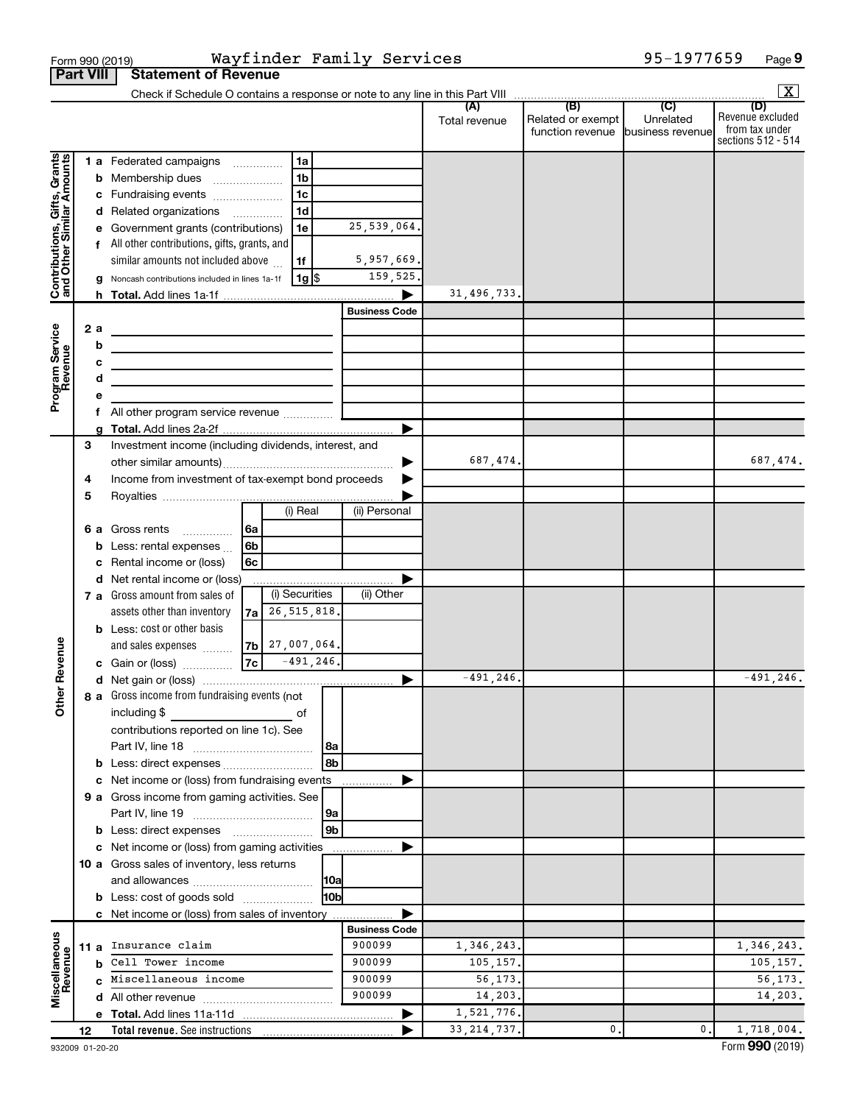| <b>Part VIII</b>                                                                        |        |                    | <b>Statement of Revenue</b>                                                                                                                                                                                                                                                                                                                                                                                                                                                                                                                                                                                                               |                |                                                                        |                      |                                                                    |                                                            |                                                        |           |                                                                 |
|-----------------------------------------------------------------------------------------|--------|--------------------|-------------------------------------------------------------------------------------------------------------------------------------------------------------------------------------------------------------------------------------------------------------------------------------------------------------------------------------------------------------------------------------------------------------------------------------------------------------------------------------------------------------------------------------------------------------------------------------------------------------------------------------------|----------------|------------------------------------------------------------------------|----------------------|--------------------------------------------------------------------|------------------------------------------------------------|--------------------------------------------------------|-----------|-----------------------------------------------------------------|
|                                                                                         |        |                    |                                                                                                                                                                                                                                                                                                                                                                                                                                                                                                                                                                                                                                           |                |                                                                        |                      |                                                                    |                                                            |                                                        |           | $\mathbf{X}$                                                    |
|                                                                                         |        |                    |                                                                                                                                                                                                                                                                                                                                                                                                                                                                                                                                                                                                                                           |                |                                                                        |                      |                                                                    | Total revenue                                              | Related or exempt<br>function revenue business revenue | Unrelated | (D)<br>Revenue excluded<br>from tax under<br>sections 512 - 514 |
| Contributions, Gifts, Grants<br>and Other Similar Amounts<br>Program Service<br>Revenue |        | 2 a<br>b<br>с<br>d | 1 a Federated campaigns<br><b>b</b> Membership dues<br>c Fundraising events<br>d Related organizations<br>e Government grants (contributions)<br>All other contributions, gifts, grants, and<br>similar amounts not included above<br>g Noncash contributions included in lines 1a-1f<br><u> 1989 - Johann Barbara, martin amerikan basar dan basar dan basar dalam basar dalam basar dalam basar dalam ba</u><br>the control of the control of the control of the control of the control of<br>the control of the control of the control of the control of the control of<br>the control of the control of the control of the control of |                | 1a<br>1 <sub>b</sub><br>l 1c<br>1 <sub>d</sub><br>1e<br>1f<br>  1g  \$ |                      | 25,539,064.<br>5,957,669.<br>159,525.<br><b>Business Code</b><br>► | 31,496,733.                                                |                                                        |           |                                                                 |
|                                                                                         | 3<br>4 |                    | Investment income (including dividends, interest, and<br>Income from investment of tax-exempt bond proceeds                                                                                                                                                                                                                                                                                                                                                                                                                                                                                                                               |                |                                                                        |                      |                                                                    | 687,474.                                                   |                                                        |           | 687,474.                                                        |
|                                                                                         | 5      |                    | 6 a Gross rents<br><b>b</b> Less: rental expenses<br>c Rental income or (loss)                                                                                                                                                                                                                                                                                                                                                                                                                                                                                                                                                            | 6a<br>6b<br>6с | (i) Real                                                               |                      | (ii) Personal                                                      |                                                            |                                                        |           |                                                                 |
|                                                                                         |        |                    | d Net rental income or (loss)<br>7 a Gross amount from sales of<br>assets other than inventory<br><b>b</b> Less: cost or other basis<br>and sales expenses                                                                                                                                                                                                                                                                                                                                                                                                                                                                                |                | (i) Securities<br>$7a$ 26, 515, 818.<br>$ 7b $ 27,007,064.             |                      | (ii) Other                                                         |                                                            |                                                        |           |                                                                 |
| Revenue<br>š                                                                            |        |                    | c Gain or (loss)<br>8 a Gross income from fundraising events (not                                                                                                                                                                                                                                                                                                                                                                                                                                                                                                                                                                         |                | $ 7c $ -491, 246.                                                      |                      |                                                                    | $-491, 246.$                                               |                                                        |           | $-491, 246.$                                                    |
|                                                                                         |        |                    | including \$<br><u> 1990 - Johann Barbara, martxa</u><br>contributions reported on line 1c). See<br>c Net income or (loss) from fundraising events                                                                                                                                                                                                                                                                                                                                                                                                                                                                                        |                | of                                                                     | l 8a<br>8b           | .                                                                  |                                                            |                                                        |           |                                                                 |
|                                                                                         |        |                    | 9 a Gross income from gaming activities. See<br><b>b</b> Less: direct expenses <b>manually</b><br>c Net income or (loss) from gaming activities                                                                                                                                                                                                                                                                                                                                                                                                                                                                                           |                |                                                                        | 9a<br>9 <sub>b</sub> |                                                                    |                                                            |                                                        |           |                                                                 |
|                                                                                         |        |                    | 10 a Gross sales of inventory, less returns<br><b>b</b> Less: cost of goods sold<br>c Net income or (loss) from sales of inventory                                                                                                                                                                                                                                                                                                                                                                                                                                                                                                        |                |                                                                        | l10bl                |                                                                    |                                                            |                                                        |           |                                                                 |
| Miscellaneous<br>Revenue                                                                |        |                    | 11 a Insurance claim<br><b>b</b> Cell Tower income<br>c Miscellaneous income                                                                                                                                                                                                                                                                                                                                                                                                                                                                                                                                                              |                |                                                                        |                      | <b>Business Code</b><br>900099<br>900099<br>900099<br>900099       | 1,346,243.<br>105,157.<br>56,173.<br>14,203.<br>1,521,776. |                                                        |           | 1,346,243.<br>105, 157.<br>56, 173.<br>14,203.                  |
|                                                                                         | 12     |                    |                                                                                                                                                                                                                                                                                                                                                                                                                                                                                                                                                                                                                                           |                |                                                                        |                      |                                                                    | 33, 214, 737.                                              | 0.                                                     | 0.        | 1,718,004.                                                      |

Form 990 (2019) Wayfinder Family Services 95-1977659 Page

**9**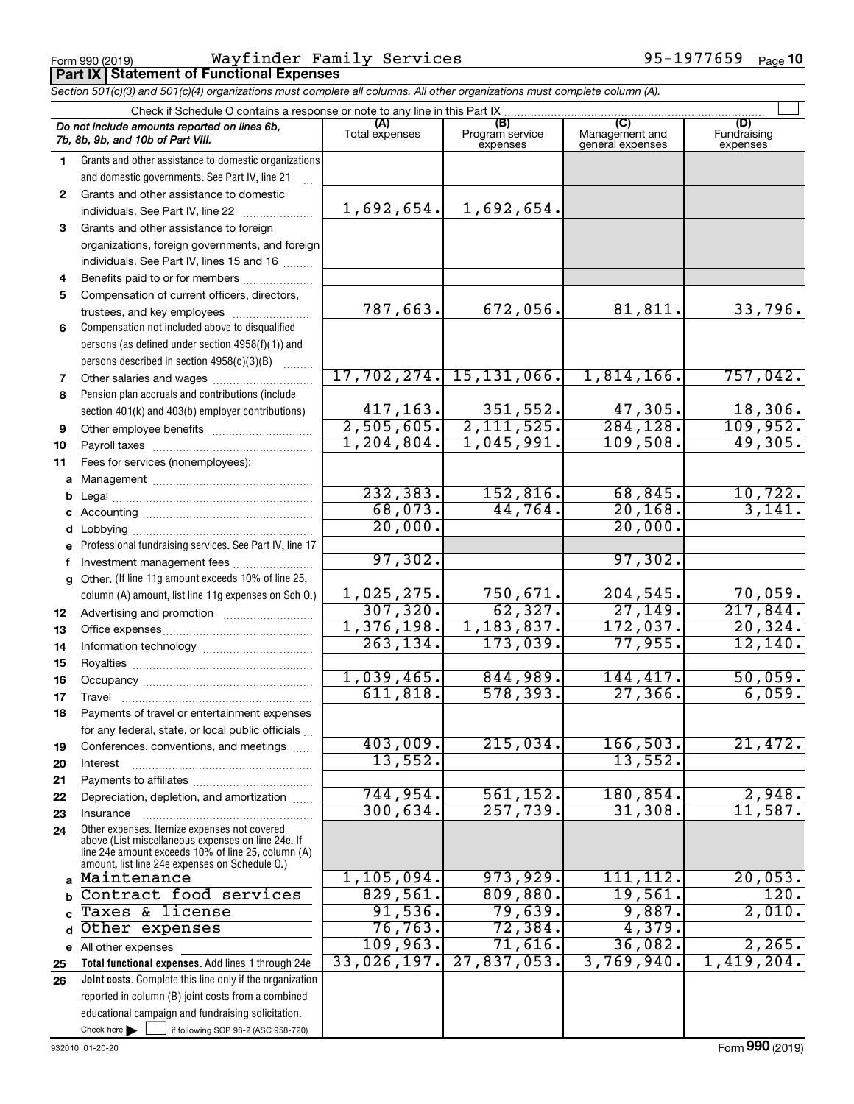Form 990 (2019) Wayfinder Family Services 95-1977659  $\,$   $_{\rm Page}$ **Part IX Statement of Functional Expenses**

|          | Section 501(c)(3) and 501(c)(4) organizations must complete all columns. All other organizations must complete column (A). |                       |                                    |                                    |                         |  |  |  |  |  |
|----------|----------------------------------------------------------------------------------------------------------------------------|-----------------------|------------------------------------|------------------------------------|-------------------------|--|--|--|--|--|
|          | Check if Schedule O contains a response or note to any line in this Part IX.                                               |                       |                                    |                                    |                         |  |  |  |  |  |
|          | Do not include amounts reported on lines 6b,<br>7b, 8b, 9b, and 10b of Part VIII.                                          | (A)<br>Total expenses | (B)<br>Program service<br>expenses | Management and<br>general expenses | Fundraising<br>expenses |  |  |  |  |  |
| 1        | Grants and other assistance to domestic organizations                                                                      |                       |                                    |                                    |                         |  |  |  |  |  |
|          | and domestic governments. See Part IV, line 21                                                                             |                       |                                    |                                    |                         |  |  |  |  |  |
| 2        | Grants and other assistance to domestic                                                                                    |                       |                                    |                                    |                         |  |  |  |  |  |
|          | individuals. See Part IV, line 22                                                                                          | 1,692,654.            | 1,692,654.                         |                                    |                         |  |  |  |  |  |
| З        | Grants and other assistance to foreign                                                                                     |                       |                                    |                                    |                         |  |  |  |  |  |
|          | organizations, foreign governments, and foreign                                                                            |                       |                                    |                                    |                         |  |  |  |  |  |
|          | individuals. See Part IV, lines 15 and 16                                                                                  |                       |                                    |                                    |                         |  |  |  |  |  |
| 4        | Benefits paid to or for members                                                                                            |                       |                                    |                                    |                         |  |  |  |  |  |
| 5        | Compensation of current officers, directors,                                                                               |                       |                                    |                                    |                         |  |  |  |  |  |
|          | trustees, and key employees                                                                                                | 787,663.              | 672,056.                           | 81,811.                            | 33,796.                 |  |  |  |  |  |
| 6        | Compensation not included above to disqualified                                                                            |                       |                                    |                                    |                         |  |  |  |  |  |
|          | persons (as defined under section 4958(f)(1)) and                                                                          |                       |                                    |                                    |                         |  |  |  |  |  |
|          | persons described in section 4958(c)(3)(B)                                                                                 |                       | $17,702,274.$ 15,131,066.          | 1,814,166.                         | 757,042.                |  |  |  |  |  |
| 7        | Other salaries and wages<br>Pension plan accruals and contributions (include                                               |                       |                                    |                                    |                         |  |  |  |  |  |
| 8        | section 401(k) and 403(b) employer contributions)                                                                          | 417, 163.             | 351,552.                           | 47,305.                            | 18,306.                 |  |  |  |  |  |
| 9        |                                                                                                                            | 2,505,605.            | 2,111,525.                         | 284, 128.                          | 109,952.                |  |  |  |  |  |
| 10       |                                                                                                                            | 1, 204, 804.          | 1,045,991.                         | 109,508.                           | 49,305.                 |  |  |  |  |  |
| 11       | Fees for services (nonemployees):                                                                                          |                       |                                    |                                    |                         |  |  |  |  |  |
| a        |                                                                                                                            |                       |                                    |                                    |                         |  |  |  |  |  |
|          |                                                                                                                            | 232, 383.             | 152,816.                           | 68,845.                            | 10, 722.                |  |  |  |  |  |
|          |                                                                                                                            | 68,073.               | 44,764.                            | 20, 168.                           | 3,141.                  |  |  |  |  |  |
|          |                                                                                                                            | 20,000.               |                                    | 20,000.                            |                         |  |  |  |  |  |
|          | e Professional fundraising services. See Part IV, line 17                                                                  |                       |                                    |                                    |                         |  |  |  |  |  |
|          | f Investment management fees                                                                                               | 97,302.               |                                    | 97,302.                            |                         |  |  |  |  |  |
|          | g Other. (If line 11g amount exceeds 10% of line 25,                                                                       |                       |                                    |                                    |                         |  |  |  |  |  |
|          | column (A) amount, list line 11g expenses on Sch O.)                                                                       | 1,025,275.            | 750,671.                           | 204,545.                           | 70,059.                 |  |  |  |  |  |
| 12       |                                                                                                                            | 307, 320.             | 62, 327.                           | 27,149.                            | 217,844.                |  |  |  |  |  |
| 13       |                                                                                                                            | 1,376,198.            | 1,183,837.                         | 172,037.                           | 20, 324.                |  |  |  |  |  |
| 14       |                                                                                                                            | 263, 134.             | 173,039.                           | 77,955.                            | 12,140.                 |  |  |  |  |  |
| 15       |                                                                                                                            |                       |                                    |                                    |                         |  |  |  |  |  |
| 16       |                                                                                                                            | 1,039,465.            | 844,989.                           | 144,417.                           | 50,059.                 |  |  |  |  |  |
| 17       |                                                                                                                            | 611,818.              | 578,393.                           | 27,366.                            | 6,059.                  |  |  |  |  |  |
| 18       | Payments of travel or entertainment expenses                                                                               |                       |                                    |                                    |                         |  |  |  |  |  |
|          | for any federal, state, or local public officials                                                                          |                       |                                    |                                    |                         |  |  |  |  |  |
| 19       | Conferences, conventions, and meetings                                                                                     | 403,009.<br>13,552.   | 215,034.                           | 166, 503.<br>13,552.               | 21,472.                 |  |  |  |  |  |
| 20       | Interest                                                                                                                   |                       |                                    |                                    |                         |  |  |  |  |  |
| 21       |                                                                                                                            | 744,954.              | 561, 152.                          | 180, 854.                          | 2,948.                  |  |  |  |  |  |
| 22       | Depreciation, depletion, and amortization                                                                                  | 300, 634.             | 257,739.                           | 31,308.                            | 11,587.                 |  |  |  |  |  |
| 23<br>24 | Insurance<br>Other expenses. Itemize expenses not covered<br>above (List miscellaneous expenses on line 24e. If            |                       |                                    |                                    |                         |  |  |  |  |  |
|          | line 24e amount exceeds 10% of line 25, column (A)<br>amount, list line 24e expenses on Schedule O.)                       |                       |                                    |                                    |                         |  |  |  |  |  |
|          | Maintenance                                                                                                                | 1,105,094.            | 973,929.                           | 111,112.                           | 20,053.                 |  |  |  |  |  |
|          | Contract food services                                                                                                     | 829,561.              | 809, 880.                          | 19,561.                            | 120.                    |  |  |  |  |  |
|          | Taxes & license                                                                                                            | 91,536.               | 79,639.                            | 9,887.                             | 2,010.                  |  |  |  |  |  |
| d        | Other expenses                                                                                                             | 76, 763.              | 72,384.                            | 4,379.                             |                         |  |  |  |  |  |
|          | e All other expenses                                                                                                       | 109,963.              | 71,616.                            | 36,082.                            | 2,265.                  |  |  |  |  |  |
| 25       | Total functional expenses. Add lines 1 through 24e                                                                         | 33,026,197.           | 27,837,053.                        | 3,769,940.                         | 1,419,204.              |  |  |  |  |  |
| 26       | Joint costs. Complete this line only if the organization                                                                   |                       |                                    |                                    |                         |  |  |  |  |  |
|          | reported in column (B) joint costs from a combined                                                                         |                       |                                    |                                    |                         |  |  |  |  |  |
|          | educational campaign and fundraising solicitation.                                                                         |                       |                                    |                                    |                         |  |  |  |  |  |

Check here

Check here  $\begin{array}{c} \begin{array}{|c} \hline \end{array} \end{array}$  if following SOP 98-2 (ASC 958-720)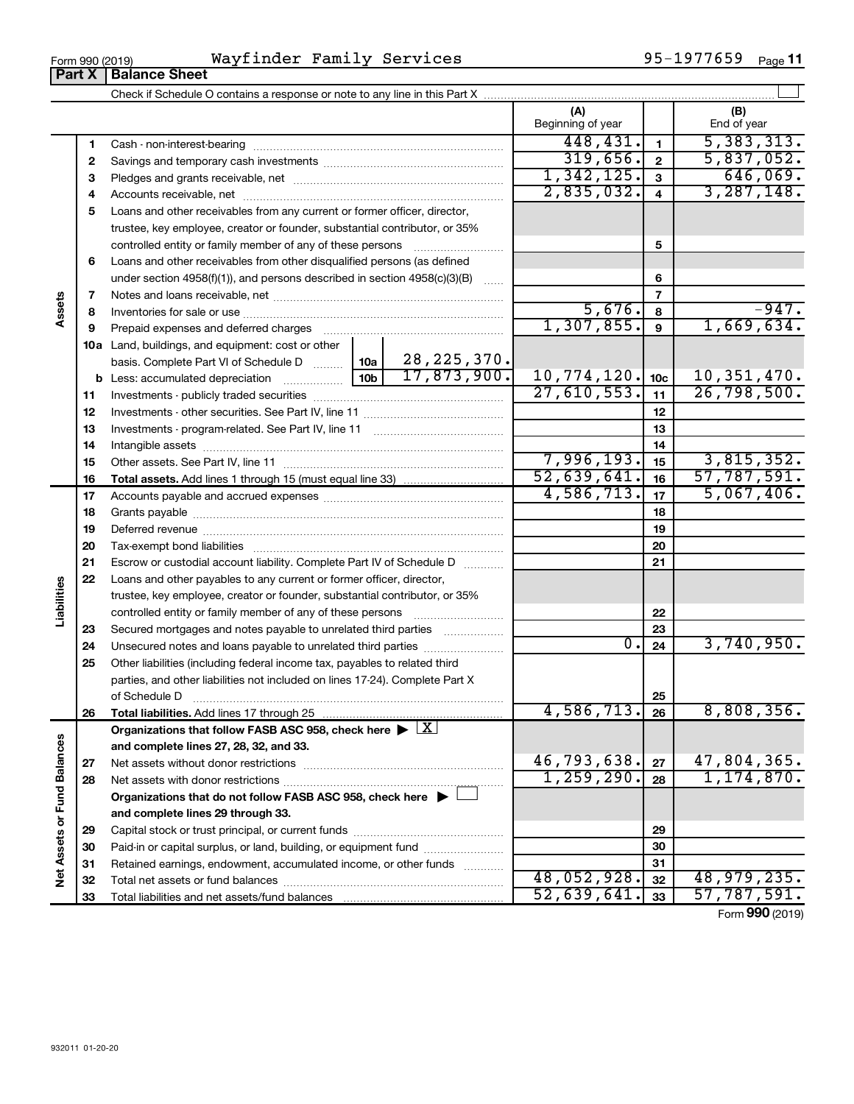| Form 990 (2019) |  | Wayfinder Family Services | 95-1977659 | Page 11 |
|-----------------|--|---------------------------|------------|---------|
|-----------------|--|---------------------------|------------|---------|

|   | <b>Balance Sheet</b>                                                          |                          |              |                    |
|---|-------------------------------------------------------------------------------|--------------------------|--------------|--------------------|
|   |                                                                               |                          |              |                    |
|   |                                                                               | (A)<br>Beginning of year |              | (B)<br>End of year |
| 1 | Cash - non-interest-bearing                                                   | 448,431.                 |              | 5,383,313.         |
| 2 |                                                                               | 319,656.                 | $\mathbf{c}$ | 5,837,052.         |
| 3 |                                                                               | 1,342,125.               | 3            | 646,069.           |
| 4 |                                                                               | 2,835,032.               | $\mathbf{A}$ | 3,287,148.         |
| 5 | Loans and other receivables from any current or former officer, director,     |                          |              |                    |
|   | trustee, key employee, creator or founder, substantial contributor, or 35%    |                          |              |                    |
|   | controlled entity or family member of any of these persons                    |                          | 5            |                    |
| 6 | Loans and other receivables from other disqualified persons (as defined       |                          |              |                    |
|   | under section $4958(f)(1)$ , and persons described in section $4958(c)(3)(B)$ |                          | 6            |                    |
| 7 |                                                                               |                          |              |                    |
| 8 |                                                                               |                          | 8            |                    |
|   |                                                                               |                          |              |                    |

|                             | 5        | Loans and other receivables from any current or former officer, director,                                                            |                  |                       |                                |
|-----------------------------|----------|--------------------------------------------------------------------------------------------------------------------------------------|------------------|-----------------------|--------------------------------|
|                             |          | trustee, key employee, creator or founder, substantial contributor, or 35%                                                           |                  |                       |                                |
|                             |          | controlled entity or family member of any of these persons                                                                           |                  | 5                     |                                |
|                             | 6        | Loans and other receivables from other disqualified persons (as defined                                                              |                  |                       |                                |
|                             |          | under section 4958(f)(1)), and persons described in section 4958(c)(3)(B)                                                            |                  | 6                     |                                |
|                             | 7        |                                                                                                                                      |                  | $\overline{7}$        |                                |
| Assets                      | 8        |                                                                                                                                      | 5,676.           | 8                     | $-947.$                        |
|                             | 9        | Prepaid expenses and deferred charges                                                                                                | 1,307,855.       | 9                     | 1,669,634.                     |
|                             |          | <b>10a</b> Land, buildings, and equipment: cost or other                                                                             |                  |                       |                                |
|                             |          | 28, 225, 370.<br>basis. Complete Part VI of Schedule D  10a                                                                          |                  |                       |                                |
|                             |          | 17,873,900.                                                                                                                          | 10,774,120.      | 10 <sub>c</sub>       | 10, 351, 470.                  |
|                             | 11       |                                                                                                                                      | 27,610,553.      | 11                    | 26,798,500.                    |
|                             | 12       |                                                                                                                                      |                  | 12                    |                                |
|                             | 13       |                                                                                                                                      |                  | 13                    |                                |
|                             | 14       |                                                                                                                                      |                  | 14                    |                                |
|                             | 15       |                                                                                                                                      | 7,996,193.       | 15                    | 3,815,352.                     |
|                             | 16       |                                                                                                                                      | 52,639,641.      | 16                    | 57,787,591.                    |
|                             | 17       |                                                                                                                                      | 4,586,713.       | 17                    | 5,067,406.                     |
|                             | 18       | Grants payable encourance and a series of the state of the state of the state of the state of the state of the                       |                  | 18                    |                                |
|                             | 19       |                                                                                                                                      |                  | 19                    |                                |
|                             | 20       |                                                                                                                                      |                  | 20                    |                                |
|                             | 21       | Escrow or custodial account liability. Complete Part IV of Schedule D                                                                |                  | 21                    |                                |
|                             | 22       | Loans and other payables to any current or former officer, director,                                                                 |                  |                       |                                |
| Liabilities                 |          | trustee, key employee, creator or founder, substantial contributor, or 35%                                                           |                  |                       |                                |
|                             |          | controlled entity or family member of any of these persons                                                                           |                  | 22                    |                                |
|                             | 23       | Secured mortgages and notes payable to unrelated third parties                                                                       |                  | 23                    |                                |
|                             | 24       | Unsecured notes and loans payable to unrelated third parties                                                                         | $\overline{0}$ . | 24                    | 3,740,950.                     |
|                             | 25       | Other liabilities (including federal income tax, payables to related third                                                           |                  |                       |                                |
|                             |          | parties, and other liabilities not included on lines 17-24). Complete Part X                                                         |                  |                       |                                |
|                             |          | of Schedule D                                                                                                                        |                  | 25                    |                                |
|                             | 26       | Total liabilities. Add lines 17 through 25                                                                                           | 4,586,713.       | 26                    | 8,808,356.                     |
|                             |          | Organizations that follow FASB ASC 958, check here $\blacktriangleright \boxed{X}$                                                   |                  |                       |                                |
|                             |          | and complete lines 27, 28, 32, and 33.                                                                                               | 46,793,638.      |                       |                                |
|                             | 27       |                                                                                                                                      | 1, 259, 290.     | 27<br>$\overline{28}$ | $\frac{47,804,365}{1,174,870}$ |
|                             | 28       |                                                                                                                                      |                  |                       |                                |
|                             |          | Organizations that do not follow FASB ASC 958, check here $\blacktriangleright$ [                                                    |                  |                       |                                |
| Net Assets or Fund Balances |          | and complete lines 29 through 33.                                                                                                    |                  |                       |                                |
|                             | 29       |                                                                                                                                      |                  | 29<br>30              |                                |
|                             | 30<br>31 | Paid-in or capital surplus, or land, building, or equipment fund<br>Retained earnings, endowment, accumulated income, or other funds |                  | 31                    |                                |
|                             | 32       |                                                                                                                                      | 48,052,928.      | 32                    | 48,979,235.                    |
|                             | 33       |                                                                                                                                      | 52,639,641.      | 33                    | 57,787,591.                    |
|                             |          |                                                                                                                                      |                  |                       | $0.00 \div 1$                  |

Form (2019) **990**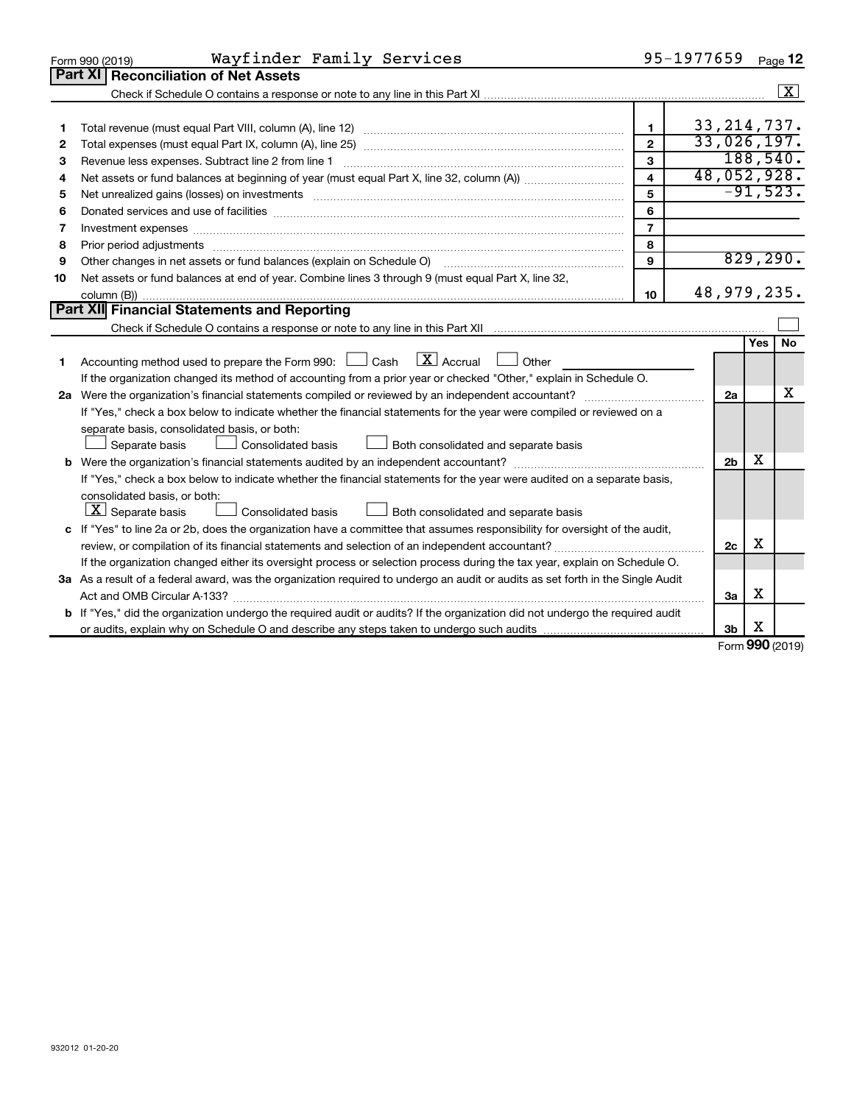|    | Wayfinder Family Services<br>Form 990 (2019)                                                                                                                                                                                   |                         | 95-1977659     |            | Page 12            |
|----|--------------------------------------------------------------------------------------------------------------------------------------------------------------------------------------------------------------------------------|-------------------------|----------------|------------|--------------------|
|    | Part XI<br><b>Reconciliation of Net Assets</b>                                                                                                                                                                                 |                         |                |            |                    |
|    |                                                                                                                                                                                                                                |                         |                |            | $\boxed{\text{X}}$ |
|    |                                                                                                                                                                                                                                |                         |                |            |                    |
| 1  |                                                                                                                                                                                                                                | $\mathbf{1}$            | 33, 214, 737.  |            |                    |
| 2  |                                                                                                                                                                                                                                | $\overline{2}$          | 33,026,197.    |            |                    |
| З  | Revenue less expenses. Subtract line 2 from line 1                                                                                                                                                                             | 3                       |                |            | 188,540.           |
| 4  |                                                                                                                                                                                                                                | $\overline{\mathbf{4}}$ |                |            | 48,052,928.        |
| 5  | Net unrealized gains (losses) on investments [111] matter in the content of the content of the content of the content of the content of the content of the content of the content of the content of the content of the content | 5                       |                |            | $-91,523.$         |
| 6  |                                                                                                                                                                                                                                | 6                       |                |            |                    |
| 7  | Investment expenses www.communication.com/www.communication.com/www.communication.com/www.com                                                                                                                                  | $\overline{7}$          |                |            |                    |
| 8  |                                                                                                                                                                                                                                | 8                       |                |            |                    |
| 9  | Other changes in net assets or fund balances (explain on Schedule O)                                                                                                                                                           | 9                       |                |            | 829, 290.          |
| 10 | Net assets or fund balances at end of year. Combine lines 3 through 9 (must equal Part X, line 32,                                                                                                                             |                         |                |            |                    |
|    |                                                                                                                                                                                                                                | 10                      | 48,979,235.    |            |                    |
|    | <b>Part XII</b> Financial Statements and Reporting                                                                                                                                                                             |                         |                |            |                    |
|    |                                                                                                                                                                                                                                |                         |                |            |                    |
|    |                                                                                                                                                                                                                                |                         |                | <b>Yes</b> | <b>No</b>          |
|    | $\boxed{\text{X}}$ Accrual<br>Accounting method used to prepare the Form 990: $\Box$ Cash<br>$\Box$ Other                                                                                                                      |                         |                |            |                    |
|    | If the organization changed its method of accounting from a prior year or checked "Other," explain in Schedule O.                                                                                                              |                         |                |            |                    |
| 2a |                                                                                                                                                                                                                                |                         | 2a             |            | х                  |
|    | If "Yes," check a box below to indicate whether the financial statements for the year were compiled or reviewed on a                                                                                                           |                         |                |            |                    |
|    | separate basis, consolidated basis, or both:                                                                                                                                                                                   |                         |                |            |                    |
|    | Both consolidated and separate basis<br>Separate basis<br>Consolidated basis                                                                                                                                                   |                         |                |            |                    |
|    |                                                                                                                                                                                                                                |                         | 2 <sub>b</sub> | х          |                    |
|    | If "Yes," check a box below to indicate whether the financial statements for the year were audited on a separate basis,                                                                                                        |                         |                |            |                    |
|    | consolidated basis, or both:                                                                                                                                                                                                   |                         |                |            |                    |
|    | $\lfloor \underline{X} \rfloor$ Separate basis<br><b>Consolidated basis</b><br>Both consolidated and separate basis                                                                                                            |                         |                |            |                    |
|    | c If "Yes" to line 2a or 2b, does the organization have a committee that assumes responsibility for oversight of the audit,                                                                                                    |                         |                |            |                    |
|    | review, or compilation of its financial statements and selection of an independent accountant?                                                                                                                                 |                         | 2c             | х          |                    |
|    | If the organization changed either its oversight process or selection process during the tax year, explain on Schedule O.                                                                                                      |                         |                |            |                    |
|    | 3a As a result of a federal award, was the organization required to undergo an audit or audits as set forth in the Single Audit                                                                                                |                         |                |            |                    |
|    |                                                                                                                                                                                                                                |                         | 3a             | X          |                    |
|    | If "Yes," did the organization undergo the required audit or audits? If the organization did not undergo the required audit                                                                                                    |                         |                |            |                    |
|    |                                                                                                                                                                                                                                |                         | 3 <sub>b</sub> | х          |                    |

Form (2019) **990**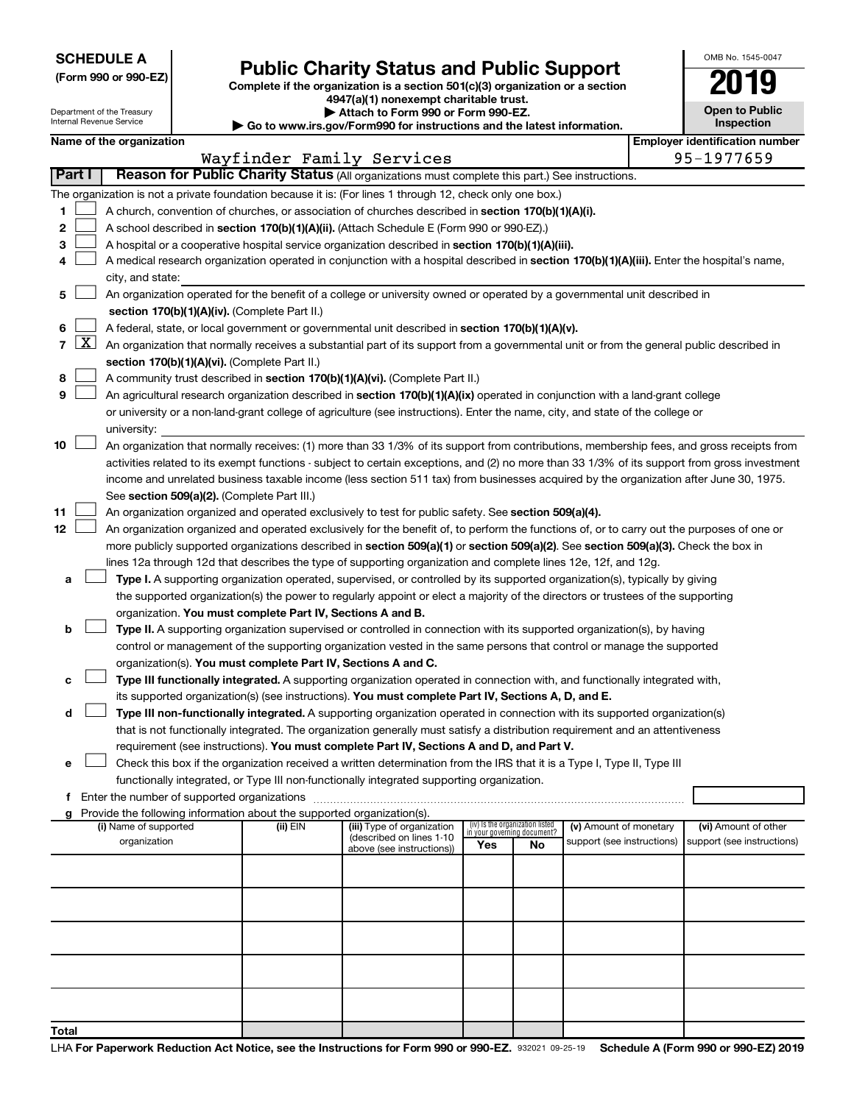**SCHEDULE A**

Department of the Treasury Internal Revenue Service

## Form 990 or 990-EZ)<br>
Complete if the organization is a section 501(c)(3) organization or a section<br> **Public Charity Status and Public Support**

**4947(a)(1) nonexempt charitable trust.**

**| Attach to Form 990 or Form 990-EZ. | Go to www.irs.gov/Form990 for instructions and the latest information.** OMB No. 1545-0047

**Open to Public**

|                |                     | Internal Revenue Service                                                                                                                  |                                                                                                                                |                                                            | Go to www.irs.gov/Form990 for instructions and the latest information.                                                                        |     |                                   |                            |  | Inspection                            |  |
|----------------|---------------------|-------------------------------------------------------------------------------------------------------------------------------------------|--------------------------------------------------------------------------------------------------------------------------------|------------------------------------------------------------|-----------------------------------------------------------------------------------------------------------------------------------------------|-----|-----------------------------------|----------------------------|--|---------------------------------------|--|
|                |                     | Name of the organization                                                                                                                  |                                                                                                                                |                                                            |                                                                                                                                               |     |                                   |                            |  | <b>Employer identification number</b> |  |
|                |                     |                                                                                                                                           |                                                                                                                                |                                                            | Wayfinder Family Services                                                                                                                     |     |                                   |                            |  | 95-1977659                            |  |
|                | Part I              |                                                                                                                                           |                                                                                                                                |                                                            | Reason for Public Charity Status (All organizations must complete this part.) See instructions.                                               |     |                                   |                            |  |                                       |  |
|                |                     |                                                                                                                                           |                                                                                                                                |                                                            | The organization is not a private foundation because it is: (For lines 1 through 12, check only one box.)                                     |     |                                   |                            |  |                                       |  |
| 1              |                     |                                                                                                                                           |                                                                                                                                |                                                            | A church, convention of churches, or association of churches described in section 170(b)(1)(A)(i).                                            |     |                                   |                            |  |                                       |  |
| 2              |                     |                                                                                                                                           |                                                                                                                                |                                                            | A school described in section 170(b)(1)(A)(ii). (Attach Schedule E (Form 990 or 990-EZ).)                                                     |     |                                   |                            |  |                                       |  |
| з              |                     |                                                                                                                                           |                                                                                                                                |                                                            | A hospital or a cooperative hospital service organization described in section 170(b)(1)(A)(iii).                                             |     |                                   |                            |  |                                       |  |
|                |                     |                                                                                                                                           |                                                                                                                                |                                                            | A medical research organization operated in conjunction with a hospital described in section 170(b)(1)(A)(iii). Enter the hospital's name,    |     |                                   |                            |  |                                       |  |
|                |                     | city, and state:                                                                                                                          |                                                                                                                                |                                                            |                                                                                                                                               |     |                                   |                            |  |                                       |  |
| 5              |                     |                                                                                                                                           |                                                                                                                                |                                                            | An organization operated for the benefit of a college or university owned or operated by a governmental unit described in                     |     |                                   |                            |  |                                       |  |
|                |                     |                                                                                                                                           |                                                                                                                                | section 170(b)(1)(A)(iv). (Complete Part II.)              |                                                                                                                                               |     |                                   |                            |  |                                       |  |
| 6              |                     |                                                                                                                                           |                                                                                                                                |                                                            | A federal, state, or local government or governmental unit described in section 170(b)(1)(A)(v).                                              |     |                                   |                            |  |                                       |  |
| $\overline{7}$ | $\lfloor x \rfloor$ | An organization that normally receives a substantial part of its support from a governmental unit or from the general public described in |                                                                                                                                |                                                            |                                                                                                                                               |     |                                   |                            |  |                                       |  |
|                |                     |                                                                                                                                           |                                                                                                                                | section 170(b)(1)(A)(vi). (Complete Part II.)              |                                                                                                                                               |     |                                   |                            |  |                                       |  |
| 8              |                     |                                                                                                                                           |                                                                                                                                |                                                            | A community trust described in section 170(b)(1)(A)(vi). (Complete Part II.)                                                                  |     |                                   |                            |  |                                       |  |
| 9              |                     |                                                                                                                                           |                                                                                                                                |                                                            | An agricultural research organization described in section 170(b)(1)(A)(ix) operated in conjunction with a land-grant college                 |     |                                   |                            |  |                                       |  |
|                |                     |                                                                                                                                           | or university or a non-land-grant college of agriculture (see instructions). Enter the name, city, and state of the college or |                                                            |                                                                                                                                               |     |                                   |                            |  |                                       |  |
|                |                     | university:                                                                                                                               |                                                                                                                                |                                                            |                                                                                                                                               |     |                                   |                            |  |                                       |  |
| 10             |                     |                                                                                                                                           |                                                                                                                                |                                                            | An organization that normally receives: (1) more than 33 1/3% of its support from contributions, membership fees, and gross receipts from     |     |                                   |                            |  |                                       |  |
|                |                     |                                                                                                                                           |                                                                                                                                |                                                            | activities related to its exempt functions - subject to certain exceptions, and (2) no more than 33 1/3% of its support from gross investment |     |                                   |                            |  |                                       |  |
|                |                     |                                                                                                                                           |                                                                                                                                |                                                            | income and unrelated business taxable income (less section 511 tax) from businesses acquired by the organization after June 30, 1975.         |     |                                   |                            |  |                                       |  |
|                |                     |                                                                                                                                           |                                                                                                                                | See section 509(a)(2). (Complete Part III.)                |                                                                                                                                               |     |                                   |                            |  |                                       |  |
| 11             |                     |                                                                                                                                           |                                                                                                                                |                                                            | An organization organized and operated exclusively to test for public safety. See section 509(a)(4).                                          |     |                                   |                            |  |                                       |  |
| 12             |                     |                                                                                                                                           |                                                                                                                                |                                                            | An organization organized and operated exclusively for the benefit of, to perform the functions of, or to carry out the purposes of one or    |     |                                   |                            |  |                                       |  |
|                |                     |                                                                                                                                           |                                                                                                                                |                                                            | more publicly supported organizations described in section 509(a)(1) or section 509(a)(2). See section 509(a)(3). Check the box in            |     |                                   |                            |  |                                       |  |
|                |                     |                                                                                                                                           |                                                                                                                                |                                                            | lines 12a through 12d that describes the type of supporting organization and complete lines 12e, 12f, and 12g.                                |     |                                   |                            |  |                                       |  |
| а              |                     |                                                                                                                                           |                                                                                                                                |                                                            | Type I. A supporting organization operated, supervised, or controlled by its supported organization(s), typically by giving                   |     |                                   |                            |  |                                       |  |
|                |                     |                                                                                                                                           |                                                                                                                                |                                                            | the supported organization(s) the power to regularly appoint or elect a majority of the directors or trustees of the supporting               |     |                                   |                            |  |                                       |  |
|                |                     |                                                                                                                                           |                                                                                                                                | organization. You must complete Part IV, Sections A and B. |                                                                                                                                               |     |                                   |                            |  |                                       |  |
| b              |                     |                                                                                                                                           |                                                                                                                                |                                                            | Type II. A supporting organization supervised or controlled in connection with its supported organization(s), by having                       |     |                                   |                            |  |                                       |  |
|                |                     |                                                                                                                                           |                                                                                                                                |                                                            | control or management of the supporting organization vested in the same persons that control or manage the supported                          |     |                                   |                            |  |                                       |  |
|                |                     |                                                                                                                                           |                                                                                                                                |                                                            | organization(s). You must complete Part IV, Sections A and C.                                                                                 |     |                                   |                            |  |                                       |  |
| с              |                     |                                                                                                                                           |                                                                                                                                |                                                            | Type III functionally integrated. A supporting organization operated in connection with, and functionally integrated with,                    |     |                                   |                            |  |                                       |  |
|                |                     |                                                                                                                                           |                                                                                                                                |                                                            | its supported organization(s) (see instructions). You must complete Part IV, Sections A, D, and E.                                            |     |                                   |                            |  |                                       |  |
| d              |                     |                                                                                                                                           |                                                                                                                                |                                                            | Type III non-functionally integrated. A supporting organization operated in connection with its supported organization(s)                     |     |                                   |                            |  |                                       |  |
|                |                     |                                                                                                                                           |                                                                                                                                |                                                            | that is not functionally integrated. The organization generally must satisfy a distribution requirement and an attentiveness                  |     |                                   |                            |  |                                       |  |
|                |                     |                                                                                                                                           |                                                                                                                                |                                                            | requirement (see instructions). You must complete Part IV, Sections A and D, and Part V.                                                      |     |                                   |                            |  |                                       |  |
| е              |                     |                                                                                                                                           |                                                                                                                                |                                                            | Check this box if the organization received a written determination from the IRS that it is a Type I, Type II, Type III                       |     |                                   |                            |  |                                       |  |
|                |                     |                                                                                                                                           |                                                                                                                                |                                                            | functionally integrated, or Type III non-functionally integrated supporting organization.                                                     |     |                                   |                            |  |                                       |  |
|                |                     |                                                                                                                                           |                                                                                                                                |                                                            |                                                                                                                                               |     |                                   |                            |  |                                       |  |
|                |                     | (i) Name of supported                                                                                                                     |                                                                                                                                | (ii) EIN                                                   | Provide the following information about the supported organization(s).<br>(iii) Type of organization                                          |     | (iv) Is the organization listed   | (v) Amount of monetary     |  | (vi) Amount of other                  |  |
|                |                     | organization                                                                                                                              |                                                                                                                                |                                                            | (described on lines 1-10                                                                                                                      | Yes | in your governing document?<br>No | support (see instructions) |  | support (see instructions)            |  |
|                |                     |                                                                                                                                           |                                                                                                                                |                                                            | above (see instructions))                                                                                                                     |     |                                   |                            |  |                                       |  |
|                |                     |                                                                                                                                           |                                                                                                                                |                                                            |                                                                                                                                               |     |                                   |                            |  |                                       |  |
|                |                     |                                                                                                                                           |                                                                                                                                |                                                            |                                                                                                                                               |     |                                   |                            |  |                                       |  |
|                |                     |                                                                                                                                           |                                                                                                                                |                                                            |                                                                                                                                               |     |                                   |                            |  |                                       |  |
|                |                     |                                                                                                                                           |                                                                                                                                |                                                            |                                                                                                                                               |     |                                   |                            |  |                                       |  |
|                |                     |                                                                                                                                           |                                                                                                                                |                                                            |                                                                                                                                               |     |                                   |                            |  |                                       |  |
|                |                     |                                                                                                                                           |                                                                                                                                |                                                            |                                                                                                                                               |     |                                   |                            |  |                                       |  |
|                |                     |                                                                                                                                           |                                                                                                                                |                                                            |                                                                                                                                               |     |                                   |                            |  |                                       |  |
|                |                     |                                                                                                                                           |                                                                                                                                |                                                            |                                                                                                                                               |     |                                   |                            |  |                                       |  |
|                |                     |                                                                                                                                           |                                                                                                                                |                                                            |                                                                                                                                               |     |                                   |                            |  |                                       |  |
|                |                     |                                                                                                                                           |                                                                                                                                |                                                            |                                                                                                                                               |     |                                   |                            |  |                                       |  |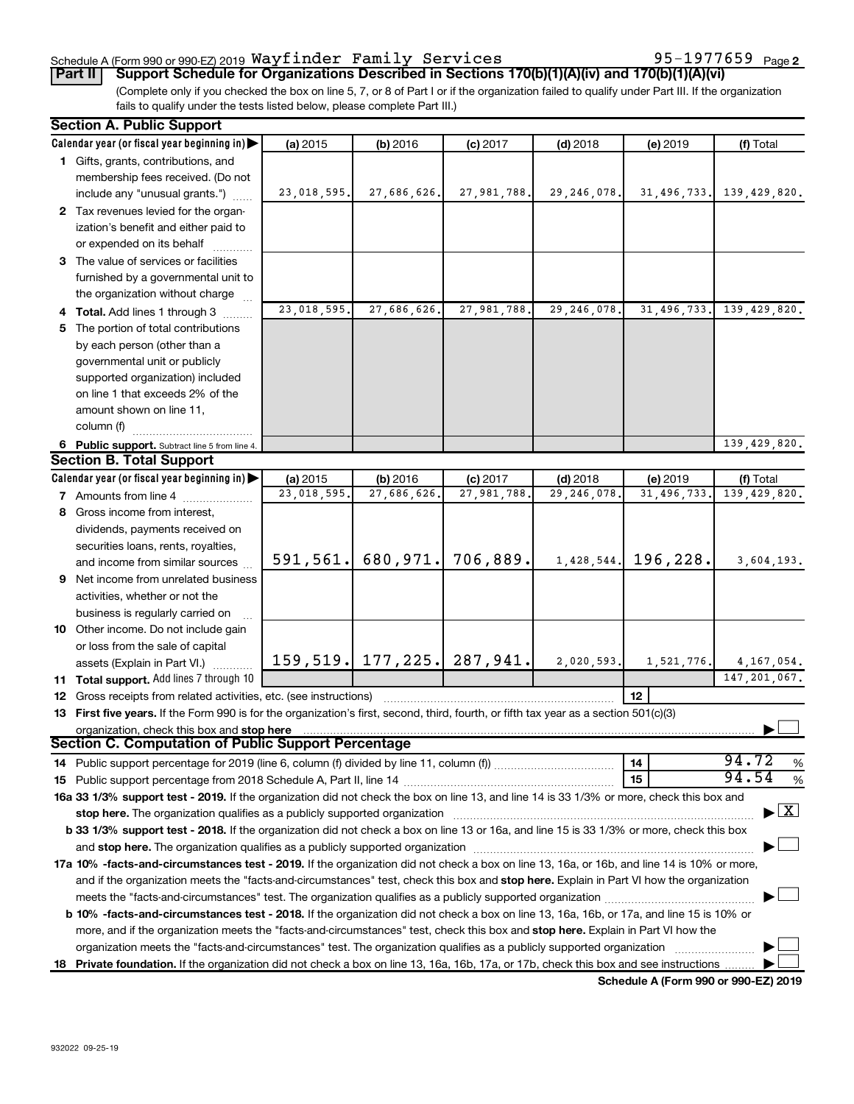#### Schedule A (Form 990 or 990-EZ) 2019  $\mathtt{Wayfinder}$   $\mathtt{Family}$  Services  $95\text{--}1977659$   $_\mathtt{Page}$

(Complete only if you checked the box on line 5, 7, or 8 of Part I or if the organization failed to qualify under Part III. If the organization **Part II Support Schedule for Organizations Described in Sections 170(b)(1)(A)(iv) and 170(b)(1)(A)(vi)**

fails to qualify under the tests listed below, please complete Part III.)

|     | <b>Section A. Public Support</b>                                                                                                               |             |             |                                  |               |                        |                                          |  |  |  |  |  |  |
|-----|------------------------------------------------------------------------------------------------------------------------------------------------|-------------|-------------|----------------------------------|---------------|------------------------|------------------------------------------|--|--|--|--|--|--|
|     | Calendar year (or fiscal year beginning in)                                                                                                    | (a) 2015    | (b) 2016    | (c) 2017                         | $(d)$ 2018    | (e) 2019               | (f) Total                                |  |  |  |  |  |  |
|     | 1 Gifts, grants, contributions, and                                                                                                            |             |             |                                  |               |                        |                                          |  |  |  |  |  |  |
|     | membership fees received. (Do not                                                                                                              |             |             |                                  |               |                        |                                          |  |  |  |  |  |  |
|     | include any "unusual grants.")                                                                                                                 | 23,018,595. | 27,686,626. | 27,981,788.                      | 29, 246, 078. |                        | $31, 496, 733$ . 139, 429, 820.          |  |  |  |  |  |  |
|     | 2 Tax revenues levied for the organ-                                                                                                           |             |             |                                  |               |                        |                                          |  |  |  |  |  |  |
|     | ization's benefit and either paid to                                                                                                           |             |             |                                  |               |                        |                                          |  |  |  |  |  |  |
|     | or expended on its behalf                                                                                                                      |             |             |                                  |               |                        |                                          |  |  |  |  |  |  |
|     | 3 The value of services or facilities                                                                                                          |             |             |                                  |               |                        |                                          |  |  |  |  |  |  |
|     | furnished by a governmental unit to                                                                                                            |             |             |                                  |               |                        |                                          |  |  |  |  |  |  |
|     | the organization without charge                                                                                                                |             |             |                                  |               |                        |                                          |  |  |  |  |  |  |
|     | 4 Total. Add lines 1 through 3                                                                                                                 | 23,018,595. | 27,686,626. | 27,981,788.                      | 29, 246, 078. |                        | $31, 496, 733$ . 139, 429, 820.          |  |  |  |  |  |  |
|     | 5 The portion of total contributions                                                                                                           |             |             |                                  |               |                        |                                          |  |  |  |  |  |  |
|     | by each person (other than a                                                                                                                   |             |             |                                  |               |                        |                                          |  |  |  |  |  |  |
|     | governmental unit or publicly                                                                                                                  |             |             |                                  |               |                        |                                          |  |  |  |  |  |  |
|     | supported organization) included                                                                                                               |             |             |                                  |               |                        |                                          |  |  |  |  |  |  |
|     | on line 1 that exceeds 2% of the                                                                                                               |             |             |                                  |               |                        |                                          |  |  |  |  |  |  |
|     | amount shown on line 11,                                                                                                                       |             |             |                                  |               |                        |                                          |  |  |  |  |  |  |
|     | column (f)                                                                                                                                     |             |             |                                  |               |                        |                                          |  |  |  |  |  |  |
|     | 139,429,820.<br>6 Public support. Subtract line 5 from line 4.                                                                                 |             |             |                                  |               |                        |                                          |  |  |  |  |  |  |
|     | <b>Section B. Total Support</b>                                                                                                                |             |             |                                  |               |                        |                                          |  |  |  |  |  |  |
|     | Calendar year (or fiscal year beginning in) $\blacktriangleright$                                                                              | (a) 2015    | (b) 2016    | $(c)$ 2017                       | $(d)$ 2018    | (e) 2019               | (f) Total                                |  |  |  |  |  |  |
|     | 7 Amounts from line 4                                                                                                                          | 23,018,595. | 27,686,626. | 27,981,788.                      | 29, 246, 078, | 31,496,733.            | 139,429,820.                             |  |  |  |  |  |  |
|     | 8 Gross income from interest,                                                                                                                  |             |             |                                  |               |                        |                                          |  |  |  |  |  |  |
|     | dividends, payments received on                                                                                                                |             |             |                                  |               |                        |                                          |  |  |  |  |  |  |
|     | securities loans, rents, royalties,                                                                                                            |             |             |                                  |               |                        |                                          |  |  |  |  |  |  |
|     | and income from similar sources                                                                                                                | 591, 561.   | 680,971.    | 706,889.                         |               | $1,428,544$ . 196,228. | 3,604,193.                               |  |  |  |  |  |  |
|     | <b>9</b> Net income from unrelated business                                                                                                    |             |             |                                  |               |                        |                                          |  |  |  |  |  |  |
|     | activities, whether or not the                                                                                                                 |             |             |                                  |               |                        |                                          |  |  |  |  |  |  |
|     | business is regularly carried on                                                                                                               |             |             |                                  |               |                        |                                          |  |  |  |  |  |  |
|     | 10 Other income. Do not include gain                                                                                                           |             |             |                                  |               |                        |                                          |  |  |  |  |  |  |
|     | or loss from the sale of capital                                                                                                               |             |             |                                  |               |                        |                                          |  |  |  |  |  |  |
|     | assets (Explain in Part VI.)                                                                                                                   |             |             | $159, 519$ . 177, 225. 287, 941. | 2,020,593.    | 1,521,776.             | 4,167,054.                               |  |  |  |  |  |  |
|     | 11 Total support. Add lines 7 through 10                                                                                                       |             |             |                                  |               |                        | 147, 201, 067.                           |  |  |  |  |  |  |
|     | 12 Gross receipts from related activities, etc. (see instructions)                                                                             |             |             |                                  |               | 12                     |                                          |  |  |  |  |  |  |
|     | 13 First five years. If the Form 990 is for the organization's first, second, third, fourth, or fifth tax year as a section 501(c)(3)          |             |             |                                  |               |                        |                                          |  |  |  |  |  |  |
|     | organization, check this box and stop here                                                                                                     |             |             |                                  |               |                        |                                          |  |  |  |  |  |  |
|     | <b>Section C. Computation of Public Support Percentage</b>                                                                                     |             |             |                                  |               |                        |                                          |  |  |  |  |  |  |
|     | 14 Public support percentage for 2019 (line 6, column (f) divided by line 11, column (f) <i>mummumumum</i>                                     |             |             |                                  |               | 14                     | 94.72<br>%                               |  |  |  |  |  |  |
|     |                                                                                                                                                |             |             |                                  |               | 15                     | 94.54<br>%                               |  |  |  |  |  |  |
|     | 16a 33 1/3% support test - 2019. If the organization did not check the box on line 13, and line 14 is 33 1/3% or more, check this box and      |             |             |                                  |               |                        |                                          |  |  |  |  |  |  |
|     |                                                                                                                                                |             |             |                                  |               |                        | $\blacktriangleright$ $\boxed{\text{X}}$ |  |  |  |  |  |  |
|     | b 33 1/3% support test - 2018. If the organization did not check a box on line 13 or 16a, and line 15 is 33 1/3% or more, check this box       |             |             |                                  |               |                        |                                          |  |  |  |  |  |  |
|     |                                                                                                                                                |             |             |                                  |               |                        |                                          |  |  |  |  |  |  |
|     | 17a 10% -facts-and-circumstances test - 2019. If the organization did not check a box on line 13, 16a, or 16b, and line 14 is 10% or more,     |             |             |                                  |               |                        |                                          |  |  |  |  |  |  |
|     | and if the organization meets the "facts-and-circumstances" test, check this box and stop here. Explain in Part VI how the organization        |             |             |                                  |               |                        |                                          |  |  |  |  |  |  |
|     |                                                                                                                                                |             |             |                                  |               |                        |                                          |  |  |  |  |  |  |
|     | <b>b 10%</b> -facts-and-circumstances test - 2018. If the organization did not check a box on line 13, 16a, 16b, or 17a, and line 15 is 10% or |             |             |                                  |               |                        |                                          |  |  |  |  |  |  |
|     | more, and if the organization meets the "facts-and-circumstances" test, check this box and stop here. Explain in Part VI how the               |             |             |                                  |               |                        |                                          |  |  |  |  |  |  |
|     |                                                                                                                                                |             |             |                                  |               |                        |                                          |  |  |  |  |  |  |
| 18. | Private foundation. If the organization did not check a box on line 13, 16a, 16b, 17a, or 17b, check this box and see instructions.            |             |             |                                  |               |                        |                                          |  |  |  |  |  |  |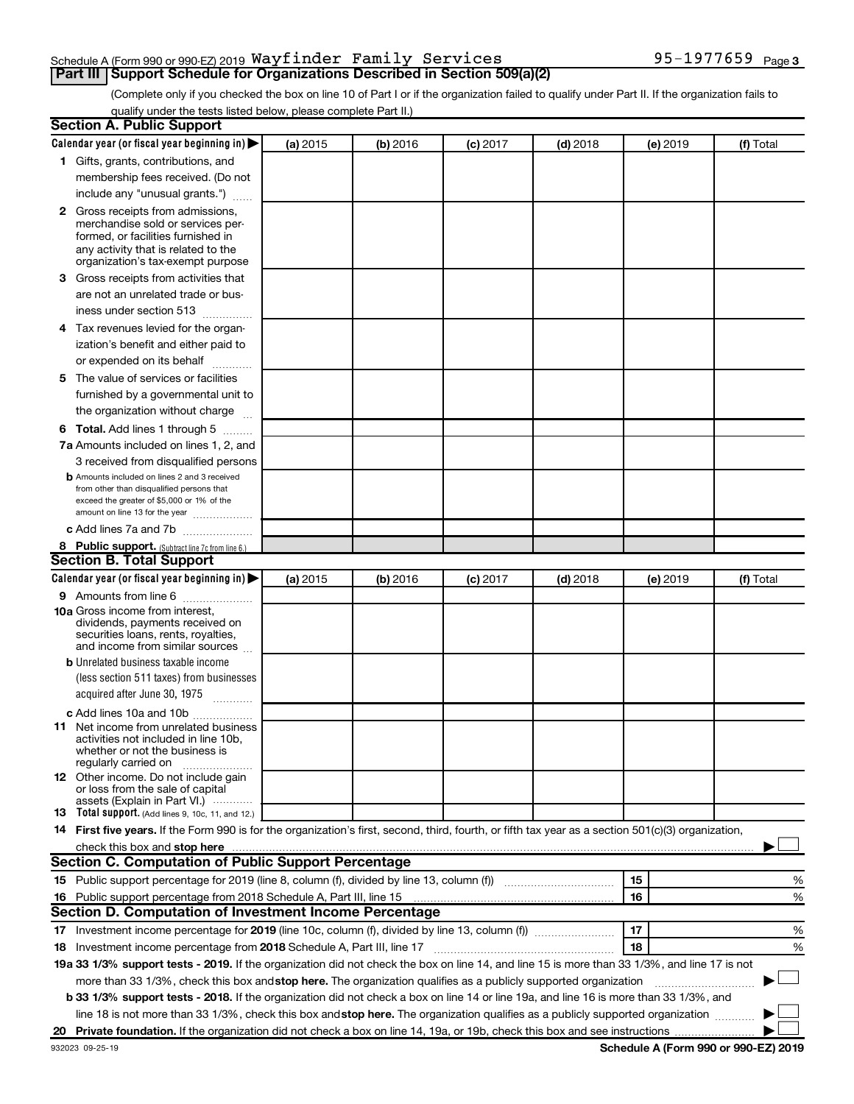#### Schedule A (Form 990 or 990-EZ) 2019  $\mathtt{Wayfinder}$   $\mathtt{Family}$  Services  $95\text{--}1977659$   $_\mathtt{Page}$

**Part III Support Schedule for Organizations Described in Section 509(a)(2)** 

(Complete only if you checked the box on line 10 of Part I or if the organization failed to qualify under Part II. If the organization fails to qualify under the tests listed below, please complete Part II.)

| <b>Section A. Public Support</b>                                                                                                                                                                                               |          |          |            |            |          |           |
|--------------------------------------------------------------------------------------------------------------------------------------------------------------------------------------------------------------------------------|----------|----------|------------|------------|----------|-----------|
| Calendar year (or fiscal year beginning in)                                                                                                                                                                                    | (a) 2015 | (b) 2016 | $(c)$ 2017 | $(d)$ 2018 | (e) 2019 | (f) Total |
| 1 Gifts, grants, contributions, and                                                                                                                                                                                            |          |          |            |            |          |           |
| membership fees received. (Do not                                                                                                                                                                                              |          |          |            |            |          |           |
| include any "unusual grants.")                                                                                                                                                                                                 |          |          |            |            |          |           |
| <b>2</b> Gross receipts from admissions,                                                                                                                                                                                       |          |          |            |            |          |           |
| merchandise sold or services per-                                                                                                                                                                                              |          |          |            |            |          |           |
| formed, or facilities furnished in                                                                                                                                                                                             |          |          |            |            |          |           |
| any activity that is related to the<br>organization's tax-exempt purpose                                                                                                                                                       |          |          |            |            |          |           |
| 3 Gross receipts from activities that                                                                                                                                                                                          |          |          |            |            |          |           |
| are not an unrelated trade or bus-                                                                                                                                                                                             |          |          |            |            |          |           |
|                                                                                                                                                                                                                                |          |          |            |            |          |           |
| iness under section 513                                                                                                                                                                                                        |          |          |            |            |          |           |
| 4 Tax revenues levied for the organ-                                                                                                                                                                                           |          |          |            |            |          |           |
| ization's benefit and either paid to                                                                                                                                                                                           |          |          |            |            |          |           |
| or expended on its behalf                                                                                                                                                                                                      |          |          |            |            |          |           |
| 5 The value of services or facilities                                                                                                                                                                                          |          |          |            |            |          |           |
| furnished by a governmental unit to                                                                                                                                                                                            |          |          |            |            |          |           |
| the organization without charge                                                                                                                                                                                                |          |          |            |            |          |           |
| 6 Total. Add lines 1 through 5                                                                                                                                                                                                 |          |          |            |            |          |           |
| 7a Amounts included on lines 1, 2, and                                                                                                                                                                                         |          |          |            |            |          |           |
| 3 received from disqualified persons                                                                                                                                                                                           |          |          |            |            |          |           |
| <b>b</b> Amounts included on lines 2 and 3 received                                                                                                                                                                            |          |          |            |            |          |           |
| from other than disqualified persons that<br>exceed the greater of \$5,000 or 1% of the                                                                                                                                        |          |          |            |            |          |           |
| amount on line 13 for the year                                                                                                                                                                                                 |          |          |            |            |          |           |
| c Add lines 7a and 7b                                                                                                                                                                                                          |          |          |            |            |          |           |
| 8 Public support. (Subtract line 7c from line 6.)                                                                                                                                                                              |          |          |            |            |          |           |
| <b>Section B. Total Support</b>                                                                                                                                                                                                |          |          |            |            |          |           |
| Calendar year (or fiscal year beginning in)                                                                                                                                                                                    | (a) 2015 | (b) 2016 | $(c)$ 2017 | $(d)$ 2018 | (e) 2019 | (f) Total |
| 9 Amounts from line 6                                                                                                                                                                                                          |          |          |            |            |          |           |
| <b>10a</b> Gross income from interest,                                                                                                                                                                                         |          |          |            |            |          |           |
| dividends, payments received on                                                                                                                                                                                                |          |          |            |            |          |           |
| securities loans, rents, royalties,<br>and income from similar sources                                                                                                                                                         |          |          |            |            |          |           |
| <b>b</b> Unrelated business taxable income                                                                                                                                                                                     |          |          |            |            |          |           |
| (less section 511 taxes) from businesses                                                                                                                                                                                       |          |          |            |            |          |           |
| acquired after June 30, 1975                                                                                                                                                                                                   |          |          |            |            |          |           |
|                                                                                                                                                                                                                                |          |          |            |            |          |           |
| c Add lines 10a and 10b<br><b>11</b> Net income from unrelated business                                                                                                                                                        |          |          |            |            |          |           |
| activities not included in line 10b.                                                                                                                                                                                           |          |          |            |            |          |           |
| whether or not the business is                                                                                                                                                                                                 |          |          |            |            |          |           |
| regularly carried on                                                                                                                                                                                                           |          |          |            |            |          |           |
| 12 Other income. Do not include gain<br>or loss from the sale of capital                                                                                                                                                       |          |          |            |            |          |           |
| assets (Explain in Part VI.)                                                                                                                                                                                                   |          |          |            |            |          |           |
| <b>13</b> Total support. (Add lines 9, 10c, 11, and 12.)                                                                                                                                                                       |          |          |            |            |          |           |
| 14 First five years. If the Form 990 is for the organization's first, second, third, fourth, or fifth tax year as a section 501(c)(3) organization,                                                                            |          |          |            |            |          |           |
| check this box and stop here measurements are all the state of the state of the state of the state of the state of the state of the state of the state of the state of the state of the state of the state of the state of the |          |          |            |            |          |           |
| Section C. Computation of Public Support Percentage                                                                                                                                                                            |          |          |            |            |          |           |
|                                                                                                                                                                                                                                |          |          |            |            | 15       | %         |
| 16 Public support percentage from 2018 Schedule A, Part III, line 15                                                                                                                                                           |          |          |            |            | 16       | %         |
| Section D. Computation of Investment Income Percentage                                                                                                                                                                         |          |          |            |            |          |           |
| 17 Investment income percentage for 2019 (line 10c, column (f), divided by line 13, column (f))                                                                                                                                |          |          |            |            | 17       | %         |
| 18 Investment income percentage from 2018 Schedule A, Part III, line 17                                                                                                                                                        |          |          |            |            | 18       | %         |
| 19a 33 1/3% support tests - 2019. If the organization did not check the box on line 14, and line 15 is more than 33 1/3%, and line 17 is not                                                                                   |          |          |            |            |          |           |
| more than 33 1/3%, check this box and stop here. The organization qualifies as a publicly supported organization                                                                                                               |          |          |            |            |          |           |
| b 33 1/3% support tests - 2018. If the organization did not check a box on line 14 or line 19a, and line 16 is more than 33 1/3%, and                                                                                          |          |          |            |            |          |           |
| line 18 is not more than 33 1/3%, check this box and stop here. The organization qualifies as a publicly supported organization                                                                                                |          |          |            |            |          |           |
|                                                                                                                                                                                                                                |          |          |            |            |          |           |
|                                                                                                                                                                                                                                |          |          |            |            |          |           |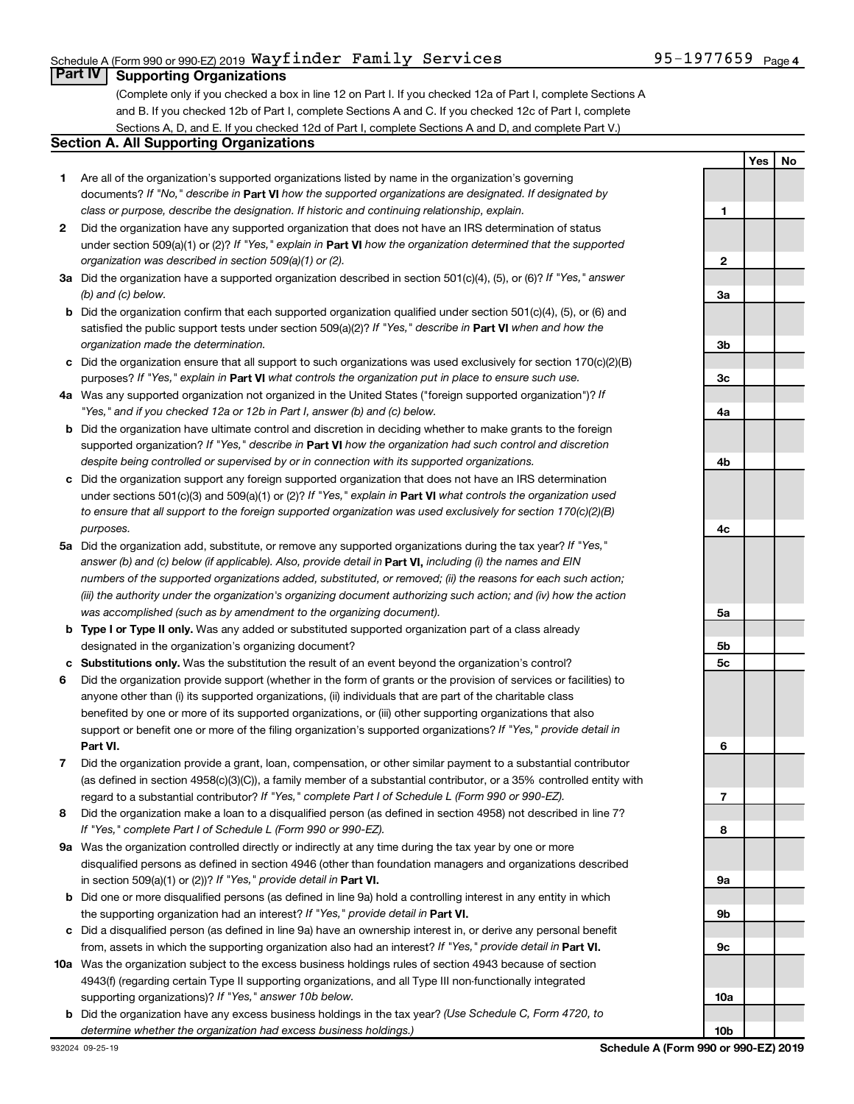### Schedule A (Form 990 or 990-EZ) 2019  $\mathtt{Wayfinder}$   $\mathtt{Family}$  Services  $95\text{--}1977659$   $_\mathtt{Page}$

### **Part IV Supporting Organizations**

(Complete only if you checked a box in line 12 on Part I. If you checked 12a of Part I, complete Sections A and B. If you checked 12b of Part I, complete Sections A and C. If you checked 12c of Part I, complete Sections A, D, and E. If you checked 12d of Part I, complete Sections A and D, and complete Part V.)

#### **Section A. All Supporting Organizations**

- **1** Are all of the organization's supported organizations listed by name in the organization's governing documents? If "No," describe in Part VI how the supported organizations are designated. If designated by *class or purpose, describe the designation. If historic and continuing relationship, explain.*
- **2** Did the organization have any supported organization that does not have an IRS determination of status under section 509(a)(1) or (2)? If "Yes," explain in Part **VI** how the organization determined that the supported *organization was described in section 509(a)(1) or (2).*
- **3a** Did the organization have a supported organization described in section 501(c)(4), (5), or (6)? If "Yes," answer *(b) and (c) below.*
- **b** Did the organization confirm that each supported organization qualified under section 501(c)(4), (5), or (6) and satisfied the public support tests under section 509(a)(2)? If "Yes," describe in Part VI when and how the *organization made the determination.*
- **c** Did the organization ensure that all support to such organizations was used exclusively for section 170(c)(2)(B) purposes? If "Yes," explain in Part VI what controls the organization put in place to ensure such use.
- **4 a** *If* Was any supported organization not organized in the United States ("foreign supported organization")? *"Yes," and if you checked 12a or 12b in Part I, answer (b) and (c) below.*
- **b** Did the organization have ultimate control and discretion in deciding whether to make grants to the foreign supported organization? If "Yes," describe in Part VI how the organization had such control and discretion *despite being controlled or supervised by or in connection with its supported organizations.*
- **c** Did the organization support any foreign supported organization that does not have an IRS determination under sections 501(c)(3) and 509(a)(1) or (2)? If "Yes," explain in Part VI what controls the organization used *to ensure that all support to the foreign supported organization was used exclusively for section 170(c)(2)(B) purposes.*
- **5a** Did the organization add, substitute, or remove any supported organizations during the tax year? If "Yes," answer (b) and (c) below (if applicable). Also, provide detail in **Part VI,** including (i) the names and EIN *numbers of the supported organizations added, substituted, or removed; (ii) the reasons for each such action; (iii) the authority under the organization's organizing document authorizing such action; and (iv) how the action was accomplished (such as by amendment to the organizing document).*
- **b Type I or Type II only.** Was any added or substituted supported organization part of a class already designated in the organization's organizing document?
- **c Substitutions only.**  Was the substitution the result of an event beyond the organization's control?
- **6** Did the organization provide support (whether in the form of grants or the provision of services or facilities) to **Part VI.** support or benefit one or more of the filing organization's supported organizations? If "Yes," provide detail in anyone other than (i) its supported organizations, (ii) individuals that are part of the charitable class benefited by one or more of its supported organizations, or (iii) other supporting organizations that also
- **7** Did the organization provide a grant, loan, compensation, or other similar payment to a substantial contributor regard to a substantial contributor? If "Yes," complete Part I of Schedule L (Form 990 or 990-EZ). (as defined in section 4958(c)(3)(C)), a family member of a substantial contributor, or a 35% controlled entity with
- **8** Did the organization make a loan to a disqualified person (as defined in section 4958) not described in line 7? *If "Yes," complete Part I of Schedule L (Form 990 or 990-EZ).*
- **9 a** Was the organization controlled directly or indirectly at any time during the tax year by one or more in section 509(a)(1) or (2))? If "Yes," provide detail in **Part VI.** disqualified persons as defined in section 4946 (other than foundation managers and organizations described
- **b** Did one or more disqualified persons (as defined in line 9a) hold a controlling interest in any entity in which the supporting organization had an interest? If "Yes," provide detail in Part VI.
- **c** Did a disqualified person (as defined in line 9a) have an ownership interest in, or derive any personal benefit from, assets in which the supporting organization also had an interest? If "Yes," provide detail in Part VI.
- **10 a** Was the organization subject to the excess business holdings rules of section 4943 because of section supporting organizations)? If "Yes," answer 10b below. 4943(f) (regarding certain Type II supporting organizations, and all Type III non-functionally integrated
- **b** Did the organization have any excess business holdings in the tax year? (Use Schedule C, Form 4720, to *determine whether the organization had excess business holdings.)*

**Yes No 1 2 3a 3b 3c 4a 4b 4c 5a 5b 5c 6 7 8 9a 9b 9c 10a 10b**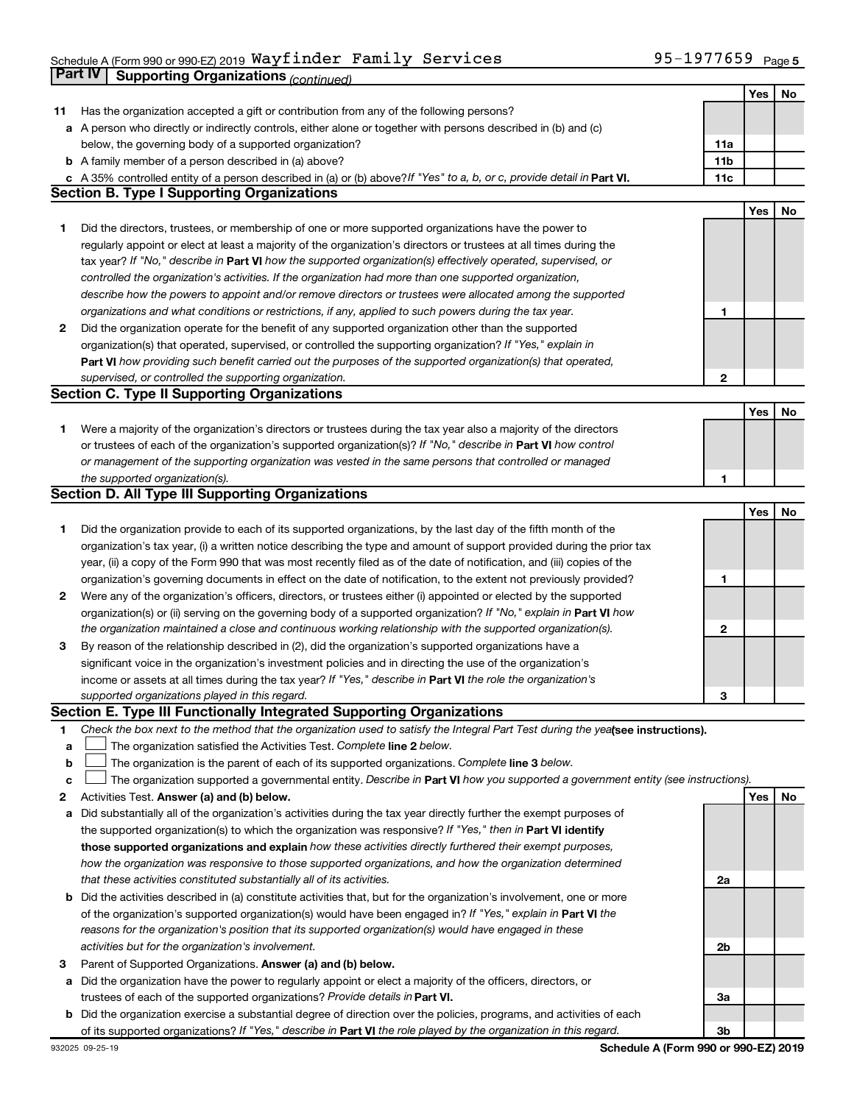### Schedule A (Form 990 or 990-EZ) 2019  $\mathtt{Wayfinder}$   $\mathtt{Family}$  Services  $95\text{--}1977659$   $_\mathtt{Page}$ **Part IV Supporting Organizations** *(continued)*

|    |                                                                                                                                 |              | Yes | No |
|----|---------------------------------------------------------------------------------------------------------------------------------|--------------|-----|----|
| 11 | Has the organization accepted a gift or contribution from any of the following persons?                                         |              |     |    |
|    | a A person who directly or indirectly controls, either alone or together with persons described in (b) and (c)                  |              |     |    |
|    | below, the governing body of a supported organization?                                                                          | 11a          |     |    |
|    | <b>b</b> A family member of a person described in (a) above?                                                                    | 11b          |     |    |
|    | A 35% controlled entity of a person described in (a) or (b) above? If "Yes" to a, b, or c, provide detail in Part VI.           | 11c          |     |    |
|    | <b>Section B. Type I Supporting Organizations</b>                                                                               |              |     |    |
|    |                                                                                                                                 |              | Yes | No |
| 1  | Did the directors, trustees, or membership of one or more supported organizations have the power to                             |              |     |    |
|    | regularly appoint or elect at least a majority of the organization's directors or trustees at all times during the              |              |     |    |
|    | tax year? If "No," describe in Part VI how the supported organization(s) effectively operated, supervised, or                   |              |     |    |
|    | controlled the organization's activities. If the organization had more than one supported organization,                         |              |     |    |
|    | describe how the powers to appoint and/or remove directors or trustees were allocated among the supported                       |              |     |    |
|    | organizations and what conditions or restrictions, if any, applied to such powers during the tax year.                          | 1            |     |    |
| 2  | Did the organization operate for the benefit of any supported organization other than the supported                             |              |     |    |
|    |                                                                                                                                 |              |     |    |
|    | organization(s) that operated, supervised, or controlled the supporting organization? If "Yes," explain in                      |              |     |    |
|    | Part VI how providing such benefit carried out the purposes of the supported organization(s) that operated,                     |              |     |    |
|    | supervised, or controlled the supporting organization.                                                                          | $\mathbf{2}$ |     |    |
|    | <b>Section C. Type II Supporting Organizations</b>                                                                              |              |     |    |
|    |                                                                                                                                 |              | Yes | No |
| 1  | Were a majority of the organization's directors or trustees during the tax year also a majority of the directors                |              |     |    |
|    | or trustees of each of the organization's supported organization(s)? If "No," describe in Part VI how control                   |              |     |    |
|    | or management of the supporting organization was vested in the same persons that controlled or managed                          |              |     |    |
|    | the supported organization(s).                                                                                                  | 1            |     |    |
|    | <b>Section D. All Type III Supporting Organizations</b>                                                                         |              |     |    |
|    |                                                                                                                                 |              | Yes | No |
| 1  | Did the organization provide to each of its supported organizations, by the last day of the fifth month of the                  |              |     |    |
|    | organization's tax year, (i) a written notice describing the type and amount of support provided during the prior tax           |              |     |    |
|    | year, (ii) a copy of the Form 990 that was most recently filed as of the date of notification, and (iii) copies of the          |              |     |    |
|    | organization's governing documents in effect on the date of notification, to the extent not previously provided?                | 1            |     |    |
| 2  | Were any of the organization's officers, directors, or trustees either (i) appointed or elected by the supported                |              |     |    |
|    | organization(s) or (ii) serving on the governing body of a supported organization? If "No," explain in Part VI how              |              |     |    |
|    | the organization maintained a close and continuous working relationship with the supported organization(s).                     | 2            |     |    |
| 3  | By reason of the relationship described in (2), did the organization's supported organizations have a                           |              |     |    |
|    | significant voice in the organization's investment policies and in directing the use of the organization's                      |              |     |    |
|    | income or assets at all times during the tax year? If "Yes," describe in Part VI the role the organization's                    |              |     |    |
|    | supported organizations played in this regard.                                                                                  | З            |     |    |
|    | <b>Section E. Type III Functionally Integrated Supporting Organizations</b>                                                     |              |     |    |
| 1  | Check the box next to the method that the organization used to satisfy the Integral Part Test during the yealsee instructions). |              |     |    |
| а  | The organization satisfied the Activities Test. Complete line 2 below.                                                          |              |     |    |
| b  | The organization is the parent of each of its supported organizations. Complete line 3 below.                                   |              |     |    |
| с  | The organization supported a governmental entity. Describe in Part VI how you supported a government entity (see instructions). |              |     |    |
| 2  | Activities Test. Answer (a) and (b) below.                                                                                      |              | Yes | No |
| а  | Did substantially all of the organization's activities during the tax year directly further the exempt purposes of              |              |     |    |
|    | the supported organization(s) to which the organization was responsive? If "Yes," then in Part VI identify                      |              |     |    |
|    | those supported organizations and explain how these activities directly furthered their exempt purposes,                        |              |     |    |
|    | how the organization was responsive to those supported organizations, and how the organization determined                       |              |     |    |
|    | that these activities constituted substantially all of its activities.                                                          | 2a           |     |    |
| b  | Did the activities described in (a) constitute activities that, but for the organization's involvement, one or more             |              |     |    |
|    | of the organization's supported organization(s) would have been engaged in? If "Yes," explain in Part VI the                    |              |     |    |
|    | reasons for the organization's position that its supported organization(s) would have engaged in these                          |              |     |    |
|    | activities but for the organization's involvement.                                                                              | 2b           |     |    |
|    | Parent of Supported Organizations. Answer (a) and (b) below.                                                                    |              |     |    |
| з  |                                                                                                                                 |              |     |    |
| а  | Did the organization have the power to regularly appoint or elect a majority of the officers, directors, or                     |              |     |    |
|    | trustees of each of the supported organizations? Provide details in Part VI.                                                    | За           |     |    |
| b  | Did the organization exercise a substantial degree of direction over the policies, programs, and activities of each             |              |     |    |
|    | of its supported organizations? If "Yes," describe in Part VI the role played by the organization in this regard.               | 3b           |     |    |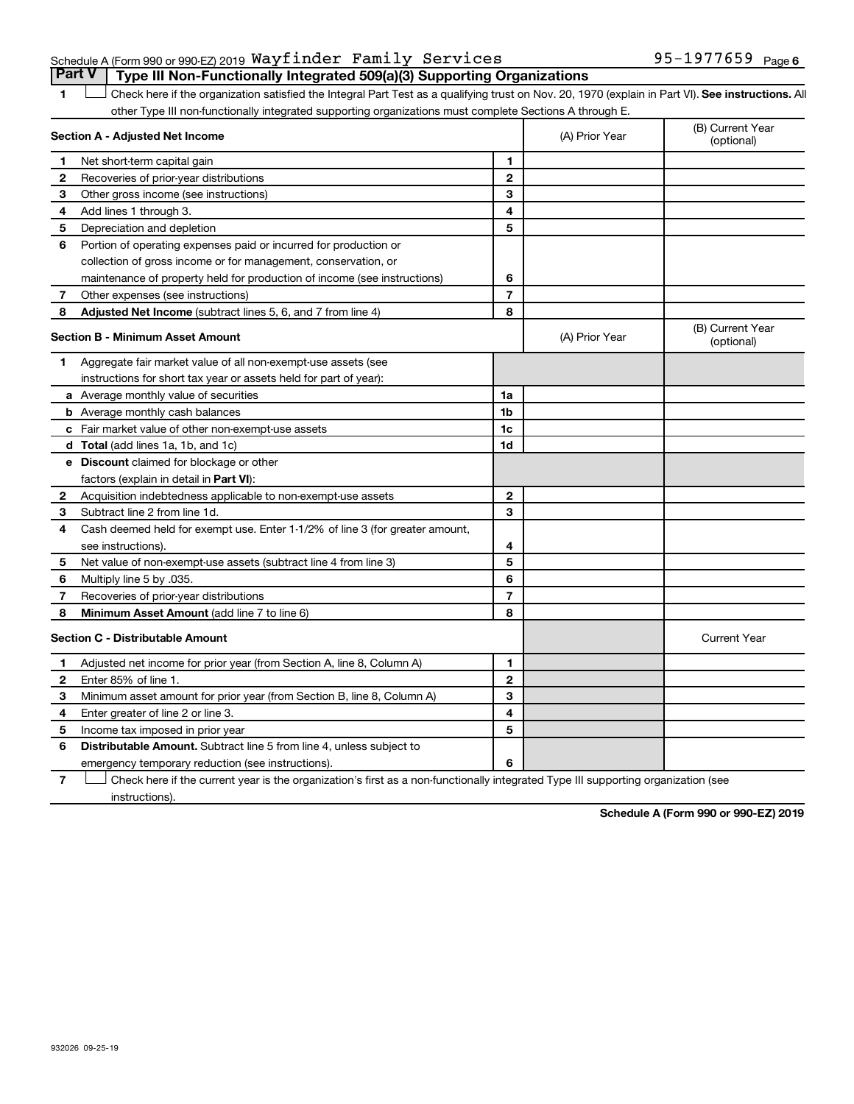#### Schedule A (Form 990 or 990-EZ) 2019  $\mathtt{Wayfinder}$   $\mathtt{Family}$  Services  $95\text{--}1977659$   $_\mathtt{Page}$ **Part V Type III Non-Functionally Integrated 509(a)(3) Supporting Organizations**

1 **Letter See instructions.** All Check here if the organization satisfied the Integral Part Test as a qualifying trust on Nov. 20, 1970 (explain in Part VI). See instructions. All other Type III non-functionally integrated supporting organizations must complete Sections A through E.

|              | Section A - Adjusted Net Income                                              |                | (A) Prior Year | (B) Current Year<br>(optional) |
|--------------|------------------------------------------------------------------------------|----------------|----------------|--------------------------------|
| 1            | Net short-term capital gain                                                  | 1              |                |                                |
| 2            | Recoveries of prior-year distributions                                       | $\mathbf{2}$   |                |                                |
| з            | Other gross income (see instructions)                                        | 3              |                |                                |
| 4            | Add lines 1 through 3.                                                       | 4              |                |                                |
| 5            | Depreciation and depletion                                                   | 5              |                |                                |
| 6            | Portion of operating expenses paid or incurred for production or             |                |                |                                |
|              | collection of gross income or for management, conservation, or               |                |                |                                |
|              | maintenance of property held for production of income (see instructions)     | 6              |                |                                |
| 7            | Other expenses (see instructions)                                            | $\overline{7}$ |                |                                |
| 8            | Adjusted Net Income (subtract lines 5, 6, and 7 from line 4)                 | 8              |                |                                |
|              | <b>Section B - Minimum Asset Amount</b>                                      |                | (A) Prior Year | (B) Current Year<br>(optional) |
| 1.           | Aggregate fair market value of all non-exempt-use assets (see                |                |                |                                |
|              | instructions for short tax year or assets held for part of year):            |                |                |                                |
|              | a Average monthly value of securities                                        | 1a             |                |                                |
|              | <b>b</b> Average monthly cash balances                                       | 1b             |                |                                |
|              | c Fair market value of other non-exempt-use assets                           | 1c             |                |                                |
|              | <b>d</b> Total (add lines 1a, 1b, and 1c)                                    | 1 <sub>d</sub> |                |                                |
|              | e Discount claimed for blockage or other                                     |                |                |                                |
|              | factors (explain in detail in <b>Part VI</b> ):                              |                |                |                                |
| 2            | Acquisition indebtedness applicable to non-exempt-use assets                 | $\mathbf{2}$   |                |                                |
| 3            | Subtract line 2 from line 1d.                                                | 3              |                |                                |
| 4            | Cash deemed held for exempt use. Enter 1-1/2% of line 3 (for greater amount, |                |                |                                |
|              | see instructions).                                                           | 4              |                |                                |
| 5            | Net value of non-exempt-use assets (subtract line 4 from line 3)             | 5              |                |                                |
| 6            | Multiply line 5 by .035.                                                     | 6              |                |                                |
| 7            | Recoveries of prior-year distributions                                       | $\overline{7}$ |                |                                |
| 8            | Minimum Asset Amount (add line 7 to line 6)                                  | 8              |                |                                |
|              | <b>Section C - Distributable Amount</b>                                      |                |                | <b>Current Year</b>            |
| 1            | Adjusted net income for prior year (from Section A, line 8, Column A)        | 1              |                |                                |
| $\mathbf{2}$ | Enter 85% of line 1.                                                         | $\mathbf{2}$   |                |                                |
| З            | Minimum asset amount for prior year (from Section B, line 8, Column A)       | 3              |                |                                |
| 4            | Enter greater of line 2 or line 3.                                           | 4              |                |                                |
| 5            | Income tax imposed in prior year                                             | 5              |                |                                |
| 6            | <b>Distributable Amount.</b> Subtract line 5 from line 4, unless subject to  |                |                |                                |
|              | emergency temporary reduction (see instructions).                            | 6              |                |                                |

**7** Let Check here if the current year is the organization's first as a non-functionally integrated Type III supporting organization (see instructions).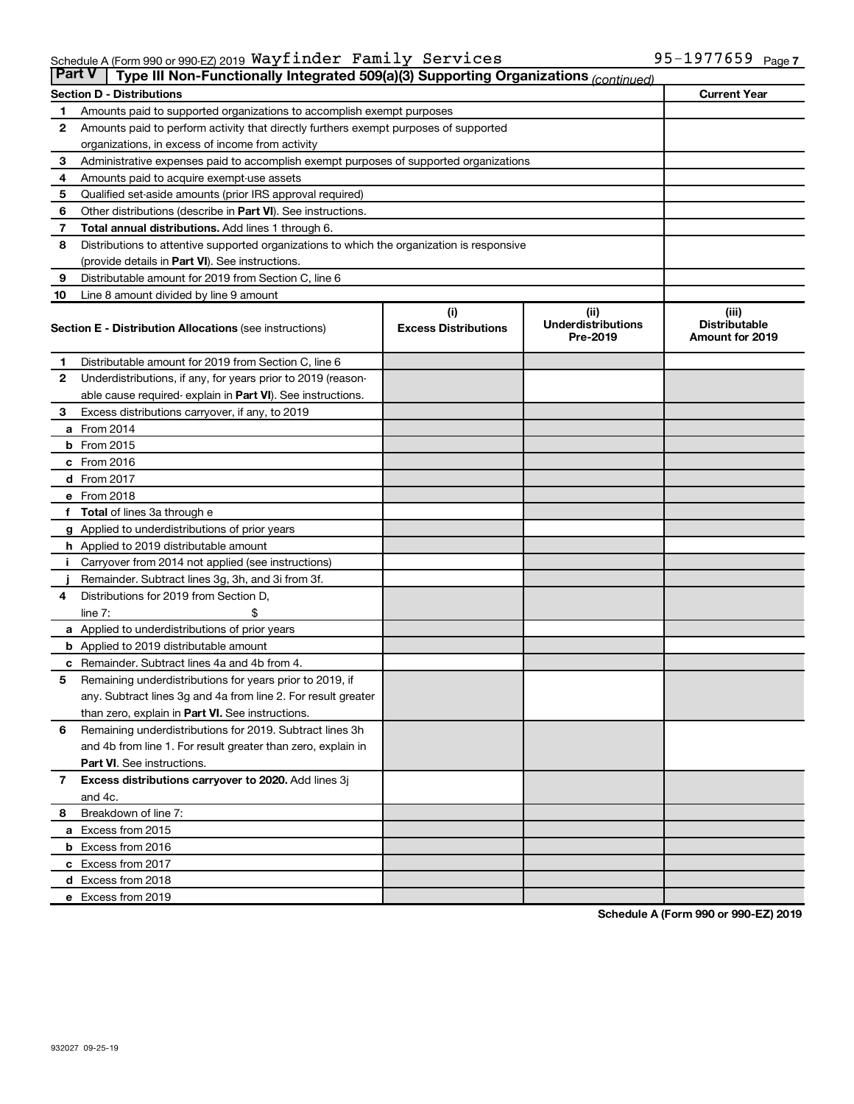| <b>Part V</b>  | Type III Non-Functionally Integrated 509(a)(3) Supporting Organizations (continued)        |                             |                                       |                                                |  |  |  |
|----------------|--------------------------------------------------------------------------------------------|-----------------------------|---------------------------------------|------------------------------------------------|--|--|--|
|                | <b>Current Year</b><br><b>Section D - Distributions</b>                                    |                             |                                       |                                                |  |  |  |
| 1              | Amounts paid to supported organizations to accomplish exempt purposes                      |                             |                                       |                                                |  |  |  |
| $\mathbf{2}$   | Amounts paid to perform activity that directly furthers exempt purposes of supported       |                             |                                       |                                                |  |  |  |
|                | organizations, in excess of income from activity                                           |                             |                                       |                                                |  |  |  |
| 3              | Administrative expenses paid to accomplish exempt purposes of supported organizations      |                             |                                       |                                                |  |  |  |
| 4              | Amounts paid to acquire exempt-use assets                                                  |                             |                                       |                                                |  |  |  |
| 5              | Qualified set-aside amounts (prior IRS approval required)                                  |                             |                                       |                                                |  |  |  |
| 6              | Other distributions (describe in <b>Part VI</b> ). See instructions.                       |                             |                                       |                                                |  |  |  |
| 7              | Total annual distributions. Add lines 1 through 6.                                         |                             |                                       |                                                |  |  |  |
| 8              | Distributions to attentive supported organizations to which the organization is responsive |                             |                                       |                                                |  |  |  |
|                | (provide details in Part VI). See instructions.                                            |                             |                                       |                                                |  |  |  |
| 9              | Distributable amount for 2019 from Section C, line 6                                       |                             |                                       |                                                |  |  |  |
| 10             | Line 8 amount divided by line 9 amount                                                     |                             |                                       |                                                |  |  |  |
|                |                                                                                            | (i)                         | (ii)                                  | (iii)                                          |  |  |  |
|                | <b>Section E - Distribution Allocations (see instructions)</b>                             | <b>Excess Distributions</b> | <b>Underdistributions</b><br>Pre-2019 | <b>Distributable</b><br><b>Amount for 2019</b> |  |  |  |
| 1              | Distributable amount for 2019 from Section C, line 6                                       |                             |                                       |                                                |  |  |  |
| $\mathbf{2}$   | Underdistributions, if any, for years prior to 2019 (reason-                               |                             |                                       |                                                |  |  |  |
|                | able cause required- explain in Part VI). See instructions.                                |                             |                                       |                                                |  |  |  |
| 3              | Excess distributions carryover, if any, to 2019                                            |                             |                                       |                                                |  |  |  |
|                | a From 2014                                                                                |                             |                                       |                                                |  |  |  |
|                | $b$ From 2015                                                                              |                             |                                       |                                                |  |  |  |
|                | c From 2016                                                                                |                             |                                       |                                                |  |  |  |
|                | d From 2017                                                                                |                             |                                       |                                                |  |  |  |
|                | e From 2018                                                                                |                             |                                       |                                                |  |  |  |
|                | f Total of lines 3a through e                                                              |                             |                                       |                                                |  |  |  |
|                | <b>g</b> Applied to underdistributions of prior years                                      |                             |                                       |                                                |  |  |  |
|                | <b>h</b> Applied to 2019 distributable amount                                              |                             |                                       |                                                |  |  |  |
| Ť.             | Carryover from 2014 not applied (see instructions)                                         |                             |                                       |                                                |  |  |  |
|                | Remainder. Subtract lines 3g, 3h, and 3i from 3f.                                          |                             |                                       |                                                |  |  |  |
| 4              | Distributions for 2019 from Section D,                                                     |                             |                                       |                                                |  |  |  |
|                | line $7:$                                                                                  |                             |                                       |                                                |  |  |  |
|                | <b>a</b> Applied to underdistributions of prior years                                      |                             |                                       |                                                |  |  |  |
|                | <b>b</b> Applied to 2019 distributable amount                                              |                             |                                       |                                                |  |  |  |
| c              | Remainder. Subtract lines 4a and 4b from 4.                                                |                             |                                       |                                                |  |  |  |
| 5              | Remaining underdistributions for years prior to 2019, if                                   |                             |                                       |                                                |  |  |  |
|                | any. Subtract lines 3g and 4a from line 2. For result greater                              |                             |                                       |                                                |  |  |  |
|                | than zero, explain in Part VI. See instructions.                                           |                             |                                       |                                                |  |  |  |
| 6              | Remaining underdistributions for 2019. Subtract lines 3h                                   |                             |                                       |                                                |  |  |  |
|                | and 4b from line 1. For result greater than zero, explain in                               |                             |                                       |                                                |  |  |  |
|                | <b>Part VI.</b> See instructions.                                                          |                             |                                       |                                                |  |  |  |
| $\overline{7}$ | Excess distributions carryover to 2020. Add lines 3j                                       |                             |                                       |                                                |  |  |  |
|                | and 4c.                                                                                    |                             |                                       |                                                |  |  |  |
| 8              | Breakdown of line 7:                                                                       |                             |                                       |                                                |  |  |  |
|                | a Excess from 2015                                                                         |                             |                                       |                                                |  |  |  |
|                | <b>b</b> Excess from 2016                                                                  |                             |                                       |                                                |  |  |  |
|                | c Excess from 2017                                                                         |                             |                                       |                                                |  |  |  |
|                | d Excess from 2018                                                                         |                             |                                       |                                                |  |  |  |
|                | e Excess from 2019                                                                         |                             |                                       |                                                |  |  |  |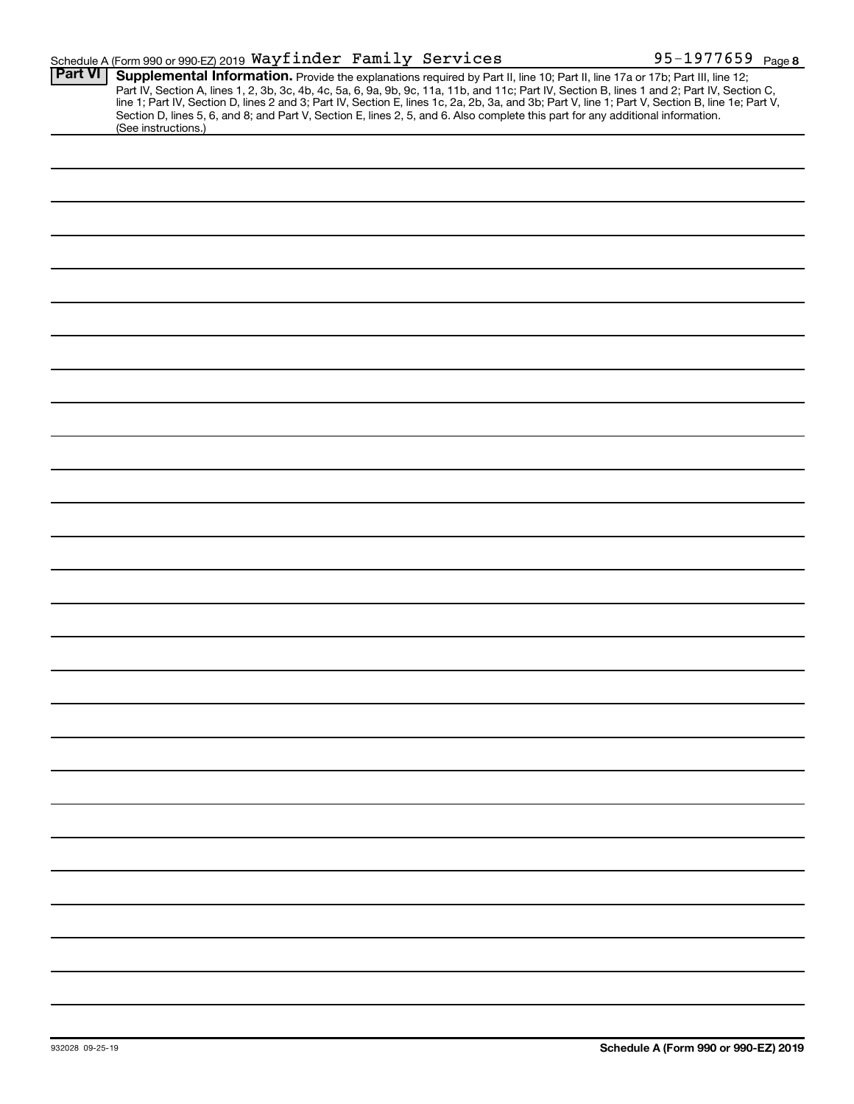|                | Schedule A (Form 990 or 990-EZ) 2019 Wayfinder Family Services                                                                                                                                                                                                                                                                                                                                                                                                                                                                                                                              |  | 95-1977659 Page 8 |
|----------------|---------------------------------------------------------------------------------------------------------------------------------------------------------------------------------------------------------------------------------------------------------------------------------------------------------------------------------------------------------------------------------------------------------------------------------------------------------------------------------------------------------------------------------------------------------------------------------------------|--|-------------------|
| <b>Part VI</b> | Supplemental Information. Provide the explanations required by Part II, line 10; Part II, line 17a or 17b; Part III, line 12;<br>Part IV, Section A, lines 1, 2, 3b, 3c, 4b, 4c, 5a, 6, 9a, 9b, 9c, 11a, 11b, and 11c; Part IV, Section B, lines 1 and 2; Part IV, Section C,<br>line 1; Part IV, Section D, lines 2 and 3; Part IV, Section E, lines 1c, 2a, 2b, 3a, and 3b; Part V, line 1; Part V, Section B, line 1e; Part V,<br>Section D, lines 5, 6, and 8; and Part V, Section E, lines 2, 5, and 6. Also complete this part for any additional information.<br>(See instructions.) |  |                   |
|                |                                                                                                                                                                                                                                                                                                                                                                                                                                                                                                                                                                                             |  |                   |
|                |                                                                                                                                                                                                                                                                                                                                                                                                                                                                                                                                                                                             |  |                   |
|                |                                                                                                                                                                                                                                                                                                                                                                                                                                                                                                                                                                                             |  |                   |
|                |                                                                                                                                                                                                                                                                                                                                                                                                                                                                                                                                                                                             |  |                   |
|                |                                                                                                                                                                                                                                                                                                                                                                                                                                                                                                                                                                                             |  |                   |
|                |                                                                                                                                                                                                                                                                                                                                                                                                                                                                                                                                                                                             |  |                   |
|                |                                                                                                                                                                                                                                                                                                                                                                                                                                                                                                                                                                                             |  |                   |
|                |                                                                                                                                                                                                                                                                                                                                                                                                                                                                                                                                                                                             |  |                   |
|                |                                                                                                                                                                                                                                                                                                                                                                                                                                                                                                                                                                                             |  |                   |
|                |                                                                                                                                                                                                                                                                                                                                                                                                                                                                                                                                                                                             |  |                   |
|                |                                                                                                                                                                                                                                                                                                                                                                                                                                                                                                                                                                                             |  |                   |
|                |                                                                                                                                                                                                                                                                                                                                                                                                                                                                                                                                                                                             |  |                   |
|                |                                                                                                                                                                                                                                                                                                                                                                                                                                                                                                                                                                                             |  |                   |
|                |                                                                                                                                                                                                                                                                                                                                                                                                                                                                                                                                                                                             |  |                   |
|                |                                                                                                                                                                                                                                                                                                                                                                                                                                                                                                                                                                                             |  |                   |
|                |                                                                                                                                                                                                                                                                                                                                                                                                                                                                                                                                                                                             |  |                   |
|                |                                                                                                                                                                                                                                                                                                                                                                                                                                                                                                                                                                                             |  |                   |
|                |                                                                                                                                                                                                                                                                                                                                                                                                                                                                                                                                                                                             |  |                   |
|                |                                                                                                                                                                                                                                                                                                                                                                                                                                                                                                                                                                                             |  |                   |
|                |                                                                                                                                                                                                                                                                                                                                                                                                                                                                                                                                                                                             |  |                   |
|                |                                                                                                                                                                                                                                                                                                                                                                                                                                                                                                                                                                                             |  |                   |
|                |                                                                                                                                                                                                                                                                                                                                                                                                                                                                                                                                                                                             |  |                   |
|                |                                                                                                                                                                                                                                                                                                                                                                                                                                                                                                                                                                                             |  |                   |
|                |                                                                                                                                                                                                                                                                                                                                                                                                                                                                                                                                                                                             |  |                   |
|                |                                                                                                                                                                                                                                                                                                                                                                                                                                                                                                                                                                                             |  |                   |
|                |                                                                                                                                                                                                                                                                                                                                                                                                                                                                                                                                                                                             |  |                   |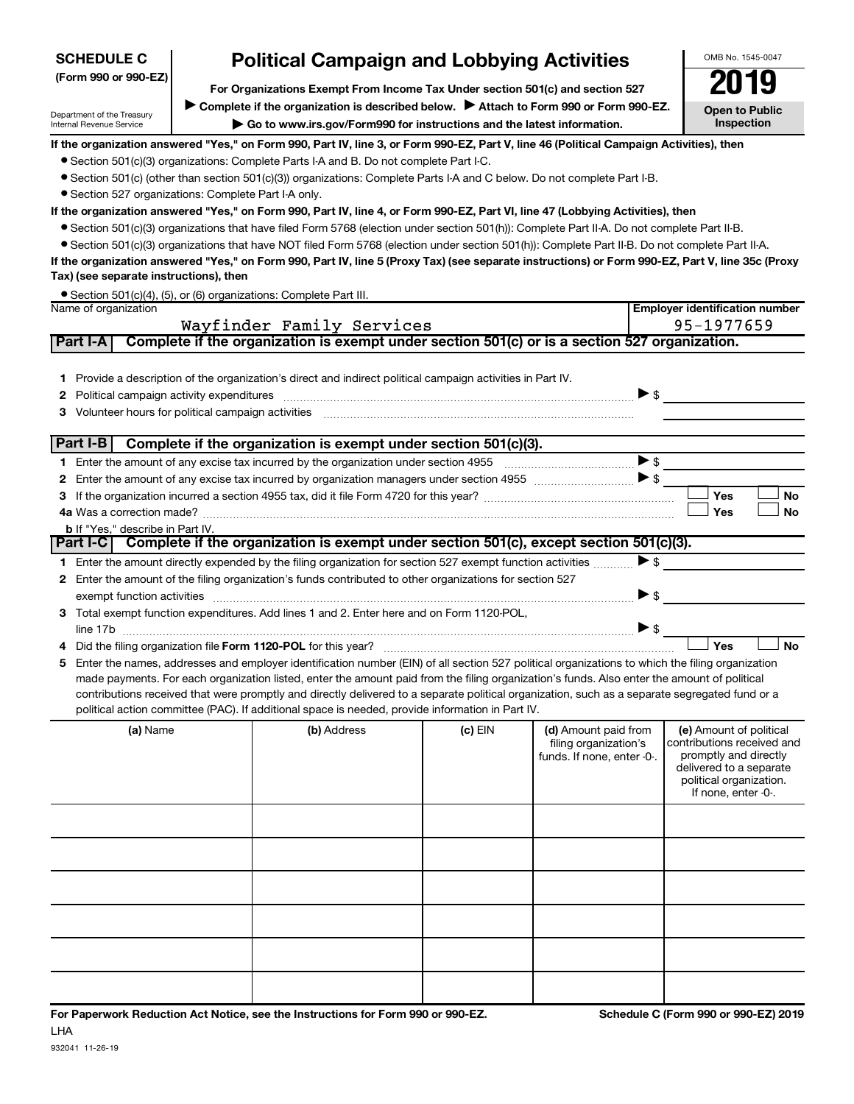| <b>Political Campaign and Lobbying Activities</b><br><b>SCHEDULE C</b> |                                                                                                                                                                                        |                                                                                                                                                                                                                  |         |                            |                                                     |  |  |  |  |
|------------------------------------------------------------------------|----------------------------------------------------------------------------------------------------------------------------------------------------------------------------------------|------------------------------------------------------------------------------------------------------------------------------------------------------------------------------------------------------------------|---------|----------------------------|-----------------------------------------------------|--|--|--|--|
| (Form 990 or 990-EZ)                                                   | <b>TY</b>                                                                                                                                                                              |                                                                                                                                                                                                                  |         |                            |                                                     |  |  |  |  |
|                                                                        |                                                                                                                                                                                        | For Organizations Exempt From Income Tax Under section 501(c) and section 527<br>Complete if the organization is described below. > Attach to Form 990 or Form 990-EZ.                                           |         |                            |                                                     |  |  |  |  |
| Department of the Treasury<br>Internal Revenue Service                 |                                                                                                                                                                                        | Go to www.irs.gov/Form990 for instructions and the latest information.                                                                                                                                           |         |                            | <b>Open to Public</b><br><b>Inspection</b>          |  |  |  |  |
|                                                                        |                                                                                                                                                                                        | If the organization answered "Yes," on Form 990, Part IV, line 3, or Form 990-EZ, Part V, line 46 (Political Campaign Activities), then                                                                          |         |                            |                                                     |  |  |  |  |
|                                                                        |                                                                                                                                                                                        | • Section 501(c)(3) organizations: Complete Parts I-A and B. Do not complete Part I-C.                                                                                                                           |         |                            |                                                     |  |  |  |  |
|                                                                        | • Section 501(c) (other than section 501(c)(3)) organizations: Complete Parts I-A and C below. Do not complete Part I-B.                                                               |                                                                                                                                                                                                                  |         |                            |                                                     |  |  |  |  |
|                                                                        | • Section 527 organizations: Complete Part I-A only.<br>If the organization answered "Yes," on Form 990, Part IV, line 4, or Form 990-EZ, Part VI, line 47 (Lobbying Activities), then |                                                                                                                                                                                                                  |         |                            |                                                     |  |  |  |  |
|                                                                        |                                                                                                                                                                                        | ● Section 501(c)(3) organizations that have filed Form 5768 (election under section 501(h)): Complete Part II-A. Do not complete Part II-B.                                                                      |         |                            |                                                     |  |  |  |  |
|                                                                        |                                                                                                                                                                                        | • Section 501(c)(3) organizations that have NOT filed Form 5768 (election under section 501(h)): Complete Part II-B. Do not complete Part II-A.                                                                  |         |                            |                                                     |  |  |  |  |
|                                                                        |                                                                                                                                                                                        | If the organization answered "Yes," on Form 990, Part IV, line 5 (Proxy Tax) (see separate instructions) or Form 990-EZ, Part V, line 35c (Proxy                                                                 |         |                            |                                                     |  |  |  |  |
| Tax) (see separate instructions), then                                 |                                                                                                                                                                                        |                                                                                                                                                                                                                  |         |                            |                                                     |  |  |  |  |
|                                                                        |                                                                                                                                                                                        | • Section 501(c)(4), (5), or (6) organizations: Complete Part III.                                                                                                                                               |         |                            |                                                     |  |  |  |  |
| Name of organization                                                   |                                                                                                                                                                                        |                                                                                                                                                                                                                  |         |                            | <b>Employer identification number</b><br>95-1977659 |  |  |  |  |
| Part I-A                                                               |                                                                                                                                                                                        | Wayfinder Family Services<br>Complete if the organization is exempt under section 501(c) or is a section 527 organization.                                                                                       |         |                            |                                                     |  |  |  |  |
|                                                                        |                                                                                                                                                                                        |                                                                                                                                                                                                                  |         |                            |                                                     |  |  |  |  |
| 1.                                                                     |                                                                                                                                                                                        | Provide a description of the organization's direct and indirect political campaign activities in Part IV.                                                                                                        |         |                            |                                                     |  |  |  |  |
| Political campaign activity expenditures<br>2                          |                                                                                                                                                                                        |                                                                                                                                                                                                                  |         | $\triangleright$ \$        |                                                     |  |  |  |  |
| Volunteer hours for political campaign activities<br>3                 |                                                                                                                                                                                        |                                                                                                                                                                                                                  |         |                            |                                                     |  |  |  |  |
|                                                                        |                                                                                                                                                                                        |                                                                                                                                                                                                                  |         |                            |                                                     |  |  |  |  |
| Part I-B                                                               |                                                                                                                                                                                        | Complete if the organization is exempt under section 501(c)(3).                                                                                                                                                  |         |                            |                                                     |  |  |  |  |
|                                                                        |                                                                                                                                                                                        |                                                                                                                                                                                                                  |         |                            | >                                                   |  |  |  |  |
| 2                                                                      |                                                                                                                                                                                        |                                                                                                                                                                                                                  |         |                            |                                                     |  |  |  |  |
| З                                                                      |                                                                                                                                                                                        |                                                                                                                                                                                                                  |         |                            | Yes<br><b>No</b>                                    |  |  |  |  |
| <b>b</b> If "Yes," describe in Part IV.                                |                                                                                                                                                                                        |                                                                                                                                                                                                                  |         |                            | Yes<br>No                                           |  |  |  |  |
|                                                                        |                                                                                                                                                                                        | Part I-C   Complete if the organization is exempt under section 501(c), except section 501(c)(3).                                                                                                                |         |                            |                                                     |  |  |  |  |
|                                                                        |                                                                                                                                                                                        | 1 Enter the amount directly expended by the filing organization for section 527 exempt function activities                                                                                                       |         | $\blacktriangleright$ \$   |                                                     |  |  |  |  |
| 2                                                                      |                                                                                                                                                                                        | Enter the amount of the filing organization's funds contributed to other organizations for section 527                                                                                                           |         |                            |                                                     |  |  |  |  |
|                                                                        |                                                                                                                                                                                        |                                                                                                                                                                                                                  |         | ▶ \$                       |                                                     |  |  |  |  |
|                                                                        |                                                                                                                                                                                        | 3 Total exempt function expenditures. Add lines 1 and 2. Enter here and on Form 1120-POL,                                                                                                                        |         |                            |                                                     |  |  |  |  |
|                                                                        |                                                                                                                                                                                        |                                                                                                                                                                                                                  |         | $\triangleright$ \$        |                                                     |  |  |  |  |
| 4                                                                      |                                                                                                                                                                                        | Did the filing organization file Form 1120-POL for this year?<br>Enter the names, addresses and employer identification number (EIN) of all section 527 political organizations to which the filing organization |         |                            | <b>No</b><br>Yes                                    |  |  |  |  |
| 5                                                                      |                                                                                                                                                                                        | made payments. For each organization listed, enter the amount paid from the filing organization's funds. Also enter the amount of political                                                                      |         |                            |                                                     |  |  |  |  |
|                                                                        |                                                                                                                                                                                        | contributions received that were promptly and directly delivered to a separate political organization, such as a separate segregated fund or a                                                                   |         |                            |                                                     |  |  |  |  |
|                                                                        |                                                                                                                                                                                        | political action committee (PAC). If additional space is needed, provide information in Part IV.                                                                                                                 |         |                            |                                                     |  |  |  |  |
| (a) Name                                                               |                                                                                                                                                                                        | (b) Address                                                                                                                                                                                                      | (c) EIN | (d) Amount paid from       | (e) Amount of political                             |  |  |  |  |
|                                                                        |                                                                                                                                                                                        |                                                                                                                                                                                                                  |         | filing organization's      | contributions received and                          |  |  |  |  |
|                                                                        |                                                                                                                                                                                        |                                                                                                                                                                                                                  |         | funds. If none, enter -0-. | promptly and directly<br>delivered to a separate    |  |  |  |  |
|                                                                        |                                                                                                                                                                                        |                                                                                                                                                                                                                  |         |                            | political organization.                             |  |  |  |  |
|                                                                        |                                                                                                                                                                                        |                                                                                                                                                                                                                  |         |                            | If none, enter -0-.                                 |  |  |  |  |
|                                                                        |                                                                                                                                                                                        |                                                                                                                                                                                                                  |         |                            |                                                     |  |  |  |  |
|                                                                        |                                                                                                                                                                                        |                                                                                                                                                                                                                  |         |                            |                                                     |  |  |  |  |
|                                                                        |                                                                                                                                                                                        |                                                                                                                                                                                                                  |         |                            |                                                     |  |  |  |  |
|                                                                        |                                                                                                                                                                                        |                                                                                                                                                                                                                  |         |                            |                                                     |  |  |  |  |
|                                                                        |                                                                                                                                                                                        |                                                                                                                                                                                                                  |         |                            |                                                     |  |  |  |  |
|                                                                        |                                                                                                                                                                                        |                                                                                                                                                                                                                  |         |                            |                                                     |  |  |  |  |
|                                                                        |                                                                                                                                                                                        |                                                                                                                                                                                                                  |         |                            |                                                     |  |  |  |  |
|                                                                        |                                                                                                                                                                                        |                                                                                                                                                                                                                  |         |                            |                                                     |  |  |  |  |
|                                                                        |                                                                                                                                                                                        |                                                                                                                                                                                                                  |         |                            |                                                     |  |  |  |  |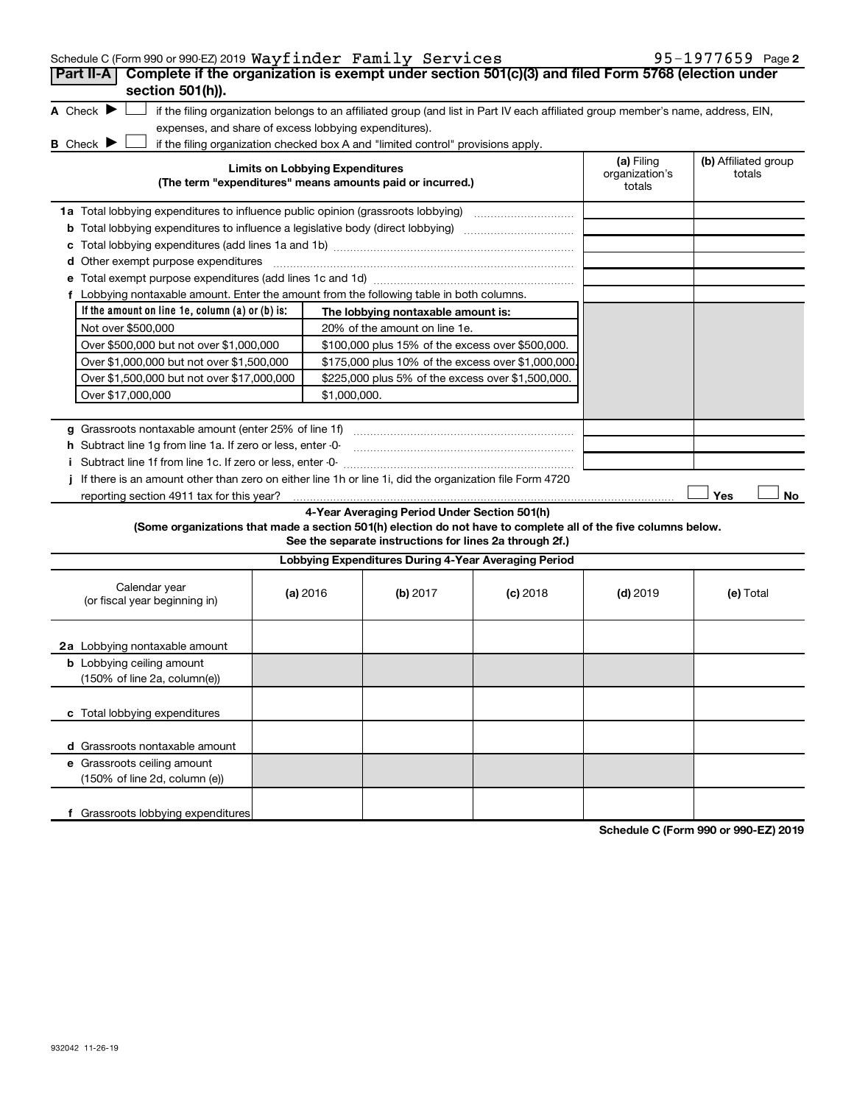| Schedule C (Form 990 or 990-EZ) 2019 $\mathtt{Wayfilter}$ $\mathtt{Family}$ $\mathtt{Services}$ |  |  | 95-1977659 Page 2 |  |
|-------------------------------------------------------------------------------------------------|--|--|-------------------|--|
|-------------------------------------------------------------------------------------------------|--|--|-------------------|--|

| Complete if the organization is exempt under section 501(c)(3) and filed Form 5768 (election under<br><b>Part II-A</b><br>section 501(h)). |                                                                                                                                   |              |                                                                                                         |            |                                        |                                |  |
|--------------------------------------------------------------------------------------------------------------------------------------------|-----------------------------------------------------------------------------------------------------------------------------------|--------------|---------------------------------------------------------------------------------------------------------|------------|----------------------------------------|--------------------------------|--|
| A Check $\blacktriangleright$                                                                                                              | if the filing organization belongs to an affiliated group (and list in Part IV each affiliated group member's name, address, EIN, |              |                                                                                                         |            |                                        |                                |  |
| expenses, and share of excess lobbying expenditures).                                                                                      |                                                                                                                                   |              |                                                                                                         |            |                                        |                                |  |
| B Check $\blacktriangleright$                                                                                                              |                                                                                                                                   |              | if the filing organization checked box A and "limited control" provisions apply.                        |            |                                        |                                |  |
|                                                                                                                                            | <b>Limits on Lobbying Expenditures</b>                                                                                            |              | (The term "expenditures" means amounts paid or incurred.)                                               |            | (a) Filing<br>organization's<br>totals | (b) Affiliated group<br>totals |  |
| 1a Total lobbying expenditures to influence public opinion (grassroots lobbying)                                                           |                                                                                                                                   |              |                                                                                                         |            |                                        |                                |  |
| <b>b</b> Total lobbying expenditures to influence a legislative body (direct lobbying) <i>manumumumum</i>                                  |                                                                                                                                   |              |                                                                                                         |            |                                        |                                |  |
|                                                                                                                                            |                                                                                                                                   |              |                                                                                                         |            |                                        |                                |  |
| d Other exempt purpose expenditures                                                                                                        |                                                                                                                                   |              |                                                                                                         |            |                                        |                                |  |
|                                                                                                                                            |                                                                                                                                   |              |                                                                                                         |            |                                        |                                |  |
| f Lobbying nontaxable amount. Enter the amount from the following table in both columns.                                                   |                                                                                                                                   |              |                                                                                                         |            |                                        |                                |  |
| If the amount on line $1e$ , column $(a)$ or $(b)$ is:                                                                                     |                                                                                                                                   |              | The lobbying nontaxable amount is:                                                                      |            |                                        |                                |  |
| Not over \$500,000                                                                                                                         |                                                                                                                                   |              | 20% of the amount on line 1e.                                                                           |            |                                        |                                |  |
| Over \$500,000 but not over \$1,000,000                                                                                                    |                                                                                                                                   |              | \$100,000 plus 15% of the excess over \$500,000.                                                        |            |                                        |                                |  |
| Over \$1,000,000 but not over \$1,500,000                                                                                                  |                                                                                                                                   |              | \$175,000 plus 10% of the excess over \$1,000,000                                                       |            |                                        |                                |  |
| Over \$1,500,000 but not over \$17,000,000                                                                                                 |                                                                                                                                   |              | \$225,000 plus 5% of the excess over \$1,500,000.                                                       |            |                                        |                                |  |
| Over \$17,000,000                                                                                                                          |                                                                                                                                   | \$1,000,000. |                                                                                                         |            |                                        |                                |  |
|                                                                                                                                            |                                                                                                                                   |              |                                                                                                         |            |                                        |                                |  |
| g Grassroots nontaxable amount (enter 25% of line 1f)                                                                                      |                                                                                                                                   |              |                                                                                                         |            |                                        |                                |  |
| h Subtract line 1g from line 1a. If zero or less, enter -0-                                                                                |                                                                                                                                   |              |                                                                                                         |            |                                        |                                |  |
|                                                                                                                                            |                                                                                                                                   |              |                                                                                                         |            |                                        |                                |  |
| If there is an amount other than zero on either line 1h or line 1i, did the organization file Form 4720                                    |                                                                                                                                   |              |                                                                                                         |            |                                        |                                |  |
| reporting section 4911 tax for this year?                                                                                                  |                                                                                                                                   |              |                                                                                                         |            |                                        | Yes<br>No                      |  |
| (Some organizations that made a section 501(h) election do not have to complete all of the five columns below.                             |                                                                                                                                   |              | 4-Year Averaging Period Under Section 501(h)<br>See the separate instructions for lines 2a through 2f.) |            |                                        |                                |  |
|                                                                                                                                            |                                                                                                                                   |              | Lobbying Expenditures During 4-Year Averaging Period                                                    |            |                                        |                                |  |
| Calendar year<br>(or fiscal year beginning in)                                                                                             | (a) 2016                                                                                                                          |              | (b) 2017                                                                                                | $(c)$ 2018 | $(d)$ 2019                             | (e) Total                      |  |
| 2a Lobbying nontaxable amount                                                                                                              |                                                                                                                                   |              |                                                                                                         |            |                                        |                                |  |
| <b>b</b> Lobbying ceiling amount                                                                                                           |                                                                                                                                   |              |                                                                                                         |            |                                        |                                |  |
| (150% of line 2a, column(e))                                                                                                               |                                                                                                                                   |              |                                                                                                         |            |                                        |                                |  |
| c Total lobbying expenditures                                                                                                              |                                                                                                                                   |              |                                                                                                         |            |                                        |                                |  |
|                                                                                                                                            |                                                                                                                                   |              |                                                                                                         |            |                                        |                                |  |
| d Grassroots nontaxable amount                                                                                                             |                                                                                                                                   |              |                                                                                                         |            |                                        |                                |  |
| e Grassroots ceiling amount                                                                                                                |                                                                                                                                   |              |                                                                                                         |            |                                        |                                |  |
| (150% of line 2d, column (e))                                                                                                              |                                                                                                                                   |              |                                                                                                         |            |                                        |                                |  |
| f Grassroots lobbying expenditures                                                                                                         |                                                                                                                                   |              |                                                                                                         |            |                                        |                                |  |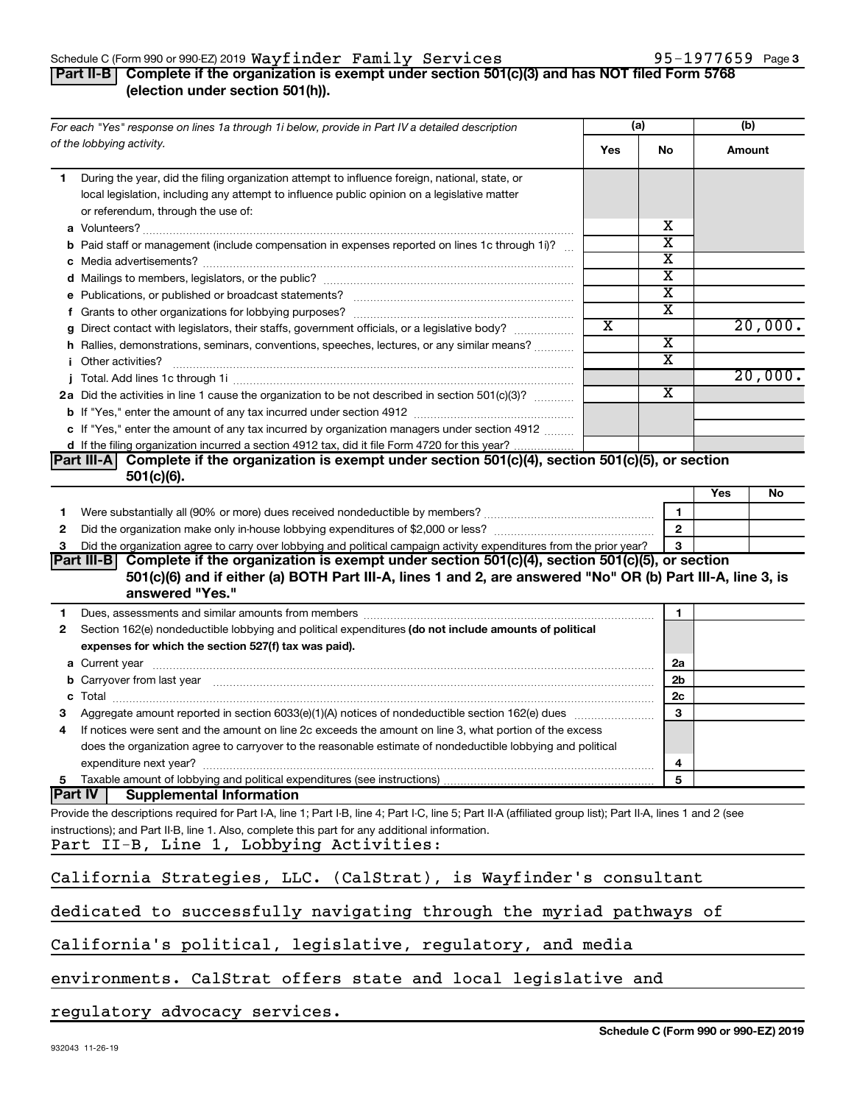#### Schedule C (Form 990 or 990-EZ) 2019 <code>Waytinder Family Services</code>  $95-1977659$  Page Wayfinder Family Services 95-1977659

### 95-1977659 Page 3

### **Part II-B Complete if the organization is exempt under section 501(c)(3) and has NOT filed Form 5768 (election under section 501(h)).**

|    | For each "Yes" response on lines 1a through 1i below, provide in Part IV a detailed description                                                                                                                                      | (a) |                         | (b)    |         |
|----|--------------------------------------------------------------------------------------------------------------------------------------------------------------------------------------------------------------------------------------|-----|-------------------------|--------|---------|
|    | of the lobbying activity.                                                                                                                                                                                                            | Yes | No.                     | Amount |         |
| 1. | During the year, did the filing organization attempt to influence foreign, national, state, or<br>local legislation, including any attempt to influence public opinion on a legislative matter<br>or referendum, through the use of: |     |                         |        |         |
|    |                                                                                                                                                                                                                                      |     | х                       |        |         |
|    | <b>b</b> Paid staff or management (include compensation in expenses reported on lines 1c through 1i)?                                                                                                                                |     | $\overline{\textbf{x}}$ |        |         |
|    |                                                                                                                                                                                                                                      |     | $\overline{\textbf{x}}$ |        |         |
|    |                                                                                                                                                                                                                                      |     | $\overline{\textbf{x}}$ |        |         |
|    |                                                                                                                                                                                                                                      |     | $\overline{\textbf{x}}$ |        |         |
|    |                                                                                                                                                                                                                                      |     | X                       |        |         |
|    | g Direct contact with legislators, their staffs, government officials, or a legislative body?                                                                                                                                        | х   |                         |        | 20,000. |
|    | h Rallies, demonstrations, seminars, conventions, speeches, lectures, or any similar means?                                                                                                                                          |     | $\overline{\text{x}}$   |        |         |
|    | Other activities?                                                                                                                                                                                                                    |     | X                       |        |         |
|    |                                                                                                                                                                                                                                      |     |                         |        | 20,000. |
|    | 2a Did the activities in line 1 cause the organization to be not described in section 501(c)(3)?                                                                                                                                     |     | X                       |        |         |
|    |                                                                                                                                                                                                                                      |     |                         |        |         |
|    | c If "Yes," enter the amount of any tax incurred by organization managers under section 4912                                                                                                                                         |     |                         |        |         |
|    | d If the filing organization incurred a section 4912 tax, did it file Form 4720 for this year?                                                                                                                                       |     |                         |        |         |
|    | Complete if the organization is exempt under section 501(c)(4), section 501(c)(5), or section<br> Part III-A <br>$501(c)(6)$ .                                                                                                       |     |                         |        |         |
|    |                                                                                                                                                                                                                                      |     |                         | Yes    | No      |
| 1. |                                                                                                                                                                                                                                      |     | 1                       |        |         |
| 2  |                                                                                                                                                                                                                                      |     | $\mathbf{2}$            |        |         |
| 3  | Did the organization agree to carry over lobbying and political campaign activity expenditures from the prior year?                                                                                                                  |     | 3                       |        |         |
|    | <b>Part III-B</b><br>Complete if the organization is exempt under section 501(c)(4), section 501(c)(5), or section                                                                                                                   |     |                         |        |         |
|    | 501(c)(6) and if either (a) BOTH Part III-A, lines 1 and 2, are answered "No" OR (b) Part III-A, line 3, is                                                                                                                          |     |                         |        |         |
|    | answered "Yes."                                                                                                                                                                                                                      |     |                         |        |         |
| 1. | Dues, assessments and similar amounts from members [11] matter contracts are assessments and similar amounts from members [11] matter contracts and similar amounts from members [11] matter contracts and similar amounts fro       |     | 1                       |        |         |
| 2  | Section 162(e) nondeductible lobbying and political expenditures (do not include amounts of political                                                                                                                                |     |                         |        |         |
|    | expenses for which the section 527(f) tax was paid).                                                                                                                                                                                 |     |                         |        |         |
|    |                                                                                                                                                                                                                                      |     | 2a                      |        |         |
|    | b Carryover from last year manufactured and contract the contract of the contract of the contract of the contract of contract of contract of contract of contract of contract of contract of contract of contract of contract        |     | 2b                      |        |         |
| с  |                                                                                                                                                                                                                                      |     | 2c                      |        |         |
|    | Aggregate amount reported in section 6033(e)(1)(A) notices of nondeductible section 162(e) dues manufactured                                                                                                                         |     | 3                       |        |         |
| 4  | If notices were sent and the amount on line 2c exceeds the amount on line 3, what portion of the excess                                                                                                                              |     |                         |        |         |
|    | does the organization agree to carryover to the reasonable estimate of nondeductible lobbying and political                                                                                                                          |     |                         |        |         |
|    | expenditure next year?<br>5 Taxable amount of lobbying and political expenditures (see instructions)                                                                                                                                 |     | 4<br>5                  |        |         |
|    | <b>Part IV</b><br><b>Supplemental Information</b>                                                                                                                                                                                    |     |                         |        |         |
|    | Provide the descriptions required for Part I-A, line 1; Part I-B, line 4; Part I-C, line 5; Part II-A (affiliated group list); Part II-A, lines 1 and 2 (see                                                                         |     |                         |        |         |
|    | instructions); and Part II-B, line 1. Also, complete this part for any additional information.                                                                                                                                       |     |                         |        |         |
|    | Part II-B, Line 1, Lobbying Activities:                                                                                                                                                                                              |     |                         |        |         |
|    |                                                                                                                                                                                                                                      |     |                         |        |         |
|    | California Strategies, LLC. (CalStrat), is Wayfinder's consultant                                                                                                                                                                    |     |                         |        |         |
|    | dedicated to successfully navigating through the myriad pathways of                                                                                                                                                                  |     |                         |        |         |
|    | California's political, legislative, regulatory, and media                                                                                                                                                                           |     |                         |        |         |
|    | environments. CalStrat offers state and local legislative and                                                                                                                                                                        |     |                         |        |         |
|    | regulatory advocacy services.                                                                                                                                                                                                        |     |                         |        |         |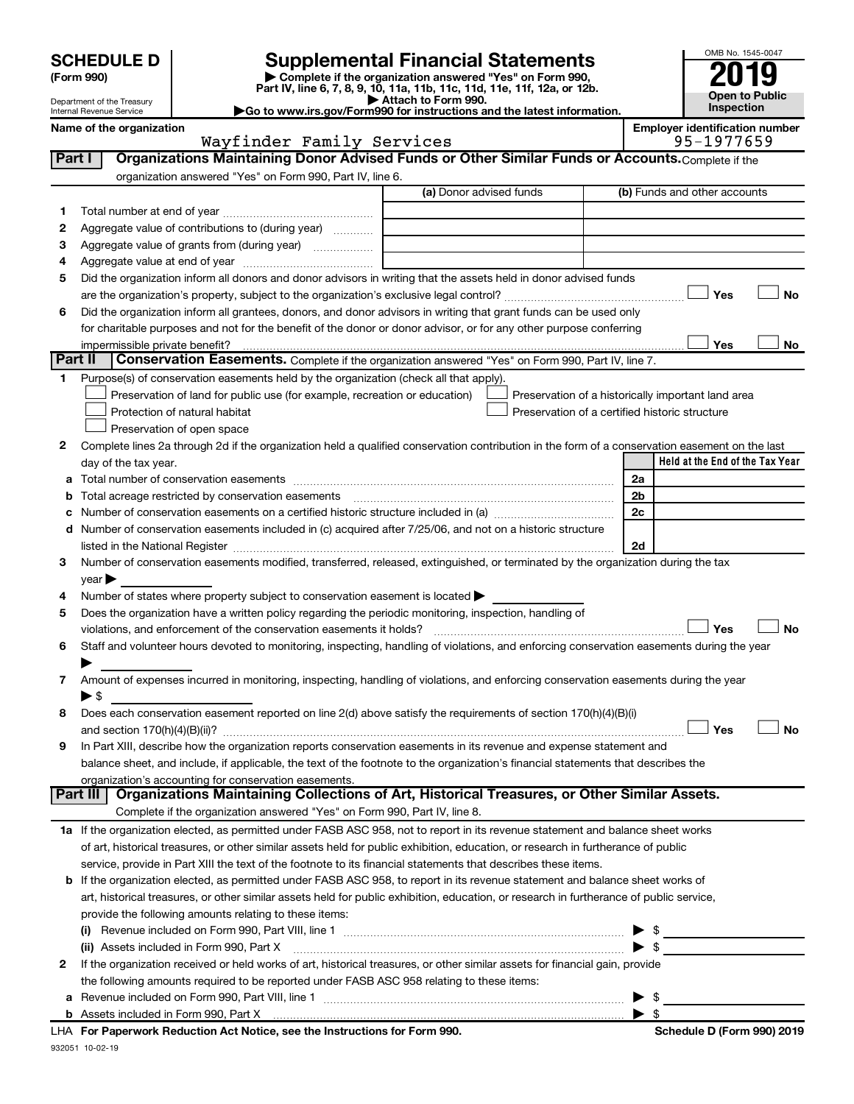932051 10-02-19

## **SCHEDULE D Supplemental Financial Statements**<br> **Form 990 2019**<br> **Part IV** line 6.7.8.9.10, 11a, 11b, 11d, 11d, 11d, 11d, 11d, 12a, 0r, 12b

**(Form 990) | Complete if the organization answered "Yes" on Form 990, Part IV, line 6, 7, 8, 9, 10, 11a, 11b, 11c, 11d, 11e, 11f, 12a, or 12b.**

**| Attach to Form 990. |Go to www.irs.gov/Form990 for instructions and the latest information.**



Department of the Treasury Internal Revenue Service

Name of the organization<br>**Wayfinder Family Services** Proces Research Mayfinder Family Services Proces All the service of the system of the Mayfinder Family Services Wayfinder Family Services

| <b>Part I</b> | Organizations Maintaining Donor Advised Funds or Other Similar Funds or Accounts. Complete if the                                                                                                                             |                         |                                                    |
|---------------|-------------------------------------------------------------------------------------------------------------------------------------------------------------------------------------------------------------------------------|-------------------------|----------------------------------------------------|
|               | organization answered "Yes" on Form 990, Part IV, line 6.                                                                                                                                                                     | (a) Donor advised funds | (b) Funds and other accounts                       |
| 1.            |                                                                                                                                                                                                                               |                         |                                                    |
| 2             | Aggregate value of contributions to (during year)                                                                                                                                                                             |                         |                                                    |
| з             | Aggregate value of grants from (during year)                                                                                                                                                                                  |                         |                                                    |
| 4             |                                                                                                                                                                                                                               |                         |                                                    |
| 5             | Did the organization inform all donors and donor advisors in writing that the assets held in donor advised funds                                                                                                              |                         |                                                    |
|               |                                                                                                                                                                                                                               |                         | <b>No</b><br>Yes                                   |
| 6             | Did the organization inform all grantees, donors, and donor advisors in writing that grant funds can be used only                                                                                                             |                         |                                                    |
|               | for charitable purposes and not for the benefit of the donor or donor advisor, or for any other purpose conferring                                                                                                            |                         |                                                    |
|               |                                                                                                                                                                                                                               |                         | Yes<br>No                                          |
| Part II       | Conservation Easements. Complete if the organization answered "Yes" on Form 990, Part IV, line 7.                                                                                                                             |                         |                                                    |
| 1             | Purpose(s) of conservation easements held by the organization (check all that apply).                                                                                                                                         |                         |                                                    |
|               | Preservation of land for public use (for example, recreation or education)                                                                                                                                                    |                         | Preservation of a historically important land area |
|               | Protection of natural habitat                                                                                                                                                                                                 |                         | Preservation of a certified historic structure     |
|               | Preservation of open space                                                                                                                                                                                                    |                         |                                                    |
| 2             | Complete lines 2a through 2d if the organization held a qualified conservation contribution in the form of a conservation easement on the last                                                                                |                         |                                                    |
|               | day of the tax year.                                                                                                                                                                                                          |                         | Held at the End of the Tax Year                    |
| а             |                                                                                                                                                                                                                               |                         | 2a                                                 |
| b             |                                                                                                                                                                                                                               |                         | 2 <sub>b</sub>                                     |
| с             |                                                                                                                                                                                                                               |                         | 2c                                                 |
| d             | Number of conservation easements included in (c) acquired after 7/25/06, and not on a historic structure                                                                                                                      |                         |                                                    |
|               | listed in the National Register [11, 1200] and the National Register [11, 1200] and the National Register [11, 1200] and the National Register [11, 1200] and the National Register [11, 1200] and the National Register [11, |                         | 2d                                                 |
| 3             | Number of conservation easements modified, transferred, released, extinguished, or terminated by the organization during the tax                                                                                              |                         |                                                    |
|               | $year \triangleright$                                                                                                                                                                                                         |                         |                                                    |
| 4             | Number of states where property subject to conservation easement is located >                                                                                                                                                 |                         |                                                    |
| 5             | Does the organization have a written policy regarding the periodic monitoring, inspection, handling of                                                                                                                        |                         |                                                    |
|               | violations, and enforcement of the conservation easements it holds?                                                                                                                                                           |                         | <b>No</b><br>Yes                                   |
| 6             | Staff and volunteer hours devoted to monitoring, inspecting, handling of violations, and enforcing conservation easements during the year                                                                                     |                         |                                                    |
|               |                                                                                                                                                                                                                               |                         |                                                    |
| 7             | Amount of expenses incurred in monitoring, inspecting, handling of violations, and enforcing conservation easements during the year                                                                                           |                         |                                                    |
|               | ▶ \$                                                                                                                                                                                                                          |                         |                                                    |
| 8             | Does each conservation easement reported on line 2(d) above satisfy the requirements of section 170(h)(4)(B)(i)                                                                                                               |                         |                                                    |
|               |                                                                                                                                                                                                                               |                         | Yes<br>No                                          |
| 9             | In Part XIII, describe how the organization reports conservation easements in its revenue and expense statement and                                                                                                           |                         |                                                    |
|               | balance sheet, and include, if applicable, the text of the footnote to the organization's financial statements that describes the                                                                                             |                         |                                                    |
|               | organization's accounting for conservation easements.<br>Organizations Maintaining Collections of Art, Historical Treasures, or Other Similar Assets.<br>  Part III                                                           |                         |                                                    |
|               | Complete if the organization answered "Yes" on Form 990, Part IV, line 8.                                                                                                                                                     |                         |                                                    |
|               | 1a If the organization elected, as permitted under FASB ASC 958, not to report in its revenue statement and balance sheet works                                                                                               |                         |                                                    |
|               | of art, historical treasures, or other similar assets held for public exhibition, education, or research in furtherance of public                                                                                             |                         |                                                    |
|               | service, provide in Part XIII the text of the footnote to its financial statements that describes these items.                                                                                                                |                         |                                                    |
|               | <b>b</b> If the organization elected, as permitted under FASB ASC 958, to report in its revenue statement and balance sheet works of                                                                                          |                         |                                                    |
|               | art, historical treasures, or other similar assets held for public exhibition, education, or research in furtherance of public service,                                                                                       |                         |                                                    |
|               | provide the following amounts relating to these items:                                                                                                                                                                        |                         |                                                    |
|               |                                                                                                                                                                                                                               |                         | \$                                                 |
|               | (ii) Assets included in Form 990, Part X                                                                                                                                                                                      |                         | $\blacktriangleright$ \$                           |
| $\mathbf{2}$  | If the organization received or held works of art, historical treasures, or other similar assets for financial gain, provide                                                                                                  |                         |                                                    |
|               | the following amounts required to be reported under FASB ASC 958 relating to these items:                                                                                                                                     |                         |                                                    |
| а             |                                                                                                                                                                                                                               |                         | \$                                                 |
|               |                                                                                                                                                                                                                               |                         | $\blacktriangleright$ s                            |
|               | LHA For Paperwork Reduction Act Notice, see the Instructions for Form 990.                                                                                                                                                    |                         | Schedule D (Form 990) 2019                         |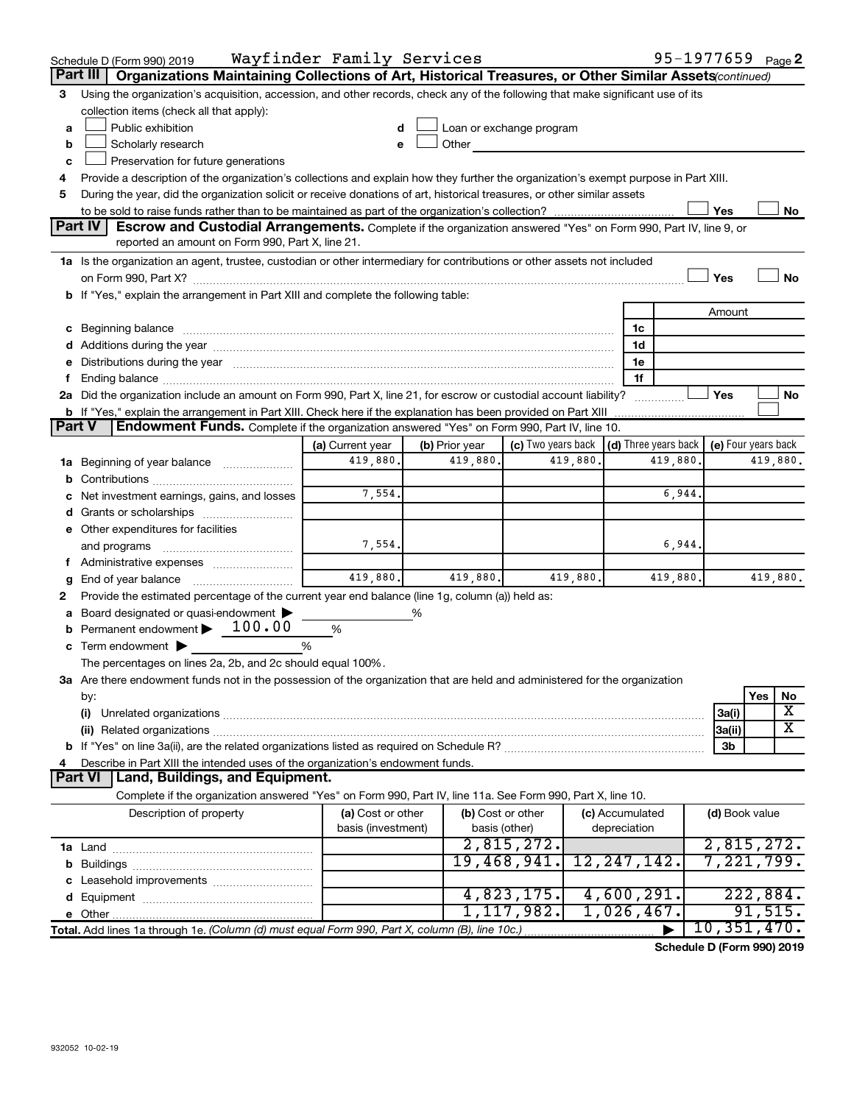|        | Schedule D (Form 990) 2019                                                                                                                                                                                                     | Wayfinder Family Services |                |                           |          |                      | 95-1977659 <sub>Page</sub> 2 |                          |         |                         |
|--------|--------------------------------------------------------------------------------------------------------------------------------------------------------------------------------------------------------------------------------|---------------------------|----------------|---------------------------|----------|----------------------|------------------------------|--------------------------|---------|-------------------------|
|        | Part III<br>Organizations Maintaining Collections of Art, Historical Treasures, or Other Similar Assets (continued)                                                                                                            |                           |                |                           |          |                      |                              |                          |         |                         |
| 3      | Using the organization's acquisition, accession, and other records, check any of the following that make significant use of its                                                                                                |                           |                |                           |          |                      |                              |                          |         |                         |
|        | collection items (check all that apply):                                                                                                                                                                                       |                           |                |                           |          |                      |                              |                          |         |                         |
| a      | Public exhibition                                                                                                                                                                                                              |                           |                | Loan or exchange program  |          |                      |                              |                          |         |                         |
| b      | Scholarly research                                                                                                                                                                                                             | e                         | Other          |                           |          |                      |                              |                          |         |                         |
| с      | Preservation for future generations                                                                                                                                                                                            |                           |                |                           |          |                      |                              |                          |         |                         |
|        | Provide a description of the organization's collections and explain how they further the organization's exempt purpose in Part XIII.                                                                                           |                           |                |                           |          |                      |                              |                          |         |                         |
| 5      | During the year, did the organization solicit or receive donations of art, historical treasures, or other similar assets                                                                                                       |                           |                |                           |          |                      |                              |                          |         |                         |
|        |                                                                                                                                                                                                                                |                           |                |                           |          |                      |                              | Yes                      |         | No                      |
|        | <b>Part IV</b><br><b>Escrow and Custodial Arrangements.</b> Complete if the organization answered "Yes" on Form 990, Part IV, line 9, or                                                                                       |                           |                |                           |          |                      |                              |                          |         |                         |
|        | reported an amount on Form 990, Part X, line 21.                                                                                                                                                                               |                           |                |                           |          |                      |                              |                          |         |                         |
|        | 1a Is the organization an agent, trustee, custodian or other intermediary for contributions or other assets not included                                                                                                       |                           |                |                           |          |                      |                              |                          |         |                         |
|        |                                                                                                                                                                                                                                |                           |                |                           |          |                      |                              | Yes                      |         | No                      |
|        | b If "Yes," explain the arrangement in Part XIII and complete the following table:                                                                                                                                             |                           |                |                           |          |                      |                              |                          |         |                         |
|        |                                                                                                                                                                                                                                |                           |                |                           |          |                      |                              | Amount                   |         |                         |
|        | c Beginning balance measurements and the contract of the contract of the contract of the contract of the contract of the contract of the contract of the contract of the contract of the contract of the contract of the contr |                           |                |                           |          | 1c                   |                              |                          |         |                         |
|        |                                                                                                                                                                                                                                |                           |                |                           |          | 1d                   |                              |                          |         |                         |
|        | e Distributions during the year manufactured and continuum and contract the year manufactured and contract the                                                                                                                 |                           |                |                           |          | 1e                   |                              |                          |         |                         |
|        | 2a Did the organization include an amount on Form 990, Part X, line 21, for escrow or custodial account liability?                                                                                                             |                           |                |                           |          | 1f                   |                              | Yes                      |         | No                      |
|        | <b>b</b> If "Yes," explain the arrangement in Part XIII. Check here if the explanation has been provided on Part XIII                                                                                                          |                           |                |                           |          |                      |                              |                          |         |                         |
| Part V | Endowment Funds. Complete if the organization answered "Yes" on Form 990, Part IV, line 10.                                                                                                                                    |                           |                |                           |          |                      |                              |                          |         |                         |
|        |                                                                                                                                                                                                                                | (a) Current year          | (b) Prior year | (c) Two years back        |          | (d) Three years back |                              | (e) Four years back      |         |                         |
|        | <b>1a</b> Beginning of year balance                                                                                                                                                                                            | 419,880.                  | 419,880.       |                           | 419,880. |                      | 419,880.                     |                          |         | 419,880.                |
|        |                                                                                                                                                                                                                                |                           |                |                           |          |                      |                              |                          |         |                         |
|        | Net investment earnings, gains, and losses                                                                                                                                                                                     | 7,554.                    |                |                           |          |                      | 6,944.                       |                          |         |                         |
|        |                                                                                                                                                                                                                                |                           |                |                           |          |                      |                              |                          |         |                         |
|        | e Other expenditures for facilities                                                                                                                                                                                            |                           |                |                           |          |                      |                              |                          |         |                         |
|        | and programs                                                                                                                                                                                                                   | 7,554.                    |                |                           |          |                      | 6,944.                       |                          |         |                         |
|        | f Administrative expenses                                                                                                                                                                                                      |                           |                |                           |          |                      |                              |                          |         |                         |
| g      |                                                                                                                                                                                                                                | 419,880.                  | 419,880.       |                           | 419,880. |                      | 419,880.                     |                          |         | 419,880.                |
|        | Provide the estimated percentage of the current year end balance (line 1g, column (a)) held as:                                                                                                                                |                           |                |                           |          |                      |                              |                          |         |                         |
|        | Board designated or quasi-endowment                                                                                                                                                                                            |                           | %              |                           |          |                      |                              |                          |         |                         |
|        | <b>b</b> Permanent endowment $\blacktriangleright$ 100.00                                                                                                                                                                      | %                         |                |                           |          |                      |                              |                          |         |                         |
|        | <b>c</b> Term endowment $\blacktriangleright$                                                                                                                                                                                  | %                         |                |                           |          |                      |                              |                          |         |                         |
|        | The percentages on lines 2a, 2b, and 2c should equal 100%.                                                                                                                                                                     |                           |                |                           |          |                      |                              |                          |         |                         |
|        | 3a Are there endowment funds not in the possession of the organization that are held and administered for the organization                                                                                                     |                           |                |                           |          |                      |                              |                          |         |                         |
|        | by:                                                                                                                                                                                                                            |                           |                |                           |          |                      |                              |                          | Yes     | No                      |
|        | (i)                                                                                                                                                                                                                            |                           |                |                           |          |                      |                              | 3a(i)                    |         | х                       |
|        |                                                                                                                                                                                                                                |                           |                |                           |          |                      |                              | 3a(ii)                   |         | $\overline{\textbf{X}}$ |
|        |                                                                                                                                                                                                                                |                           |                |                           |          |                      |                              | 3b                       |         |                         |
|        | Describe in Part XIII the intended uses of the organization's endowment funds.                                                                                                                                                 |                           |                |                           |          |                      |                              |                          |         |                         |
|        | Land, Buildings, and Equipment.<br>Part VI                                                                                                                                                                                     |                           |                |                           |          |                      |                              |                          |         |                         |
|        | Complete if the organization answered "Yes" on Form 990, Part IV, line 11a. See Form 990, Part X, line 10.                                                                                                                     |                           |                |                           |          |                      |                              |                          |         |                         |
|        | Description of property                                                                                                                                                                                                        | (a) Cost or other         |                | (b) Cost or other         |          | (c) Accumulated      |                              | (d) Book value           |         |                         |
|        |                                                                                                                                                                                                                                | basis (investment)        |                | basis (other)             |          | depreciation         |                              |                          |         |                         |
|        |                                                                                                                                                                                                                                |                           |                | 2,815,272.<br>19,468,941. |          | 12, 247, 142.        |                              | 2,815,272.<br>7,221,799. |         |                         |
|        |                                                                                                                                                                                                                                |                           |                |                           |          |                      |                              |                          |         |                         |
|        |                                                                                                                                                                                                                                |                           |                | 4,823,175.                |          | 4,600,291.           |                              |                          |         | 222,884.                |
|        |                                                                                                                                                                                                                                |                           |                | 1,117,982.                |          | 1,026,467.           |                              |                          | 91,515. |                         |
|        | e Other.                                                                                                                                                                                                                       |                           |                |                           |          |                      |                              | 10, 351, 470.            |         |                         |
|        | Total. Add lines 1a through 1e. (Column (d) must equal Form 990, Part X, column (B), line 10c.)                                                                                                                                |                           |                |                           |          |                      |                              |                          |         |                         |

**Schedule D (Form 990) 2019**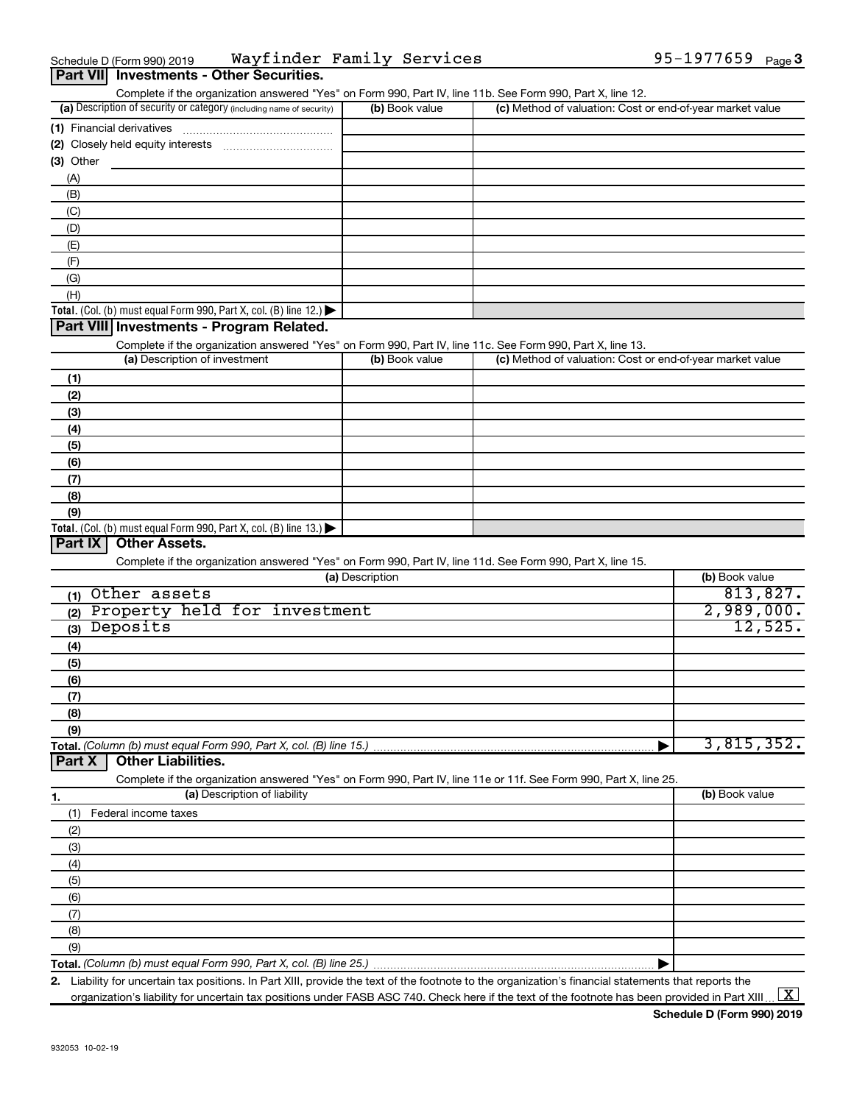|                                                                      | Complete if the organization answered "Yes" on Form 990, Part IV, line 11b. See Form 990, Part X, line 12. |                                                           |  |  |  |  |  |
|----------------------------------------------------------------------|------------------------------------------------------------------------------------------------------------|-----------------------------------------------------------|--|--|--|--|--|
| (a) Description of security or category (including name of security) | (b) Book value                                                                                             | (c) Method of valuation: Cost or end-of-year market value |  |  |  |  |  |
| (1) Financial derivatives                                            |                                                                                                            |                                                           |  |  |  |  |  |
| (2) Closely held equity interests                                    |                                                                                                            |                                                           |  |  |  |  |  |
| $(3)$ Other                                                          |                                                                                                            |                                                           |  |  |  |  |  |
| (A)                                                                  |                                                                                                            |                                                           |  |  |  |  |  |
| (B)                                                                  |                                                                                                            |                                                           |  |  |  |  |  |
| (C)                                                                  |                                                                                                            |                                                           |  |  |  |  |  |
| (D)                                                                  |                                                                                                            |                                                           |  |  |  |  |  |
| (E)                                                                  |                                                                                                            |                                                           |  |  |  |  |  |
| (F)                                                                  |                                                                                                            |                                                           |  |  |  |  |  |
| (G)                                                                  |                                                                                                            |                                                           |  |  |  |  |  |
| (H)                                                                  |                                                                                                            |                                                           |  |  |  |  |  |
| Total. (Col. (b) must equal Form 990, Part X, col. (B) line $12$ .)  |                                                                                                            |                                                           |  |  |  |  |  |

#### **Part VIII Investments - Program Related.**

Complete if the organization answered "Yes" on Form 990, Part IV, line 11c. See Form 990, Part X, line 13.

| (a) Description of investment                                                           | (b) Book value | (c) Method of valuation: Cost or end-of-year market value |
|-----------------------------------------------------------------------------------------|----------------|-----------------------------------------------------------|
| (1)                                                                                     |                |                                                           |
| (2)                                                                                     |                |                                                           |
| (3)                                                                                     |                |                                                           |
| (4)                                                                                     |                |                                                           |
| (5)                                                                                     |                |                                                           |
| (6)                                                                                     |                |                                                           |
| (7)                                                                                     |                |                                                           |
| (8)                                                                                     |                |                                                           |
| (9)                                                                                     |                |                                                           |
| Total. (Col. (b) must equal Form 990, Part X, col. (B) line $13.$ $\blacktriangleright$ |                |                                                           |

#### **Part IX Other Assets.**

Complete if the organization answered "Yes" on Form 990, Part IV, line 11d. See Form 990, Part X, line 15.

| (a) Description                                                                                                   | (b) Book value |
|-------------------------------------------------------------------------------------------------------------------|----------------|
| Other assets<br>(1)                                                                                               | 813,827.       |
| Property held for investment<br>(2)                                                                               | 2,989,000.     |
| Deposits<br>(3)                                                                                                   | 12,525.        |
| (4)                                                                                                               |                |
| (5)                                                                                                               |                |
| (6)                                                                                                               |                |
| (7)                                                                                                               |                |
| (8)                                                                                                               |                |
| (9)                                                                                                               |                |
|                                                                                                                   | 3,815,352.     |
| <b>Other Liabilities.</b><br>Part X                                                                               |                |
|                                                                                                                   |                |
| Complete if the organization answered "Yes" on Form 990, Part IV, line 11e or 11f. See Form 990, Part X, line 25. |                |
| (a) Description of liability<br>1.                                                                                | (b) Book value |
| Federal income taxes<br>(1)                                                                                       |                |
| (2)                                                                                                               |                |
| (3)                                                                                                               |                |
| (4)                                                                                                               |                |
| (5)                                                                                                               |                |
| (6)                                                                                                               |                |
| (7)                                                                                                               |                |
| (8)                                                                                                               |                |
| (9)                                                                                                               |                |

**2.** Liability for uncertain tax positions. In Part XIII, provide the text of the footnote to the organization's financial statements that reports the organization's liability for uncertain tax positions under FASB ASC 740. Check here if the text of the footnote has been provided in Part XIII..  $\boxed{\text{X}}$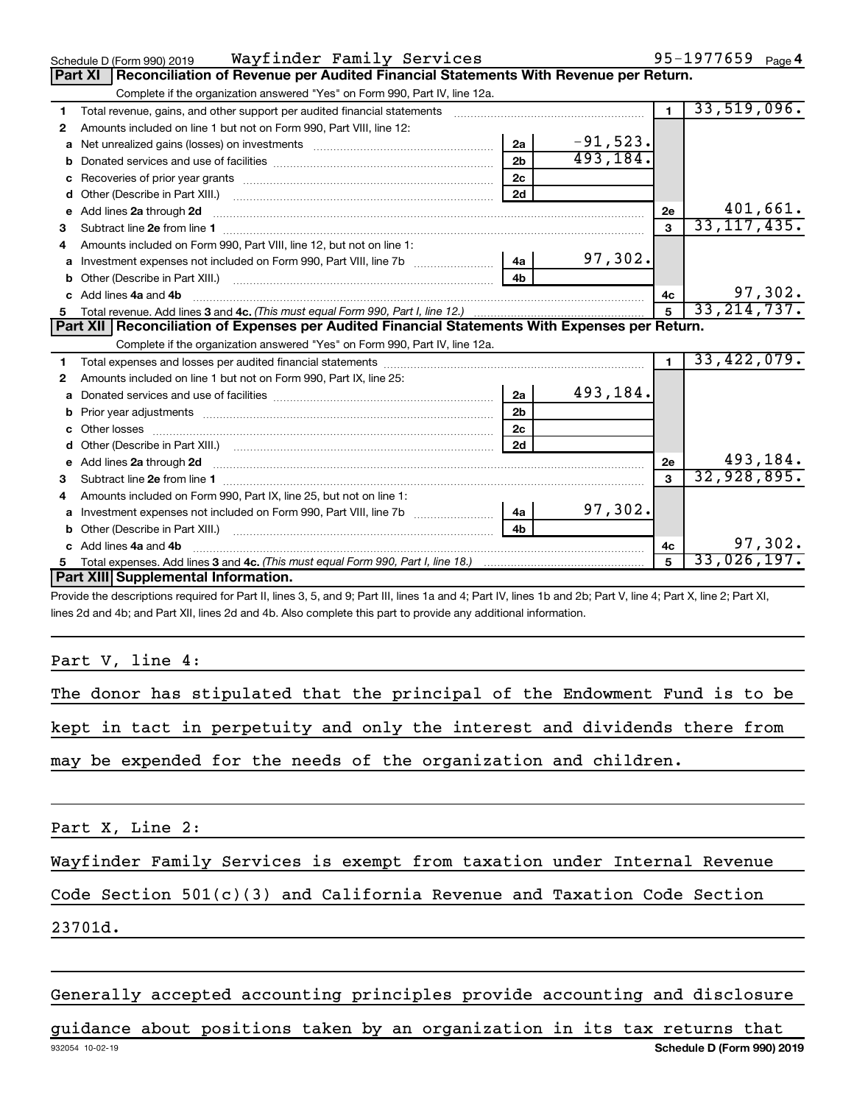|   | Wayfinder Family Services<br>Schedule D (Form 990) 2019                                                                                                                                                                            |                |            |                | 95-1977659 Page 4 |
|---|------------------------------------------------------------------------------------------------------------------------------------------------------------------------------------------------------------------------------------|----------------|------------|----------------|-------------------|
|   | Reconciliation of Revenue per Audited Financial Statements With Revenue per Return.<br><b>Part XI</b>                                                                                                                              |                |            |                |                   |
|   | Complete if the organization answered "Yes" on Form 990, Part IV, line 12a.                                                                                                                                                        |                |            |                |                   |
| 1 | Total revenue, gains, and other support per audited financial statements [11,11] [11] Total revenue, gains, and other support per audited financial statements                                                                     |                |            | $\overline{1}$ | 33,519,096.       |
| 2 | Amounts included on line 1 but not on Form 990, Part VIII, line 12:                                                                                                                                                                |                |            |                |                   |
| a |                                                                                                                                                                                                                                    | 2a             | $-91,523.$ |                |                   |
| b |                                                                                                                                                                                                                                    | 2 <sub>b</sub> | 493, 184.  |                |                   |
| C |                                                                                                                                                                                                                                    | 2c             |            |                |                   |
| d | Other (Describe in Part XIII.) <b>Construction Contract Construction</b> Chern Construction Construction Construction                                                                                                              | 2d             |            |                |                   |
| e | Add lines 2a through 2d                                                                                                                                                                                                            |                |            | 2е             | 401,661.          |
| 3 |                                                                                                                                                                                                                                    |                |            | $\mathbf{a}$   | 33, 117, 435.     |
|   | Amounts included on Form 990, Part VIII, line 12, but not on line 1:                                                                                                                                                               |                |            |                |                   |
| a | Investment expenses not included on Form 990, Part VIII, line 7b [100] [100] [100] [100] [100] [100] [100] [10                                                                                                                     | 4a             | 97,302.    |                |                   |
| b |                                                                                                                                                                                                                                    | 4 <sub>h</sub> |            |                |                   |
|   | Add lines 4a and 4b                                                                                                                                                                                                                |                |            | 4c             | 97,302.           |
| 5 |                                                                                                                                                                                                                                    |                |            | $\overline{5}$ | 33, 214, 737.     |
|   |                                                                                                                                                                                                                                    |                |            |                |                   |
|   | Part XII Reconciliation of Expenses per Audited Financial Statements With Expenses per Return.                                                                                                                                     |                |            |                |                   |
|   | Complete if the organization answered "Yes" on Form 990, Part IV, line 12a.                                                                                                                                                        |                |            |                |                   |
| 1 |                                                                                                                                                                                                                                    |                |            | $\blacksquare$ | 33,422,079.       |
| 2 | Amounts included on line 1 but not on Form 990, Part IX, line 25:                                                                                                                                                                  |                |            |                |                   |
| a |                                                                                                                                                                                                                                    | 2a             | 493,184.   |                |                   |
| b |                                                                                                                                                                                                                                    | 2 <sub>b</sub> |            |                |                   |
| c |                                                                                                                                                                                                                                    | 2 <sub>c</sub> |            |                |                   |
| d |                                                                                                                                                                                                                                    | 2d             |            |                |                   |
| е | Add lines 2a through 2d <b>contained a contained a contained a contained a</b> contained a contained a contained a contained a contact a contact a contact a contact a contact a contact a contact a contact a contact a contact a |                |            | 2e             | 493,184.          |
| З | Subtract line 2e from line 1 <b>manufacture in the contract of the 2e</b> from line 1                                                                                                                                              |                |            | $\mathbf{a}$   | 32,928,895.       |
| 4 | Amounts included on Form 990, Part IX, line 25, but not on line 1:                                                                                                                                                                 |                |            |                |                   |
| a |                                                                                                                                                                                                                                    | 4a l           | 97,302.    |                |                   |
| b |                                                                                                                                                                                                                                    | 4h.            |            |                |                   |
|   | Add lines 4a and 4b                                                                                                                                                                                                                |                |            | 4с             | 97,302.           |
|   | <b>Part XIII Supplemental Information.</b>                                                                                                                                                                                         |                |            | 5              | 33,026,197.       |

Provide the descriptions required for Part II, lines 3, 5, and 9; Part III, lines 1a and 4; Part IV, lines 1b and 2b; Part V, line 4; Part X, line 2; Part XI, lines 2d and 4b; and Part XII, lines 2d and 4b. Also complete this part to provide any additional information.

Part V, line 4:

The donor has stipulated that the principal of the Endowment Fund is to be kept in tact in perpetuity and only the interest and dividends there from may be expended for the needs of the organization and children.

Part X, Line 2:

Wayfinder Family Services is exempt from taxation under Internal Revenue

Code Section 501(c)(3) and California Revenue and Taxation Code Section

23701d.

Generally accepted accounting principles provide accounting and disclosure

932054 10-02-19 **Schedule D (Form 990) 2019** guidance about positions taken by an organization in its tax returns that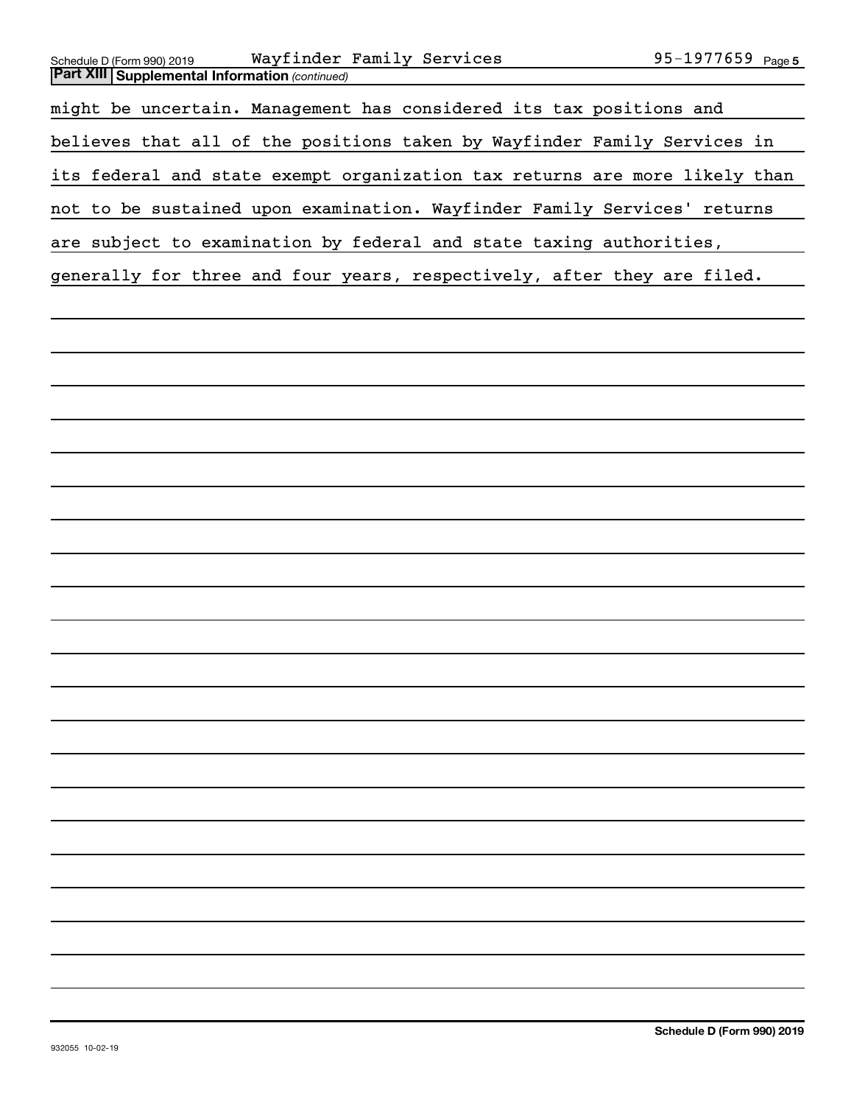| Wayfinder Family Services<br>Schedule D (Form 990) 2019                    | 95-1977659 Page 5          |
|----------------------------------------------------------------------------|----------------------------|
| <b>Part XIII Supplemental Information (continued)</b>                      |                            |
| might be uncertain. Management has considered its tax positions and        |                            |
| believes that all of the positions taken by Wayfinder Family Services in   |                            |
| its federal and state exempt organization tax returns are more likely than |                            |
| not to be sustained upon examination. Wayfinder Family Services' returns   |                            |
| are subject to examination by federal and state taxing authorities,        |                            |
| generally for three and four years, respectively, after they are filed.    |                            |
|                                                                            |                            |
|                                                                            |                            |
|                                                                            |                            |
|                                                                            |                            |
|                                                                            |                            |
|                                                                            |                            |
|                                                                            |                            |
|                                                                            |                            |
|                                                                            |                            |
|                                                                            |                            |
|                                                                            |                            |
|                                                                            |                            |
|                                                                            |                            |
|                                                                            |                            |
|                                                                            |                            |
|                                                                            |                            |
|                                                                            |                            |
|                                                                            |                            |
|                                                                            |                            |
|                                                                            |                            |
|                                                                            |                            |
|                                                                            |                            |
| 932055 10-02-19                                                            | Schedule D (Form 990) 2019 |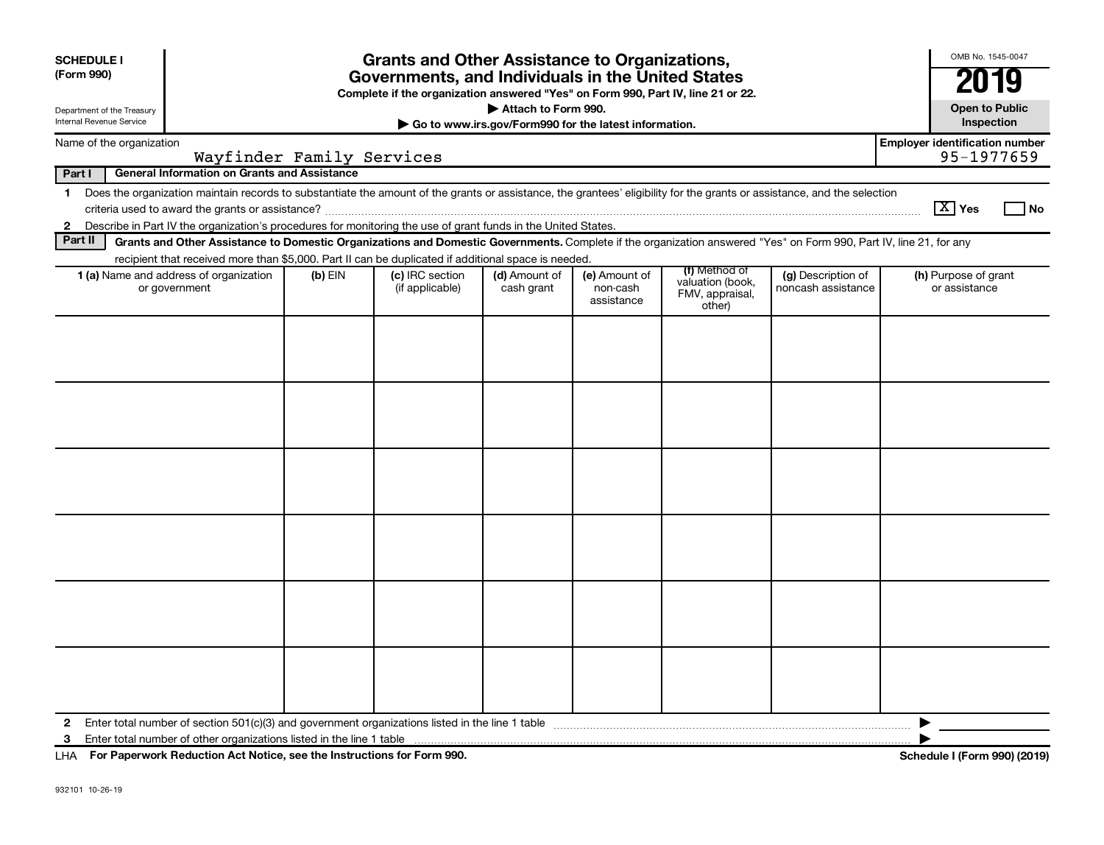| <b>SCHEDULE I</b><br>(Form 990)<br>Department of the Treasury<br>Internal Revenue Service |                                                                                                                                                                          |                           | <b>Grants and Other Assistance to Organizations,</b><br>Governments, and Individuals in the United States<br>Complete if the organization answered "Yes" on Form 990, Part IV, line 21 or 22. | Attach to Form 990.         | Go to www.irs.gov/Form990 for the latest information. |                                               |                                          | OMB No. 1545-0047<br>$\mathcal{L}$<br><b>Open to Public</b><br>Inspection |
|-------------------------------------------------------------------------------------------|--------------------------------------------------------------------------------------------------------------------------------------------------------------------------|---------------------------|-----------------------------------------------------------------------------------------------------------------------------------------------------------------------------------------------|-----------------------------|-------------------------------------------------------|-----------------------------------------------|------------------------------------------|---------------------------------------------------------------------------|
| Name of the organization                                                                  |                                                                                                                                                                          |                           |                                                                                                                                                                                               |                             |                                                       |                                               |                                          | <b>Employer identification number</b>                                     |
|                                                                                           |                                                                                                                                                                          | Wayfinder Family Services |                                                                                                                                                                                               |                             |                                                       |                                               |                                          | 95-1977659                                                                |
| Part I                                                                                    | <b>General Information on Grants and Assistance</b>                                                                                                                      |                           |                                                                                                                                                                                               |                             |                                                       |                                               |                                          |                                                                           |
| $\mathbf 1$                                                                               | Does the organization maintain records to substantiate the amount of the grants or assistance, the grantees' eligibility for the grants or assistance, and the selection |                           |                                                                                                                                                                                               |                             |                                                       |                                               |                                          | $ \mathrm{X} $ Yes<br>l No                                                |
| $\mathbf{2}$                                                                              | Describe in Part IV the organization's procedures for monitoring the use of grant funds in the United States.                                                            |                           |                                                                                                                                                                                               |                             |                                                       |                                               |                                          |                                                                           |
| Part II                                                                                   | Grants and Other Assistance to Domestic Organizations and Domestic Governments. Complete if the organization answered "Yes" on Form 990, Part IV, line 21, for any       |                           |                                                                                                                                                                                               |                             |                                                       |                                               |                                          |                                                                           |
|                                                                                           | recipient that received more than \$5,000. Part II can be duplicated if additional space is needed.                                                                      |                           |                                                                                                                                                                                               |                             |                                                       | (f) Method of                                 |                                          |                                                                           |
|                                                                                           | <b>1 (a)</b> Name and address of organization<br>or government                                                                                                           | $(b)$ EIN                 | (c) IRC section<br>(if applicable)                                                                                                                                                            | (d) Amount of<br>cash grant | (e) Amount of<br>non-cash<br>assistance               | valuation (book,<br>FMV, appraisal,<br>other) | (g) Description of<br>noncash assistance | (h) Purpose of grant<br>or assistance                                     |
|                                                                                           |                                                                                                                                                                          |                           |                                                                                                                                                                                               |                             |                                                       |                                               |                                          |                                                                           |
|                                                                                           |                                                                                                                                                                          |                           |                                                                                                                                                                                               |                             |                                                       |                                               |                                          |                                                                           |
|                                                                                           |                                                                                                                                                                          |                           |                                                                                                                                                                                               |                             |                                                       |                                               |                                          |                                                                           |
|                                                                                           |                                                                                                                                                                          |                           |                                                                                                                                                                                               |                             |                                                       |                                               |                                          |                                                                           |
|                                                                                           |                                                                                                                                                                          |                           |                                                                                                                                                                                               |                             |                                                       |                                               |                                          |                                                                           |
|                                                                                           |                                                                                                                                                                          |                           |                                                                                                                                                                                               |                             |                                                       |                                               |                                          |                                                                           |
|                                                                                           |                                                                                                                                                                          |                           |                                                                                                                                                                                               |                             |                                                       |                                               |                                          |                                                                           |
|                                                                                           |                                                                                                                                                                          |                           |                                                                                                                                                                                               |                             |                                                       |                                               |                                          |                                                                           |
|                                                                                           |                                                                                                                                                                          |                           |                                                                                                                                                                                               |                             |                                                       |                                               |                                          |                                                                           |
|                                                                                           |                                                                                                                                                                          |                           |                                                                                                                                                                                               |                             |                                                       |                                               |                                          |                                                                           |
|                                                                                           |                                                                                                                                                                          |                           |                                                                                                                                                                                               |                             |                                                       |                                               |                                          |                                                                           |
|                                                                                           |                                                                                                                                                                          |                           |                                                                                                                                                                                               |                             |                                                       |                                               |                                          |                                                                           |
| 2                                                                                         | Enter total number of section $501(c)(3)$ and government organizations listed in the line 1 table                                                                        |                           |                                                                                                                                                                                               |                             |                                                       |                                               |                                          |                                                                           |
| 3                                                                                         |                                                                                                                                                                          |                           |                                                                                                                                                                                               |                             |                                                       |                                               |                                          |                                                                           |
| LHA For Paperwork Reduction Act Notice, see the Instructions for Form 990.                |                                                                                                                                                                          |                           |                                                                                                                                                                                               |                             |                                                       |                                               |                                          | Schedule I (Form 990) (2019)                                              |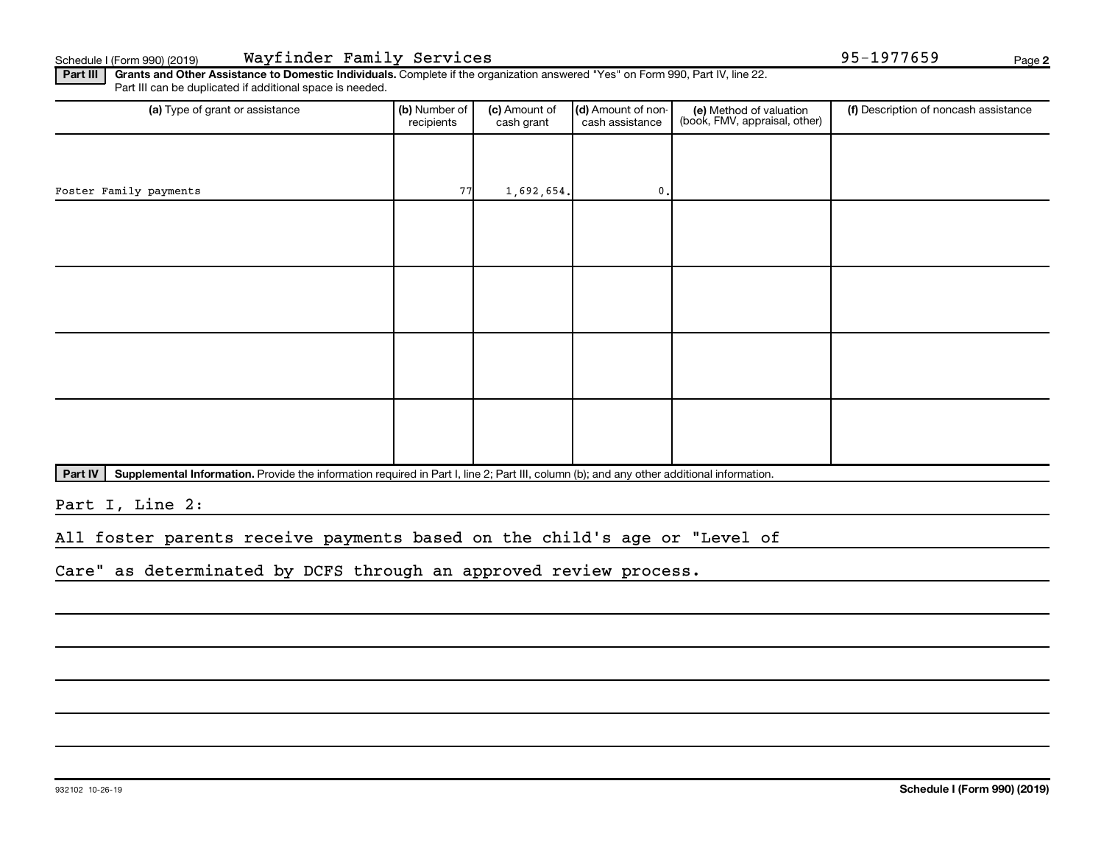Schedule I (Form 990) (2019) Page Wayfinder Family Services 95-1977659

Part III | Grants and Other Assistance to Domestic Individuals. Complete if the organization answered "Yes" on Form 990, Part IV, line 22. Part III can be duplicated if additional space is needed.

| (a) Type of grant or assistance | (b) Number of<br>recipients | (c) Amount of<br>cash grant | (d) Amount of non-<br>cash assistance | (e) Method of valuation<br>(book, FMV, appraisal, other) | (f) Description of noncash assistance |
|---------------------------------|-----------------------------|-----------------------------|---------------------------------------|----------------------------------------------------------|---------------------------------------|
|                                 |                             |                             |                                       |                                                          |                                       |
| Foster Family payments          | 77                          | 1,692,654.                  | $\overline{\mathbf{0}}$ .             |                                                          |                                       |
|                                 |                             |                             |                                       |                                                          |                                       |
|                                 |                             |                             |                                       |                                                          |                                       |
|                                 |                             |                             |                                       |                                                          |                                       |
|                                 |                             |                             |                                       |                                                          |                                       |
|                                 |                             |                             |                                       |                                                          |                                       |
|                                 |                             |                             |                                       |                                                          |                                       |
|                                 |                             |                             |                                       |                                                          |                                       |
|                                 |                             |                             |                                       |                                                          |                                       |

Part IV | Supplemental Information. Provide the information required in Part I, line 2; Part III, column (b); and any other additional information.

Part I, Line 2:

All foster parents receive payments based on the child's age or "Level of

Care" as determinated by DCFS through an approved review process.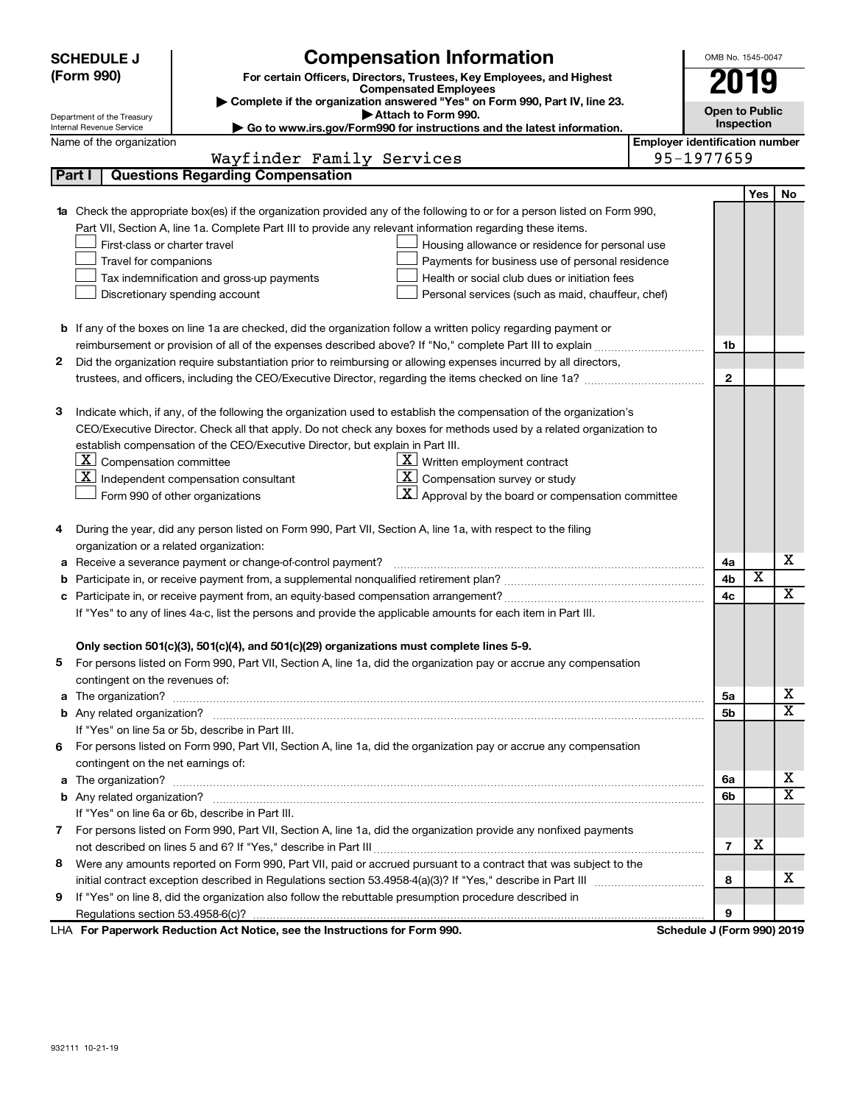|    | <b>SCHEDULE J</b>                                                                   | <b>Compensation Information</b>                                                                                                                                                                                                     |  | OMB No. 1545-0047                     |                         |                         |  |
|----|-------------------------------------------------------------------------------------|-------------------------------------------------------------------------------------------------------------------------------------------------------------------------------------------------------------------------------------|--|---------------------------------------|-------------------------|-------------------------|--|
|    | (Form 990)                                                                          | For certain Officers, Directors, Trustees, Key Employees, and Highest                                                                                                                                                               |  | 2019                                  |                         |                         |  |
|    |                                                                                     | <b>Compensated Employees</b>                                                                                                                                                                                                        |  |                                       |                         |                         |  |
|    |                                                                                     | Complete if the organization answered "Yes" on Form 990, Part IV, line 23.<br>Attach to Form 990.                                                                                                                                   |  | <b>Open to Public</b>                 |                         |                         |  |
|    | Department of the Treasury<br>Internal Revenue Service                              | Go to www.irs.gov/Form990 for instructions and the latest information.                                                                                                                                                              |  | Inspection                            |                         |                         |  |
|    | Name of the organization                                                            |                                                                                                                                                                                                                                     |  | <b>Employer identification number</b> |                         |                         |  |
|    |                                                                                     | Wayfinder Family Services                                                                                                                                                                                                           |  | 95-1977659                            |                         |                         |  |
|    | Part I                                                                              | <b>Questions Regarding Compensation</b>                                                                                                                                                                                             |  |                                       |                         |                         |  |
|    |                                                                                     |                                                                                                                                                                                                                                     |  |                                       | Yes                     | No                      |  |
|    |                                                                                     | <b>1a</b> Check the appropriate box(es) if the organization provided any of the following to or for a person listed on Form 990,                                                                                                    |  |                                       |                         |                         |  |
|    |                                                                                     | Part VII, Section A, line 1a. Complete Part III to provide any relevant information regarding these items.                                                                                                                          |  |                                       |                         |                         |  |
|    | First-class or charter travel                                                       | Housing allowance or residence for personal use                                                                                                                                                                                     |  |                                       |                         |                         |  |
|    | Travel for companions                                                               | Payments for business use of personal residence                                                                                                                                                                                     |  |                                       |                         |                         |  |
|    |                                                                                     | Tax indemnification and gross-up payments<br>Health or social club dues or initiation fees                                                                                                                                          |  |                                       |                         |                         |  |
|    | Discretionary spending account<br>Personal services (such as maid, chauffeur, chef) |                                                                                                                                                                                                                                     |  |                                       |                         |                         |  |
|    |                                                                                     |                                                                                                                                                                                                                                     |  |                                       |                         |                         |  |
|    |                                                                                     | <b>b</b> If any of the boxes on line 1a are checked, did the organization follow a written policy regarding payment or                                                                                                              |  |                                       |                         |                         |  |
|    |                                                                                     |                                                                                                                                                                                                                                     |  | 1b                                    |                         |                         |  |
| 2. |                                                                                     | Did the organization require substantiation prior to reimbursing or allowing expenses incurred by all directors,                                                                                                                    |  |                                       |                         |                         |  |
|    |                                                                                     |                                                                                                                                                                                                                                     |  | $\mathbf{2}$                          |                         |                         |  |
|    |                                                                                     |                                                                                                                                                                                                                                     |  |                                       |                         |                         |  |
| з  |                                                                                     | Indicate which, if any, of the following the organization used to establish the compensation of the organization's                                                                                                                  |  |                                       |                         |                         |  |
|    |                                                                                     | CEO/Executive Director. Check all that apply. Do not check any boxes for methods used by a related organization to                                                                                                                  |  |                                       |                         |                         |  |
|    |                                                                                     | establish compensation of the CEO/Executive Director, but explain in Part III.                                                                                                                                                      |  |                                       |                         |                         |  |
|    | $\lfloor \underline{\textbf{X}} \rfloor$ Compensation committee                     | $\underline{\mathbf{X}}$ Written employment contract                                                                                                                                                                                |  |                                       |                         |                         |  |
|    | X                                                                                   | $ \mathbf{X} $ Compensation survey or study<br>Independent compensation consultant                                                                                                                                                  |  |                                       |                         |                         |  |
|    |                                                                                     | $\mathbf{X}$ Approval by the board or compensation committee<br>Form 990 of other organizations                                                                                                                                     |  |                                       |                         |                         |  |
|    |                                                                                     |                                                                                                                                                                                                                                     |  |                                       |                         |                         |  |
| 4  |                                                                                     | During the year, did any person listed on Form 990, Part VII, Section A, line 1a, with respect to the filing                                                                                                                        |  |                                       |                         |                         |  |
|    | organization or a related organization:                                             |                                                                                                                                                                                                                                     |  |                                       |                         | х                       |  |
| а  |                                                                                     | Receive a severance payment or change-of-control payment?                                                                                                                                                                           |  | 4a<br>4b                              | $\overline{\textbf{x}}$ |                         |  |
| b  |                                                                                     |                                                                                                                                                                                                                                     |  | 4c                                    |                         | $\overline{\mathbf{X}}$ |  |
|    |                                                                                     | If "Yes" to any of lines 4a-c, list the persons and provide the applicable amounts for each item in Part III.                                                                                                                       |  |                                       |                         |                         |  |
|    |                                                                                     |                                                                                                                                                                                                                                     |  |                                       |                         |                         |  |
|    |                                                                                     | Only section 501(c)(3), 501(c)(4), and 501(c)(29) organizations must complete lines 5-9.                                                                                                                                            |  |                                       |                         |                         |  |
|    |                                                                                     | For persons listed on Form 990, Part VII, Section A, line 1a, did the organization pay or accrue any compensation                                                                                                                   |  |                                       |                         |                         |  |
|    | contingent on the revenues of:                                                      |                                                                                                                                                                                                                                     |  |                                       |                         |                         |  |
|    |                                                                                     | a The organization? <b>Entitation</b> 2008 Communication of the contract of the contract of the contract of the contract of the contract of the contract of the contract of the contract of the contract of the contract of the con |  | 5а                                    |                         | х                       |  |
|    |                                                                                     |                                                                                                                                                                                                                                     |  | 5b                                    |                         | x                       |  |
|    |                                                                                     | If "Yes" on line 5a or 5b, describe in Part III.                                                                                                                                                                                    |  |                                       |                         |                         |  |
|    |                                                                                     | 6 For persons listed on Form 990, Part VII, Section A, line 1a, did the organization pay or accrue any compensation                                                                                                                 |  |                                       |                         |                         |  |
|    | contingent on the net earnings of:                                                  |                                                                                                                                                                                                                                     |  |                                       |                         |                         |  |
|    |                                                                                     |                                                                                                                                                                                                                                     |  | 6a                                    |                         | х                       |  |
|    |                                                                                     |                                                                                                                                                                                                                                     |  | 6b                                    |                         | X                       |  |
|    |                                                                                     | If "Yes" on line 6a or 6b, describe in Part III.                                                                                                                                                                                    |  |                                       |                         |                         |  |
|    |                                                                                     | 7 For persons listed on Form 990, Part VII, Section A, line 1a, did the organization provide any nonfixed payments                                                                                                                  |  |                                       |                         |                         |  |
|    |                                                                                     |                                                                                                                                                                                                                                     |  | $\overline{7}$                        | х                       |                         |  |
| 8  |                                                                                     | Were any amounts reported on Form 990, Part VII, paid or accrued pursuant to a contract that was subject to the                                                                                                                     |  |                                       |                         |                         |  |
|    |                                                                                     |                                                                                                                                                                                                                                     |  | 8                                     |                         | x.                      |  |
| 9  |                                                                                     | If "Yes" on line 8, did the organization also follow the rebuttable presumption procedure described in                                                                                                                              |  |                                       |                         |                         |  |
|    |                                                                                     |                                                                                                                                                                                                                                     |  | 9                                     |                         |                         |  |
|    |                                                                                     | LHA For Paperwork Reduction Act Notice, see the Instructions for Form 990.                                                                                                                                                          |  | Schedule J (Form 990) 2019            |                         |                         |  |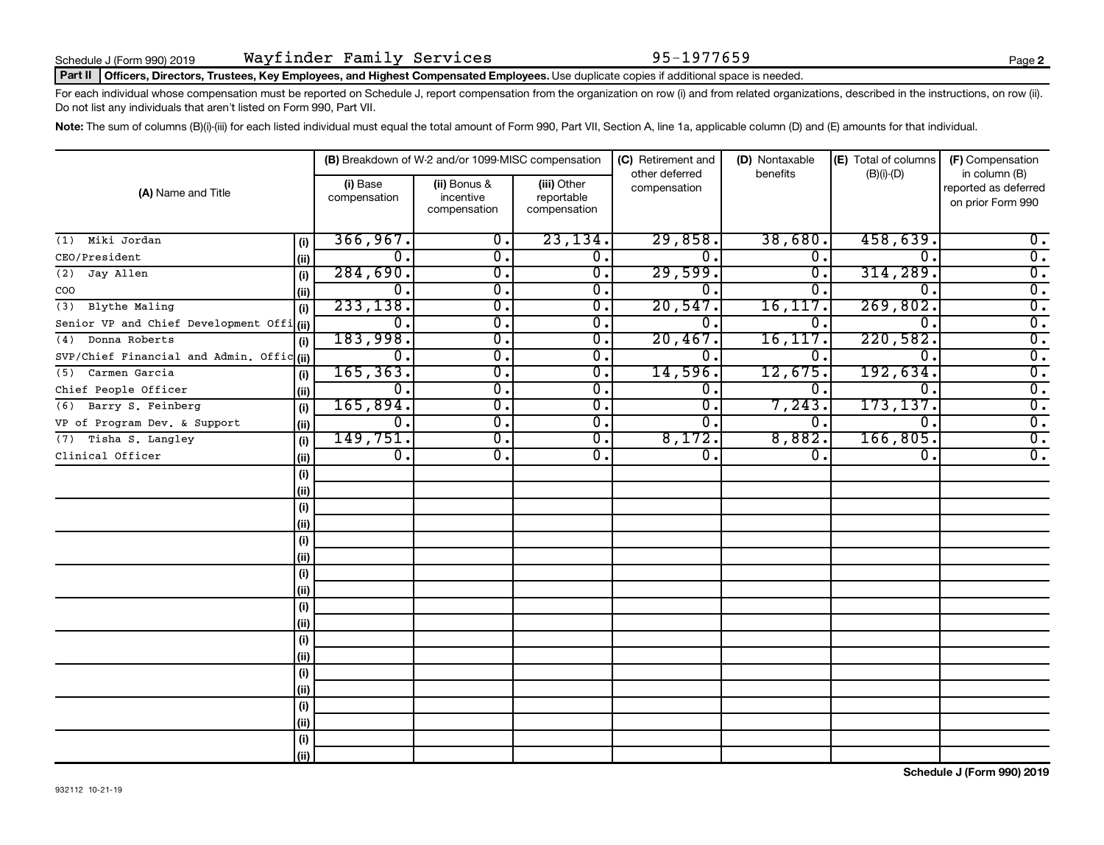#### Part II | Officers, Directors, Trustees, Key Employees, and Highest Compensated Employees. Use duplicate copies if additional space is needed.

For each individual whose compensation must be reported on Schedule J, report compensation from the organization on row (i) and from related organizations, described in the instructions, on row (ii). Do not list any individuals that aren't listed on Form 990, Part VII.

Note: The sum of columns (B)(i)-(iii) for each listed individual must equal the total amount of Form 990, Part VII, Section A, line 1a, applicable column (D) and (E) amounts for that individual.

|                                           |      | (B) Breakdown of W-2 and/or 1099-MISC compensation |                                           | (C) Retirement and                        | (D) Nontaxable                 | (E) Total of columns | (F) Compensation |                                                            |
|-------------------------------------------|------|----------------------------------------------------|-------------------------------------------|-------------------------------------------|--------------------------------|----------------------|------------------|------------------------------------------------------------|
| (A) Name and Title                        |      | (i) Base<br>compensation                           | (ii) Bonus &<br>incentive<br>compensation | (iii) Other<br>reportable<br>compensation | other deferred<br>compensation | benefits             | $(B)(i)$ - $(D)$ | in column (B)<br>reported as deferred<br>on prior Form 990 |
| Miki Jordan<br>(1)                        | (i)  | 366, 967.                                          | $\overline{\mathbf{0}}$ .                 | 23,134.                                   | 29,858                         | 38,680.              | 458,639.         | $0$ .                                                      |
| CEO/President                             | (ii) | $\overline{0}$ .                                   | $\overline{\mathfrak{o}}$ .               | 0.                                        | 0                              | σ.                   | $\Omega$ .       | $\overline{0}$ .                                           |
| Jay Allen<br>(2)                          | (i)  | 284,690.                                           | $\overline{\mathfrak{o}}$ .               | $\overline{0}$ .                          | 29,599.                        | σ.                   | 314, 289.        | $\overline{0}$ .                                           |
| COO                                       | (ii) | $\overline{0}$ .                                   | $\overline{\mathfrak{o}}$ .               | $\overline{0}$ .                          | $\Omega$ .                     | 0.                   | $\Omega$ .       | $\overline{0}$ .                                           |
| Blythe Maling<br>(3)                      | (i)  | 233, 138.                                          | $\overline{\mathfrak{o}}$ .               | $\overline{0}$ .                          | 20,547.                        | 16, 117.             | 269,802.         | $\overline{0}$ .                                           |
| Senior VP and Chief Development Offi(ii)  |      | о.                                                 | $\overline{\mathfrak{o}}$ .               | $\overline{0}$ .                          | 0                              | О.                   | $\Omega$ .       | $\overline{0}$ .                                           |
| Donna Roberts<br>(4)                      | (i)  | 183,998.                                           | $\overline{\mathfrak{o}}$ .               | $\overline{0}$ .                          | 20,467                         | 16, 117.             | 220,582.         | $\overline{0}$ .                                           |
| SVP/Chief Financial and Admin. Offic (ii) |      | О.                                                 | $\overline{\mathfrak{o}}$ .               | $\overline{0}$ .                          | 0                              | 0.                   | $\Omega$ .       | $\overline{0}$ .                                           |
| Carmen Garcia<br>(5)                      | (i)  | 165, 363.                                          | $\overline{\mathfrak{o}}$ .               | $\overline{\mathfrak{o}}$ .               | 14,596.                        | 12,675.              | 192,634.         | $\overline{0}$ .                                           |
| Chief People Officer                      | (ii) | Ο.                                                 | $\overline{\mathfrak{o}}$ .               | $\overline{\mathfrak{o}}$ .               | 0.                             | о.                   | $\Omega$ .       | $\overline{0}$ .                                           |
| Barry S. Feinberg<br>(6)                  | (i)  | 165,894.                                           | $\overline{\mathfrak{o}}$ .               | $\overline{\mathfrak{o}}$ .               | 0.                             | 7,243.               | 173, 137.        | $\overline{0}$ .                                           |
| VP of Program Dev. & Support              | (ii) | о.                                                 | $\overline{\mathfrak{o}}$ .               | $\overline{0}$ .                          | 0.                             | о.                   | $\Omega$ .       | $\overline{0}$ .                                           |
| Tisha S. Langley<br>(7)                   | (i)  | 149,751.                                           | $\overline{\mathfrak{o}}$ .               | $\overline{\mathfrak{o}}$ .               | 8,172.                         | 8,882.               | 166, 805.        | $\overline{0}$ .                                           |
| Clinical Officer                          | (ii) | 0.                                                 | $\overline{0}$ .                          | $\overline{0}$ .                          | 0.                             | 0.                   | 0.               | $\overline{0}$ .                                           |
|                                           | (i)  |                                                    |                                           |                                           |                                |                      |                  |                                                            |
|                                           | (ii) |                                                    |                                           |                                           |                                |                      |                  |                                                            |
|                                           | (i)  |                                                    |                                           |                                           |                                |                      |                  |                                                            |
|                                           | (ii) |                                                    |                                           |                                           |                                |                      |                  |                                                            |
|                                           | (i)  |                                                    |                                           |                                           |                                |                      |                  |                                                            |
|                                           | (ii) |                                                    |                                           |                                           |                                |                      |                  |                                                            |
|                                           | (i)  |                                                    |                                           |                                           |                                |                      |                  |                                                            |
|                                           | (ii) |                                                    |                                           |                                           |                                |                      |                  |                                                            |
|                                           | (i)  |                                                    |                                           |                                           |                                |                      |                  |                                                            |
|                                           | (ii) |                                                    |                                           |                                           |                                |                      |                  |                                                            |
|                                           | (i)  |                                                    |                                           |                                           |                                |                      |                  |                                                            |
|                                           | (ii) |                                                    |                                           |                                           |                                |                      |                  |                                                            |
|                                           | (i)  |                                                    |                                           |                                           |                                |                      |                  |                                                            |
|                                           | (ii) |                                                    |                                           |                                           |                                |                      |                  |                                                            |
|                                           | (i)  |                                                    |                                           |                                           |                                |                      |                  |                                                            |
|                                           | (ii) |                                                    |                                           |                                           |                                |                      |                  |                                                            |
|                                           | (i)  |                                                    |                                           |                                           |                                |                      |                  |                                                            |
|                                           | (ii) |                                                    |                                           |                                           |                                |                      |                  |                                                            |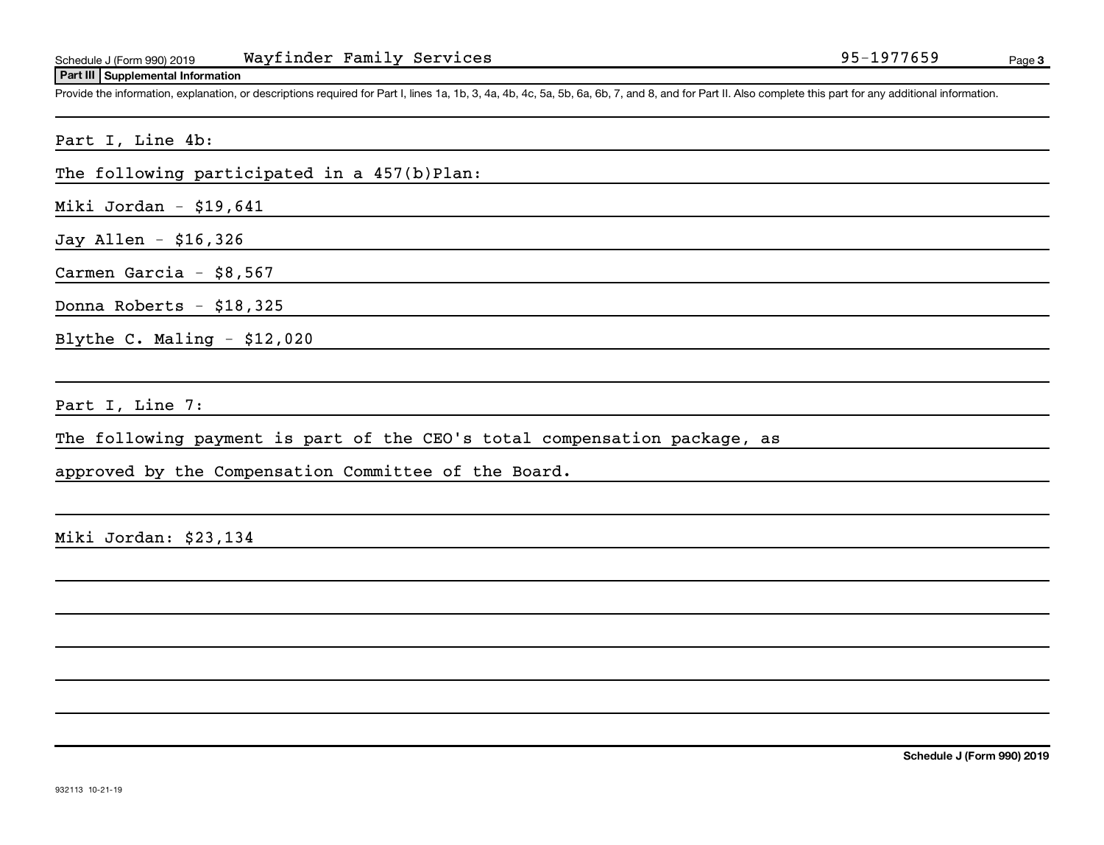#### **Part III Supplemental Information**

Provide the information, explanation, or descriptions required for Part I, lines 1a, 1b, 3, 4a, 4b, 4c, 5a, 5b, 6a, 6b, 7, and 8, and for Part II. Also complete this part for any additional information.

Part I, Line 4b:

The following participated in a 457(b)Plan:

Miki Jordan - \$19,641

Jay Allen - \$16,326

Carmen Garcia - \$8,567

Donna Roberts - \$18,325

Blythe C. Maling - \$12,020

Part I, Line 7:

The following payment is part of the CEO's total compensation package, as

approved by the Compensation Committee of the Board.

Miki Jordan: \$23,134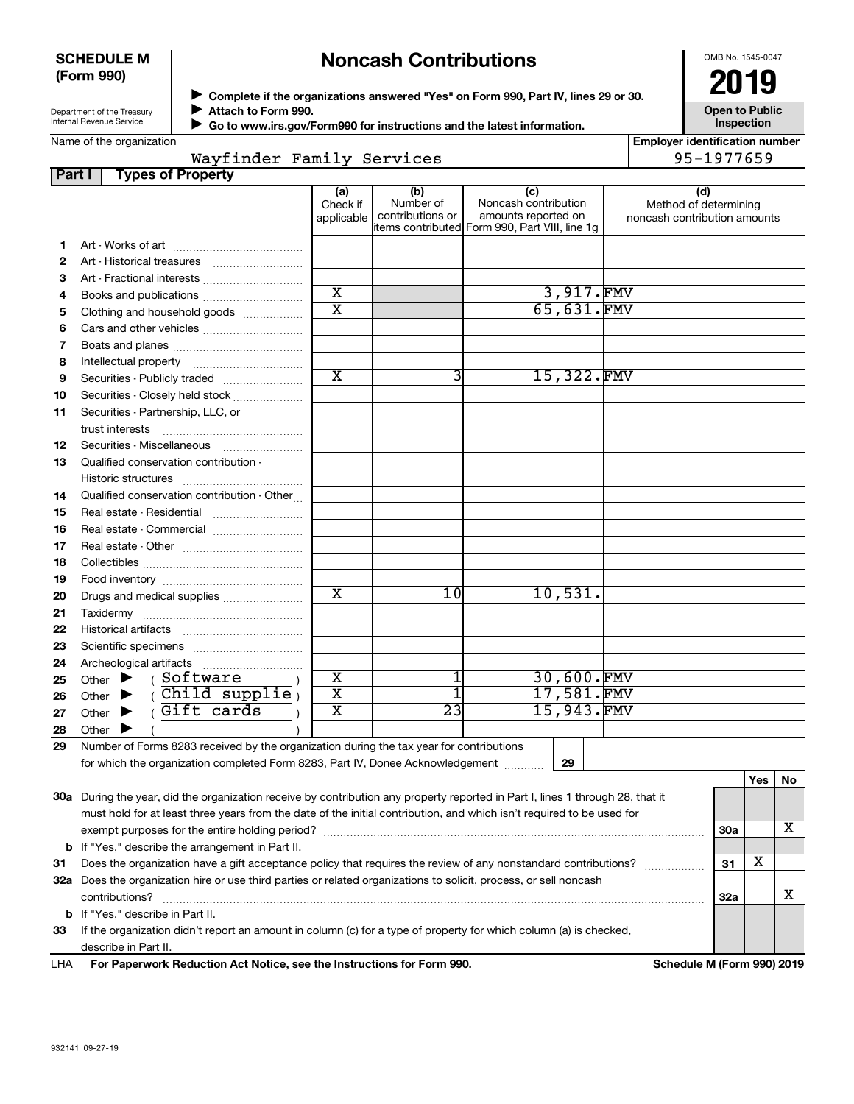#### **SCHEDULE M (Form 990)**

## **Noncash Contributions**

OMB No. 1545-0047

| Department of the Treasury |
|----------------------------|
|                            |
| Internal Revenue Service   |
|                            |

◆ Complete if the organizations answered "Yes" on Form 990, Part IV, lines 29 or 30.<br>▶ Complete if the organizations answered "Yes" on Form 990, Part IV, lines 29 or 30. **Attach to Form 990.**  $\blacktriangleright$ 

**Open to Public Inspection**

|  | Name of the organization |
|--|--------------------------|
|--|--------------------------|

 **Go to www.irs.gov/Form990 for instructions and the latest information.** J

|                           | Employer identification nu |
|---------------------------|----------------------------|
| Wayfinder Family Services | 95-1977659                 |

| <b>Employer identification number</b> |
|---------------------------------------|
| 95-1977659                            |

| <b>Part I</b> | <b>Types of Property</b>                                                                                                       |                         |                                                 |                             |            |                              |            |     |    |
|---------------|--------------------------------------------------------------------------------------------------------------------------------|-------------------------|-------------------------------------------------|-----------------------------|------------|------------------------------|------------|-----|----|
|               |                                                                                                                                | (a)<br>Check if         | (b)<br>Number of                                | (c)<br>Noncash contribution |            | (d)<br>Method of determining |            |     |    |
|               |                                                                                                                                | applicable              | contributions or                                | amounts reported on         |            | noncash contribution amounts |            |     |    |
| 1             |                                                                                                                                |                         | litems contributed Form 990, Part VIII, line 1g |                             |            |                              |            |     |    |
| 2             | Art - Historical treasures                                                                                                     |                         |                                                 |                             |            |                              |            |     |    |
| з             | Art - Fractional interests                                                                                                     |                         |                                                 |                             |            |                              |            |     |    |
| 4             | Books and publications                                                                                                         | $\overline{\text{x}}$   |                                                 |                             | 3,917.FMV  |                              |            |     |    |
| 5             | Clothing and household goods                                                                                                   | $\overline{\texttt{x}}$ |                                                 |                             | 65,631.FMV |                              |            |     |    |
| 6             |                                                                                                                                |                         |                                                 |                             |            |                              |            |     |    |
| 7             |                                                                                                                                |                         |                                                 |                             |            |                              |            |     |    |
| 8             |                                                                                                                                |                         |                                                 |                             |            |                              |            |     |    |
| 9             | Securities - Publicly traded                                                                                                   | $\overline{\text{x}}$   | 3                                               |                             | 15,322.FMV |                              |            |     |    |
| 10            | Securities - Closely held stock                                                                                                |                         |                                                 |                             |            |                              |            |     |    |
| 11            | Securities - Partnership, LLC, or                                                                                              |                         |                                                 |                             |            |                              |            |     |    |
|               | trust interests                                                                                                                |                         |                                                 |                             |            |                              |            |     |    |
| 12            | Securities - Miscellaneous                                                                                                     |                         |                                                 |                             |            |                              |            |     |    |
| 13            | Qualified conservation contribution -                                                                                          |                         |                                                 |                             |            |                              |            |     |    |
|               | Historic structures                                                                                                            |                         |                                                 |                             |            |                              |            |     |    |
| 14            | Qualified conservation contribution - Other                                                                                    |                         |                                                 |                             |            |                              |            |     |    |
| 15            | Real estate - Residential                                                                                                      |                         |                                                 |                             |            |                              |            |     |    |
| 16            | Real estate - Commercial                                                                                                       |                         |                                                 |                             |            |                              |            |     |    |
| 17            |                                                                                                                                |                         |                                                 |                             |            |                              |            |     |    |
| 18            |                                                                                                                                |                         |                                                 |                             |            |                              |            |     |    |
| 19            |                                                                                                                                |                         |                                                 |                             |            |                              |            |     |    |
| 20            | Drugs and medical supplies                                                                                                     | $\overline{\text{x}}$   | 1 Ol                                            |                             | 10,531.    |                              |            |     |    |
| 21            |                                                                                                                                |                         |                                                 |                             |            |                              |            |     |    |
| 22            |                                                                                                                                |                         |                                                 |                             |            |                              |            |     |    |
| 23            |                                                                                                                                |                         |                                                 |                             |            |                              |            |     |    |
| 24            | Archeological artifacts                                                                                                        |                         |                                                 |                             |            |                              |            |     |    |
| 25            | (Software<br>Other $\blacktriangleright$                                                                                       | $\overline{\textbf{x}}$ |                                                 |                             | 30,600.FMV |                              |            |     |    |
| 26            | $($ Child supplie)<br>Other $\blacktriangleright$                                                                              | $\overline{\texttt{x}}$ | ī                                               |                             | 17,581.FMV |                              |            |     |    |
| 27            | (Gift cards<br>Other $\blacktriangleright$                                                                                     | $\overline{\texttt{x}}$ | $\overline{23}$                                 |                             | 15,943.FMV |                              |            |     |    |
| 28            | Other                                                                                                                          |                         |                                                 |                             |            |                              |            |     |    |
| 29            | Number of Forms 8283 received by the organization during the tax year for contributions                                        |                         |                                                 |                             |            |                              |            |     |    |
|               | for which the organization completed Form 8283, Part IV, Donee Acknowledgement                                                 |                         |                                                 |                             | 29         |                              |            |     |    |
|               |                                                                                                                                |                         |                                                 |                             |            |                              |            | Yes | No |
|               | 30a During the year, did the organization receive by contribution any property reported in Part I, lines 1 through 28, that it |                         |                                                 |                             |            |                              |            |     |    |
|               | must hold for at least three years from the date of the initial contribution, and which isn't required to be used for          |                         |                                                 |                             |            |                              |            |     |    |
|               |                                                                                                                                |                         |                                                 |                             |            |                              | <b>30a</b> |     | х  |
|               | <b>b</b> If "Yes," describe the arrangement in Part II.                                                                        |                         |                                                 |                             |            |                              |            |     |    |
| 31            | Does the organization have a gift acceptance policy that requires the review of any nonstandard contributions?                 |                         |                                                 |                             |            |                              | 31         | х   |    |
|               | 32a Does the organization hire or use third parties or related organizations to solicit, process, or sell noncash              |                         |                                                 |                             |            |                              |            |     |    |
|               | contributions?                                                                                                                 |                         |                                                 |                             |            |                              | 32a        |     | x  |
|               | <b>b</b> If "Yes," describe in Part II.                                                                                        |                         |                                                 |                             |            |                              |            |     |    |
| 33            | If the organization didn't report an amount in column (c) for a type of property for which column (a) is checked,              |                         |                                                 |                             |            |                              |            |     |    |
|               | describe in Part II.                                                                                                           |                         |                                                 |                             |            |                              |            |     |    |
| LHA           | For Paperwork Reduction Act Notice, see the Instructions for Form 990.                                                         |                         |                                                 |                             |            | Schedule M (Form 990) 2019   |            |     |    |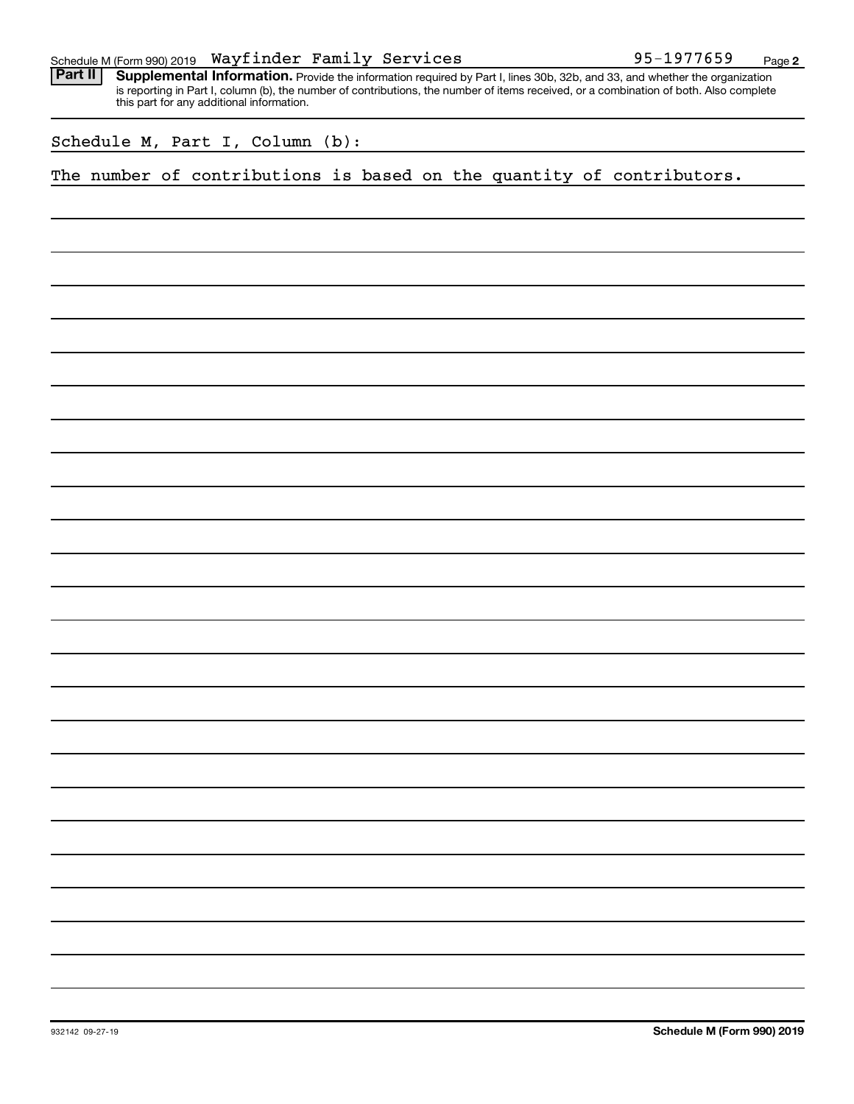|  | Schedule M (Form 990) 2019 | Wayfinder Family Services |  |  | 95-1977659 | Page |  |
|--|----------------------------|---------------------------|--|--|------------|------|--|
|--|----------------------------|---------------------------|--|--|------------|------|--|

Provide the information required by Part I, lines 30b, 32b, and 33, and whether the organization is reporting in Part I, column (b), the number of contributions, the number of items received, or a combination of both. Also complete this part for any additional information. **Part II Supplemental Information.** 

Schedule M, Part I, Column (b):

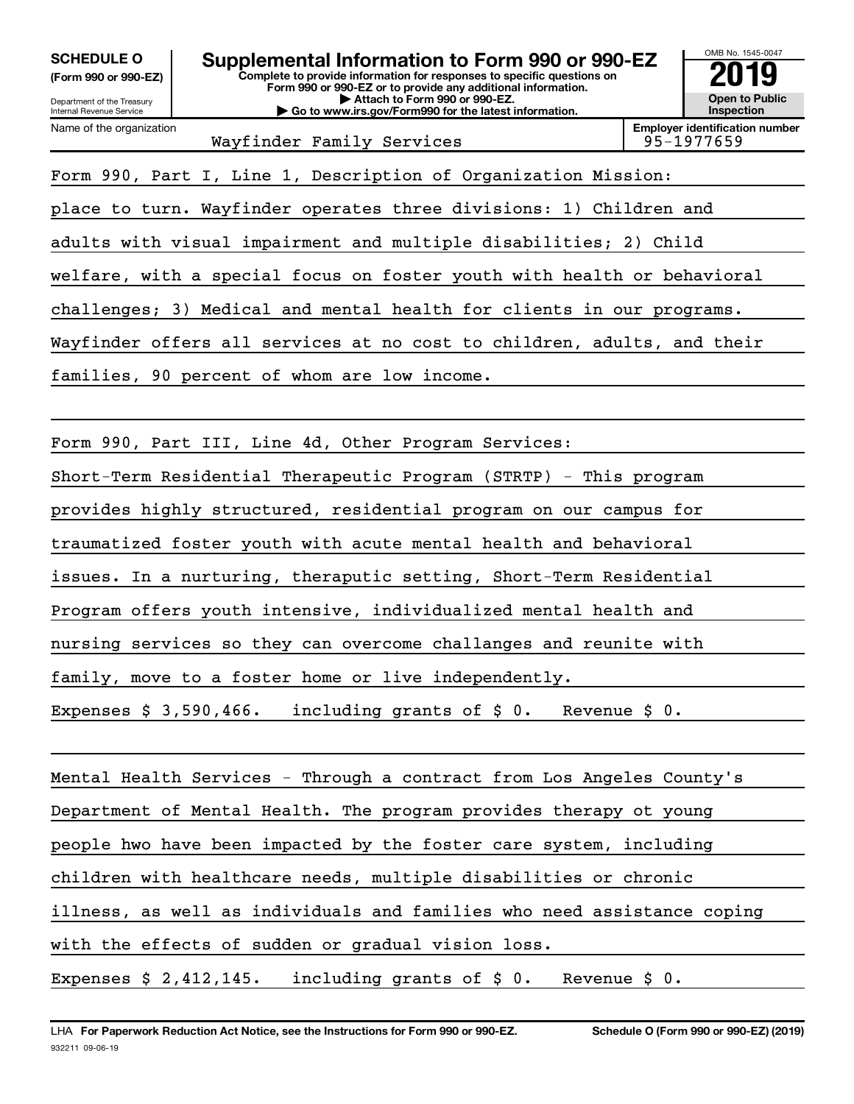**(Form 990 or 990-EZ)**

Department of the Treasury Internal Revenue Service

Name of the organization

**Complete to provide information for responses to specific questions on Form 990 or 990-EZ or to provide any additional information. | Attach to Form 990 or 990-EZ. | Go to www.irs.gov/Form990 for the latest information.** SCHEDULE O **Supplemental Information to Form 990 or 990-EZ** 2019<br>(Form 990 or 990-EZ)



Wayfinder Family Services

Form 990, Part I, Line 1, Description of Organization Mission:

place to turn. Wayfinder operates three divisions: 1) Children and

adults with visual impairment and multiple disabilities; 2) Child

welfare, with a special focus on foster youth with health or behavioral

challenges; 3) Medical and mental health for clients in our programs.

Wayfinder offers all services at no cost to children, adults, and their

families, 90 percent of whom are low income.

Form 990, Part III, Line 4d, Other Program Services:

Short-Term Residential Therapeutic Program (STRTP) - This program

provides highly structured, residential program on our campus for

traumatized foster youth with acute mental health and behavioral

issues. In a nurturing, theraputic setting, Short-Term Residential

Program offers youth intensive, individualized mental health and

nursing services so they can overcome challanges and reunite with

family, move to a foster home or live independently.

Expenses \$ 3,590,466. including grants of \$ 0. Revenue \$ 0.

Mental Health Services - Through a contract from Los Angeles County's Department of Mental Health. The program provides therapy ot young people hwo have been impacted by the foster care system, including children with healthcare needs, multiple disabilities or chronic illness, as well as individuals and families who need assistance coping with the effects of sudden or gradual vision loss. Expenses  $\frac{1}{2}$  2,412,145. including grants of  $\frac{1}{2}$  0. Revenue  $\frac{1}{2}$  0.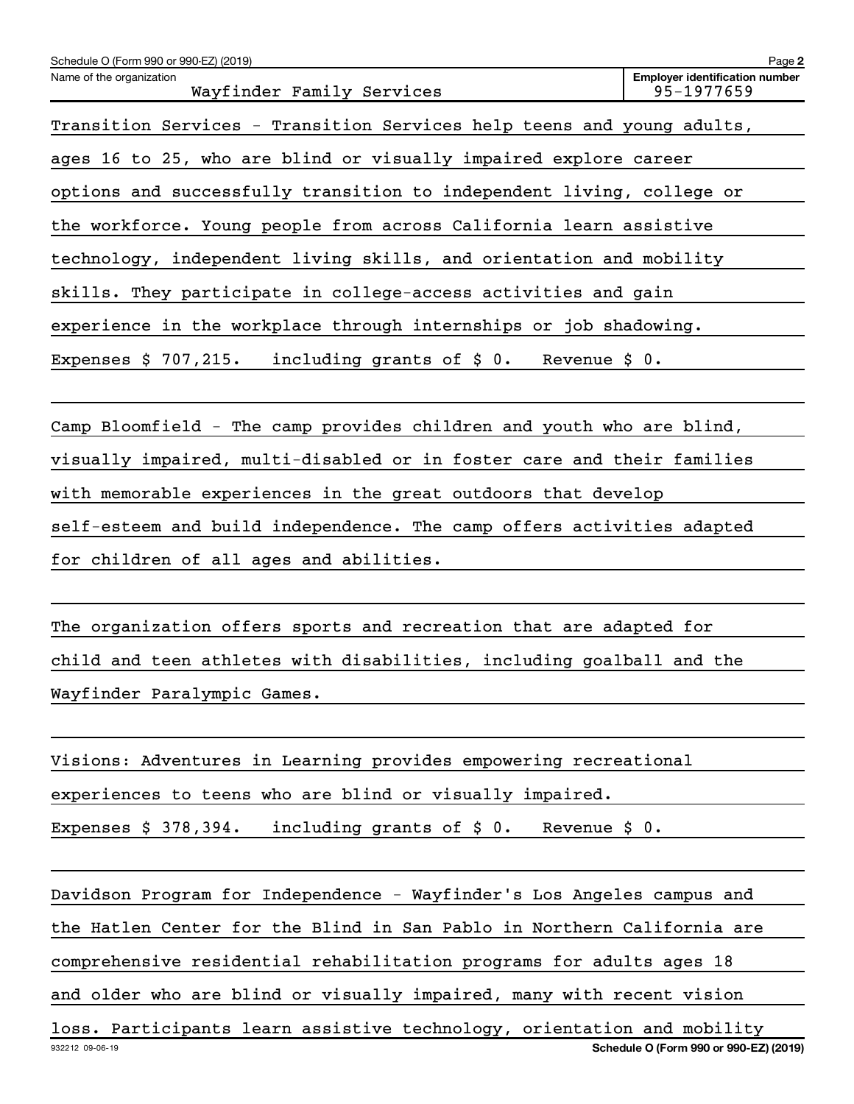| Name of the organization<br>Wayfinder Family Services                       | <b>Employer identification number</b><br>95-1977659 |
|-----------------------------------------------------------------------------|-----------------------------------------------------|
| Transition Services - Transition Services help teens and young adults,      |                                                     |
| ages 16 to 25, who are blind or visually impaired explore career            |                                                     |
| options and successfully transition to independent living, college or       |                                                     |
| the workforce. Young people from across California learn assistive          |                                                     |
| technology, independent living skills, and orientation and mobility         |                                                     |
| skills. They participate in college-access activities and gain              |                                                     |
| experience in the workplace through internships or job shadowing.           |                                                     |
| including grants of $\sharp$ 0. Revenue $\sharp$ 0.<br>Expenses $$707,215.$ |                                                     |
|                                                                             |                                                     |
| Camp Bloomfield - The camp provides children and youth who are blind,       |                                                     |
| visually impaired, multi-disabled or in foster care and their families      |                                                     |
| with memorable experiences in the great outdoors that develop               |                                                     |
| self-esteem and build independence. The camp offers activities adapted      |                                                     |
| for children of all ages and abilities.                                     |                                                     |
|                                                                             |                                                     |
| The organization offers sports and recreation that are adapted for          |                                                     |
| child and teen athletes with disabilities, including goalball and the       |                                                     |
| Wayfinder Paralympic Games.                                                 |                                                     |
|                                                                             |                                                     |
| Visions: Adventures in Learning provides empowering recreational            |                                                     |
| experiences to teens who are blind or visually impaired.                    |                                                     |
| Expenses $$378,394.$ including grants of $$0.$ Revenue $$0.$                |                                                     |
|                                                                             |                                                     |
| Davidson Program for Independence - Wayfinder's Los Angeles campus and      |                                                     |
| the Hatlen Center for the Blind in San Pablo in Northern California are     |                                                     |
| comprehensive residential rehabilitation programs for adults ages 18        |                                                     |
| and older who are blind or visually impaired, many with recent vision       |                                                     |
| loss. Participants learn assistive technology, orientation and mobility     |                                                     |
| 932212 09-06-19                                                             | Schedule O (Form 990 or 990-EZ) (2019)              |

Schedule O (Form 990 or 990-EZ) (2019)

**2**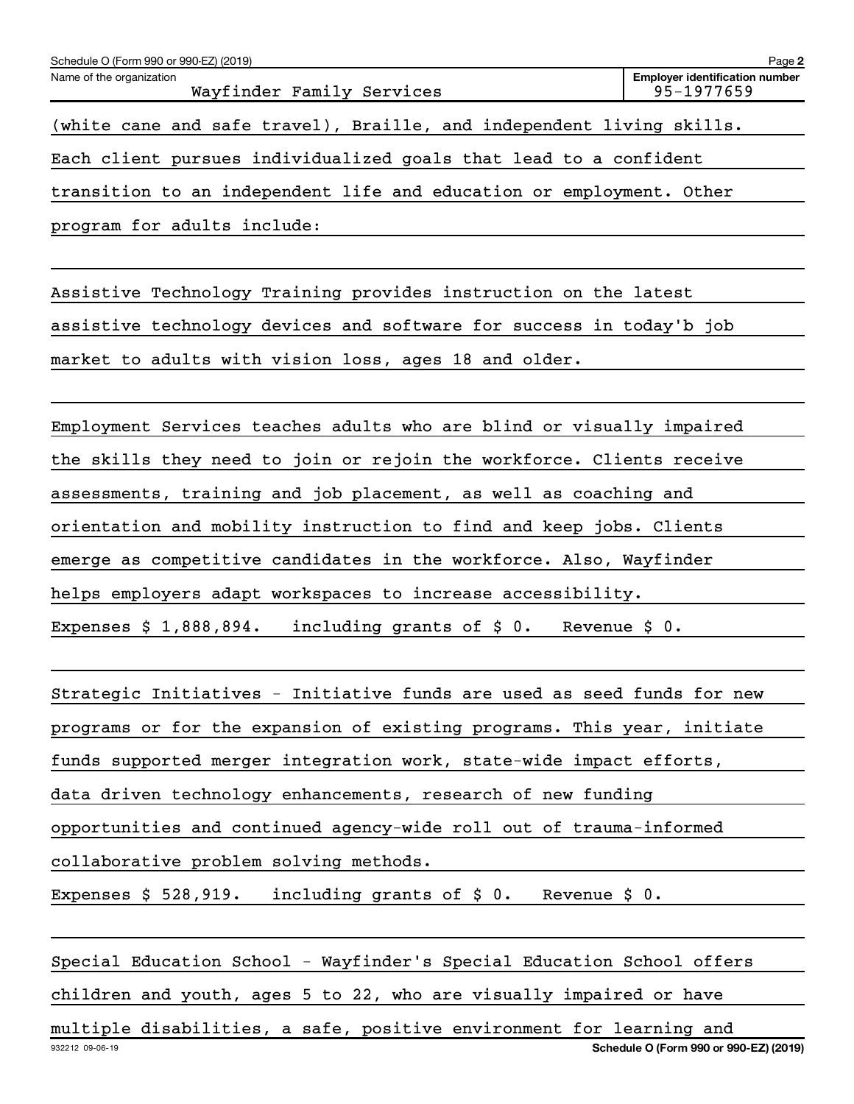| Schedule O (Form 990 or 990-EZ) (2019)                                | Page 2                                              |
|-----------------------------------------------------------------------|-----------------------------------------------------|
| Name of the organization<br>Wayfinder Family Services                 | <b>Employer identification number</b><br>95-1977659 |
| (white cane and safe travel), Braille, and independent living skills. |                                                     |
| Each client pursues individualized goals that lead to a confident     |                                                     |
| transition to an independent life and education or employment. Other  |                                                     |
| program for adults include:                                           |                                                     |

Assistive Technology Training provides instruction on the latest assistive technology devices and software for success in today'b job market to adults with vision loss, ages 18 and older.

Employment Services teaches adults who are blind or visually impaired the skills they need to join or rejoin the workforce. Clients receive assessments, training and job placement, as well as coaching and orientation and mobility instruction to find and keep jobs. Clients emerge as competitive candidates in the workforce. Also, Wayfinder helps employers adapt workspaces to increase accessibility. Expenses \$ 1,888,894. including grants of \$ 0. Revenue \$ 0.

Strategic Initiatives - Initiative funds are used as seed funds for new programs or for the expansion of existing programs. This year, initiate funds supported merger integration work, state-wide impact efforts, data driven technology enhancements, research of new funding opportunities and continued agency-wide roll out of trauma-informed collaborative problem solving methods. Expenses \$ 528,919. including grants of \$ 0. Revenue \$ 0.

932212 09-06-19 **Schedule O (Form 990 or 990-EZ) (2019)** Special Education School - Wayfinder's Special Education School offers children and youth, ages 5 to 22, who are visually impaired or have multiple disabilities, a safe, positive environment for learning and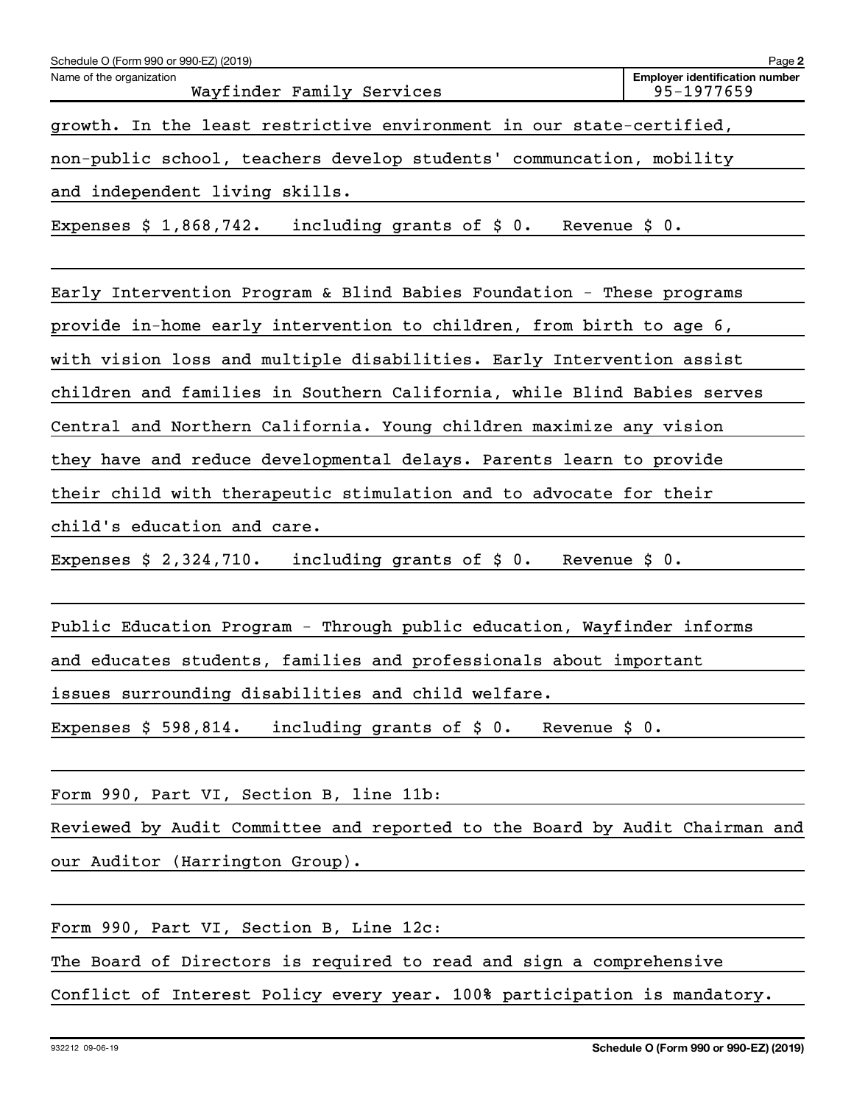| Schedule O (Form 990 or 990-EZ) (2019)                               |                           |               | Page 2                                              |
|----------------------------------------------------------------------|---------------------------|---------------|-----------------------------------------------------|
| Name of the organization                                             | Wayfinder Family Services |               | <b>Employer identification number</b><br>95-1977659 |
| growth. In the least restrictive environment in our state-certified, |                           |               |                                                     |
| non-public school, teachers develop students' communcation, mobility |                           |               |                                                     |
| and independent living skills.                                       |                           |               |                                                     |
| Expenses $$1,868,742.$                                               | including grants of $$0.$ | Revenue $$0.$ |                                                     |
|                                                                      |                           |               |                                                     |

Early Intervention Program & Blind Babies Foundation - These programs provide in-home early intervention to children, from birth to age 6, with vision loss and multiple disabilities. Early Intervention assist children and families in Southern California, while Blind Babies serves Central and Northern California. Young children maximize any vision they have and reduce developmental delays. Parents learn to provide their child with therapeutic stimulation and to advocate for their child's education and care.

Expenses  $$ 2,324,710.$  including grants of  $$ 0.$  Revenue  $$ 0.$ 

Public Education Program - Through public education, Wayfinder informs and educates students, families and professionals about important issues surrounding disabilities and child welfare. Expenses \$ 598,814. including grants of \$ 0. Revenue \$ 0.

Form 990, Part VI, Section B, line 11b:

Reviewed by Audit Committee and reported to the Board by Audit Chairman and our Auditor (Harrington Group).

Form 990, Part VI, Section B, Line 12c:

The Board of Directors is required to read and sign a comprehensive

Conflict of Interest Policy every year. 100% participation is mandatory.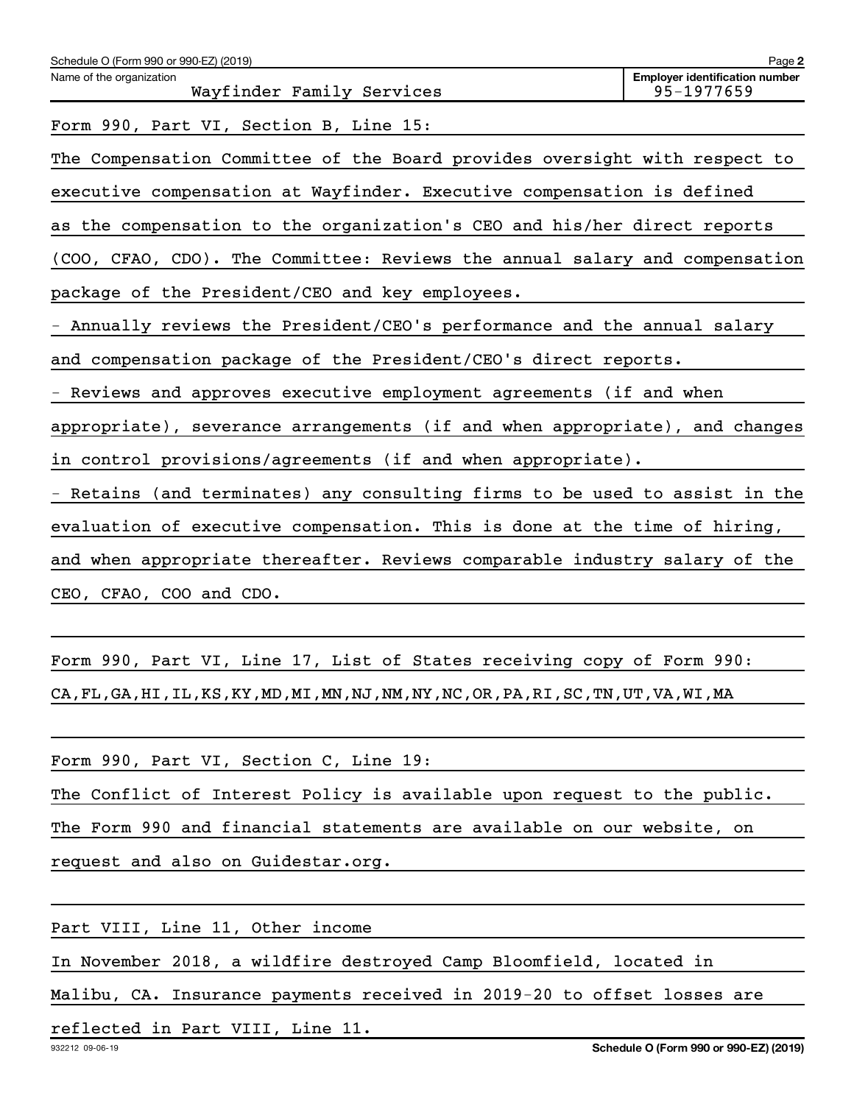| Schedule O (Form 990 or 990-EZ) (2019)                                                     | Page 2                                              |
|--------------------------------------------------------------------------------------------|-----------------------------------------------------|
| Name of the organization<br>Wayfinder Family Services                                      | <b>Employer identification number</b><br>95-1977659 |
| Form 990, Part VI, Section B, Line 15:                                                     |                                                     |
| The Compensation Committee of the Board provides oversight with respect to                 |                                                     |
| executive compensation at Wayfinder. Executive compensation is defined                     |                                                     |
| as the compensation to the organization's CEO and his/her direct reports                   |                                                     |
| (COO, CFAO, CDO). The Committee: Reviews the annual salary and compensation                |                                                     |
| package of the President/CEO and key employees.                                            |                                                     |
| - Annually reviews the President/CEO's performance and the annual salary                   |                                                     |
| and compensation package of the President/CEO's direct reports.                            |                                                     |
| - Reviews and approves executive employment agreements (if and when                        |                                                     |
| appropriate), severance arrangements (if and when appropriate), and changes                |                                                     |
| in control provisions/agreements (if and when appropriate).                                |                                                     |
| - Retains (and terminates) any consulting firms to be used to assist in the                |                                                     |
| evaluation of executive compensation. This is done at the time of hiring,                  |                                                     |
| and when appropriate thereafter. Reviews comparable industry salary of the                 |                                                     |
| CEO, CFAO, COO and CDO.                                                                    |                                                     |
|                                                                                            |                                                     |
| Form 990, Part VI, Line 17, List of States receiving copy of Form 990:                     |                                                     |
| CA, FL, GA, HI, IL, KS, KY, MD, MI, MN, NJ, NM, NY, NC, OR, PA, RI, SC, TN, UT, VA, WI, MA |                                                     |
|                                                                                            |                                                     |
| Form 990, Part VI, Section C, Line 19:                                                     |                                                     |
| The Conflict of Interest Policy is available upon request to the public.                   |                                                     |
| The Form 990 and financial statements are available on our website, on                     |                                                     |
| request and also on Guidestar.org.                                                         |                                                     |
|                                                                                            |                                                     |
| Part VIII, Line 11, Other income                                                           |                                                     |
| In November 2018, a wildfire destroyed Camp Bloomfield, located in                         |                                                     |
| Malibu, CA. Insurance payments received in 2019-20 to offset losses are                    |                                                     |
| reflected in Part VIII, Line 11.                                                           |                                                     |